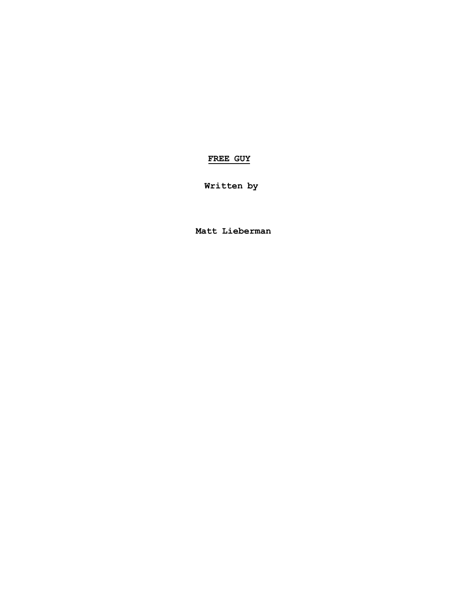# **FREE GUY**

**Written by**

**Matt Lieberman**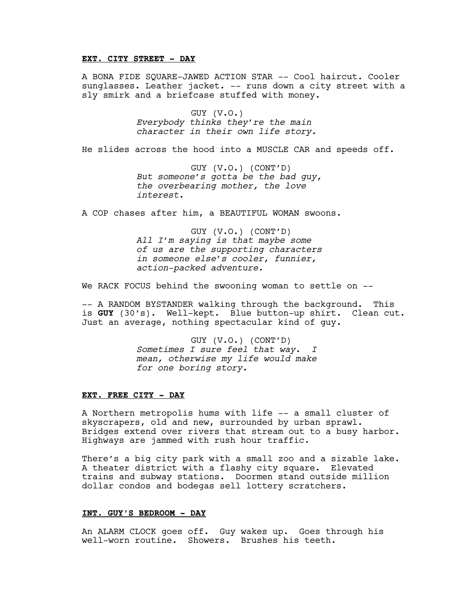### **EXT. CITY STREET - DAY**

A BONA FIDE SQUARE-JAWED ACTION STAR -- Cool haircut. Cooler sunglasses. Leather jacket. -- runs down a city street with a sly smirk and a briefcase stuffed with money.

> GUY (V.O.) *Everybody thinks they're the main character in their own life story.*

He slides across the hood into a MUSCLE CAR and speeds off.

GUY (V.O.) (CONT'D) *But someone's gotta be the bad guy, the overbearing mother, the love interest.*

A COP chases after him, a BEAUTIFUL WOMAN swoons.

GUY (V.O.) (CONT'D) *All I'm saying is that maybe some of us are the supporting characters in someone else's cooler, funnier, action-packed adventure.*

We RACK FOCUS behind the swooning woman to settle on --

-- A RANDOM BYSTANDER walking through the background. This is **GUY** (30's). Well-kept. Blue button-up shirt. Clean cut. Just an average, nothing spectacular kind of guy.

> GUY (V.O.) (CONT'D) *Sometimes I sure feel that way. I mean, otherwise my life would make for one boring story.*

# **EXT. FREE CITY - DAY**

A Northern metropolis hums with life -- a small cluster of skyscrapers, old and new, surrounded by urban sprawl. Bridges extend over rivers that stream out to a busy harbor. Highways are jammed with rush hour traffic.

There's a big city park with a small zoo and a sizable lake. A theater district with a flashy city square. Elevated trains and subway stations. Doormen stand outside million dollar condos and bodegas sell lottery scratchers.

### **INT. GUY'S BEDROOM - DAY**

An ALARM CLOCK goes off. Guy wakes up. Goes through his well-worn routine. Showers. Brushes his teeth.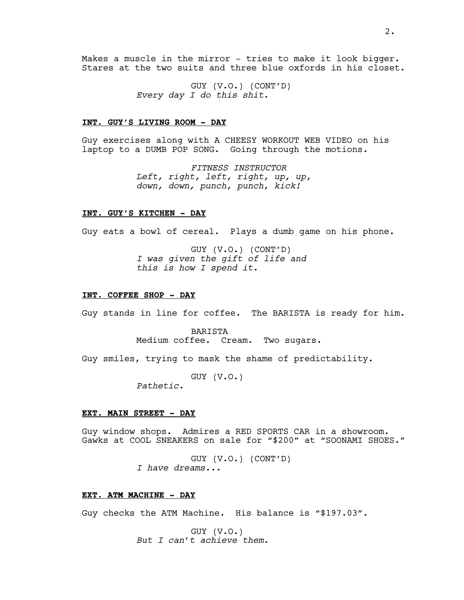Makes a muscle in the mirror - tries to make it look bigger. Stares at the two suits and three blue oxfords in his closet.

> GUY (V.O.) (CONT'D) *Every day I do this shit.*

#### **INT. GUY'S LIVING ROOM - DAY**

Guy exercises along with A CHEESY WORKOUT WEB VIDEO on his laptop to a DUMB POP SONG. Going through the motions.

> *FITNESS INSTRUCTOR Left, right, left, right, up, up, down, down, punch, punch, kick!*

#### **INT. GUY'S KITCHEN - DAY**

Guy eats a bowl of cereal. Plays a dumb game on his phone.

GUY (V.O.) (CONT'D) *I was given the gift of life and this is how I spend it.*

#### **INT. COFFEE SHOP - DAY**

Guy stands in line for coffee. The BARISTA is ready for him.

#### BARISTA

Medium coffee. Cream. Two sugars.

Guy smiles, trying to mask the shame of predictability.

GUY (V.O.)

*Pathetic.*

#### **EXT. MAIN STREET - DAY**

Guy window shops. Admires a RED SPORTS CAR in a showroom. Gawks at COOL SNEAKERS on sale for "\$200" at "SOONAMI SHOES."

> GUY (V.O.) (CONT'D) *I have dreams...*

### **EXT. ATM MACHINE - DAY**

Guy checks the ATM Machine. His balance is "\$197.03".

GUY (V.O.) *But I can't achieve them.*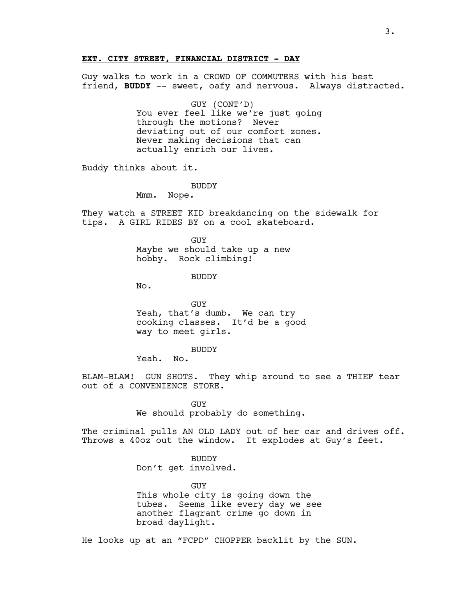#### **EXT. CITY STREET, FINANCIAL DISTRICT - DAY**

Guy walks to work in a CROWD OF COMMUTERS with his best friend, **BUDDY** -- sweet, oafy and nervous. Always distracted.

> GUY (CONT'D) You ever feel like we're just going through the motions? Never deviating out of our comfort zones. Never making decisions that can actually enrich our lives.

Buddy thinks about it.

BUDDY

Mmm. Nope.

They watch a STREET KID breakdancing on the sidewalk for tips. A GIRL RIDES BY on a cool skateboard.

> GUY Maybe we should take up a new hobby. Rock climbing!

> > **BUDDY**

No.

GUY Yeah, that's dumb. We can try cooking classes. It'd be a good way to meet girls.

BUDDY

Yeah. No.

BLAM-BLAM! GUN SHOTS. They whip around to see a THIEF tear out of a CONVENIENCE STORE.

> GUY We should probably do something.

The criminal pulls AN OLD LADY out of her car and drives off. Throws a 40oz out the window. It explodes at Guy's feet.

> BUDDY Don't get involved.

GUY This whole city is going down the tubes. Seems like every day we see another flagrant crime go down in broad daylight.

He looks up at an "FCPD" CHOPPER backlit by the SUN.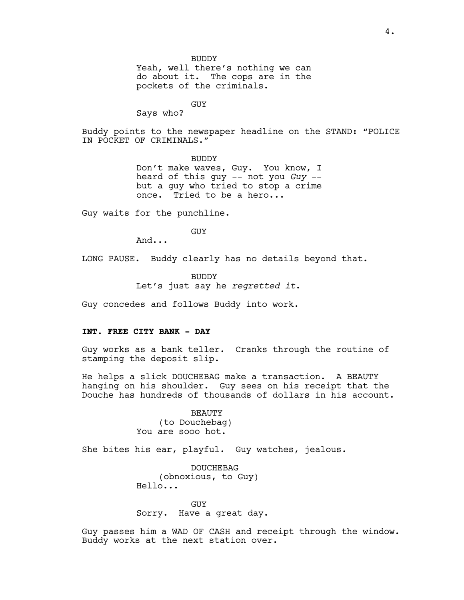Yeah, well there's nothing we can do about it. The cops are in the pockets of the criminals.

GUY

Says who?

Buddy points to the newspaper headline on the STAND: "POLICE IN POCKET OF CRIMINALS."

> BUDDY Don't make waves, Guy. You know, I heard of this guy -- not you *Guy* - but a guy who tried to stop a crime once. Tried to be a hero...

Guy waits for the punchline.

GUY

And...

LONG PAUSE. Buddy clearly has no details beyond that.

**BUDDY** Let's just say he *regretted it*.

Guy concedes and follows Buddy into work.

#### **INT. FREE CITY BANK - DAY**

Guy works as a bank teller. Cranks through the routine of stamping the deposit slip.

He helps a slick DOUCHEBAG make a transaction. A BEAUTY hanging on his shoulder. Guy sees on his receipt that the Douche has hundreds of thousands of dollars in his account.

> BEAUTY (to Douchebag) You are sooo hot.

She bites his ear, playful. Guy watches, jealous.

DOUCHEBAG (obnoxious, to Guy) Hello...

GUY Sorry. Have a great day.

Guy passes him a WAD OF CASH and receipt through the window. Buddy works at the next station over.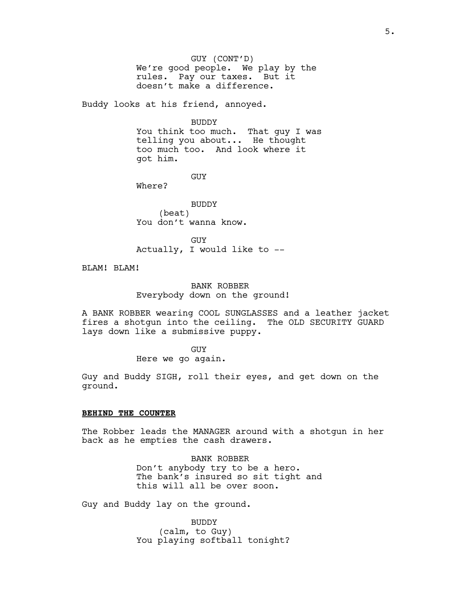GUY (CONT'D) We're good people. We play by the rules. Pay our taxes. But it doesn't make a difference.

Buddy looks at his friend, annoyed.

BUDDY

You think too much. That guy I was telling you about... He thought too much too. And look where it got him.

GUY

Where?

BUDDY (beat) You don't wanna know.

GUY Actually, I would like to --

BLAM! BLAM!

BANK ROBBER Everybody down on the ground!

A BANK ROBBER wearing COOL SUNGLASSES and a leather jacket fires a shotgun into the ceiling. The OLD SECURITY GUARD lays down like a submissive puppy.

> GUY Here we go again.

Guy and Buddy SIGH, roll their eyes, and get down on the ground.

# **BEHIND THE COUNTER**

The Robber leads the MANAGER around with a shotgun in her back as he empties the cash drawers.

> BANK ROBBER Don't anybody try to be a hero. The bank's insured so sit tight and this will all be over soon.

Guy and Buddy lay on the ground.

BUDDY (calm, to Guy) You playing softball tonight?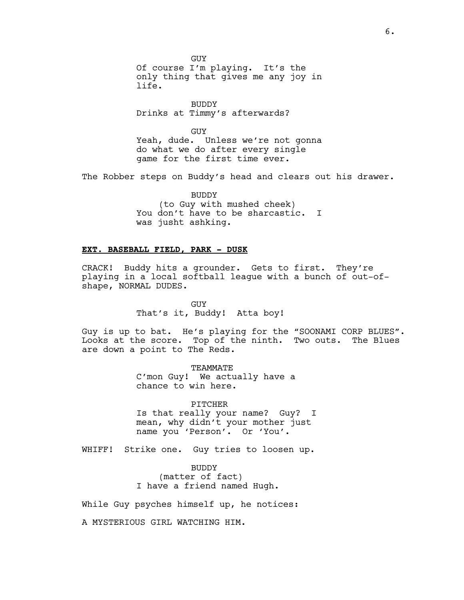GUY Of course I'm playing. It's the only thing that gives me any joy in life.

BUDDY Drinks at Timmy's afterwards?

GUY Yeah, dude. Unless we're not gonna do what we do after every single game for the first time ever.

The Robber steps on Buddy's head and clears out his drawer.

BUDDY (to Guy with mushed cheek) You don't have to be sharcastic. I was jusht ashking.

# **EXT. BASEBALL FIELD, PARK - DUSK**

CRACK! Buddy hits a grounder. Gets to first. They're playing in a local softball league with a bunch of out-ofshape, NORMAL DUDES.

> GUY That's it, Buddy! Atta boy!

Guy is up to bat. He's playing for the "SOONAMI CORP BLUES". Looks at the score. Top of the ninth. Two outs. The Blues are down a point to The Reds.

> TEAMMATE C'mon Guy! We actually have a chance to win here.

PITCHER Is that really your name? Guy? I mean, why didn't your mother just name you 'Person'. Or 'You'.

WHIFF! Strike one. Guy tries to loosen up.

BUDDY (matter of fact) I have a friend named Hugh.

While Guy psyches himself up, he notices:

A MYSTERIOUS GIRL WATCHING HIM.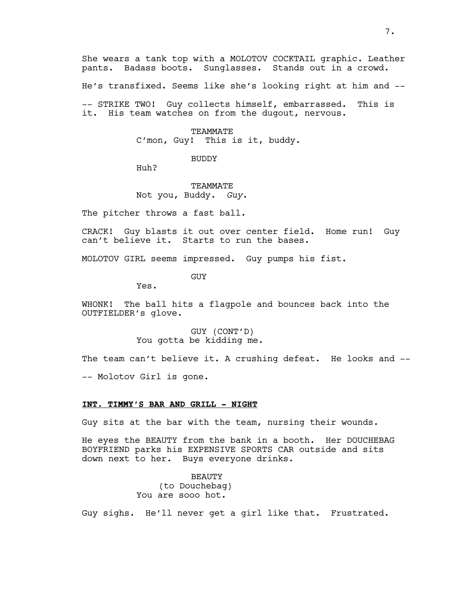She wears a tank top with a MOLOTOV COCKTAIL graphic. Leather pants. Badass boots. Sunglasses. Stands out in a crowd.

He's transfixed. Seems like she's looking right at him and --

-- STRIKE TWO! Guy collects himself, embarrassed. This is it. His team watches on from the dugout, nervous.

#### TEAMMATE

C'mon, Guy! This is it, buddy.

BUDDY

Huh?

# TEAMMATE Not you, Buddy. *Guy*.

The pitcher throws a fast ball.

CRACK! Guy blasts it out over center field. Home run! Guy can't believe it. Starts to run the bases.

MOLOTOV GIRL seems impressed. Guy pumps his fist.

GUY

Yes.

WHONK! The ball hits a flagpole and bounces back into the OUTFIELDER's glove.

> GUY (CONT'D) You gotta be kidding me.

The team can't believe it. A crushing defeat. He looks and ---- Molotov Girl is gone.

### **INT. TIMMY'S BAR AND GRILL - NIGHT**

Guy sits at the bar with the team, nursing their wounds.

He eyes the BEAUTY from the bank in a booth. Her DOUCHEBAG BOYFRIEND parks his EXPENSIVE SPORTS CAR outside and sits down next to her. Buys everyone drinks.

> BEAUTY (to Douchebag) You are sooo hot.

Guy sighs. He'll never get a girl like that. Frustrated.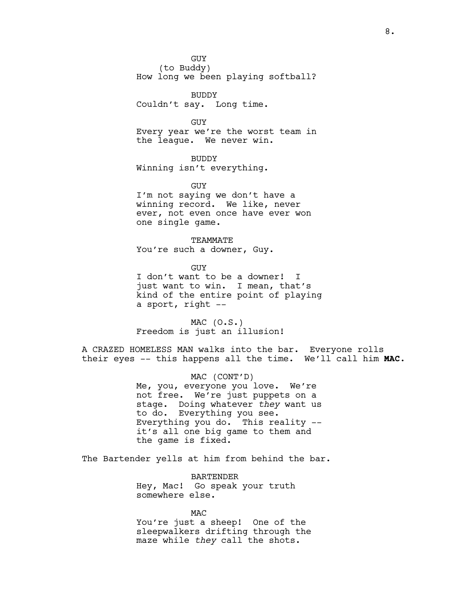GUY

(to Buddy) How long we been playing softball?

BUDDY Couldn't say. Long time.

GUY Every year we're the worst team in the league. We never win.

BUDDY Winning isn't everything.

GUY I'm not saying we don't have a winning record. We like, never ever, not even once have ever won one single game.

TEAMMATE You're such a downer, Guy.

GUY I don't want to be a downer! I just want to win. I mean, that's kind of the entire point of playing a sport, right --

 $MAC (0.S.)$ Freedom is just an illusion!

A CRAZED HOMELESS MAN walks into the bar. Everyone rolls their eyes -- this happens all the time. We'll call him **MAC**.

> MAC (CONT'D) Me, you, everyone you love. We're not free. We're just puppets on a stage. Doing whatever *they* want us to do. Everything you see. Everything you do. This reality - it's all one big game to them and the game is fixed.

The Bartender yells at him from behind the bar.

BARTENDER Hey, Mac! Go speak your truth somewhere else.

MAC You're just a sheep! One of the sleepwalkers drifting through the maze while *they* call the shots.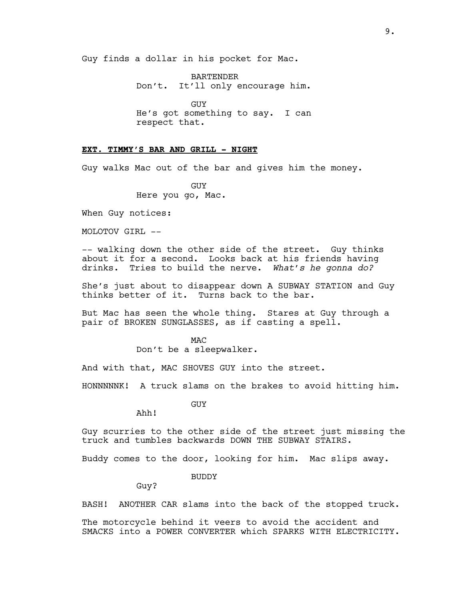Guy finds a dollar in his pocket for Mac.

BARTENDER Don't. It'll only encourage him.

GUY He's got something to say. I can respect that.

# **EXT. TIMMY'S BAR AND GRILL - NIGHT**

Guy walks Mac out of the bar and gives him the money.

GUY Here you go, Mac.

When Guy notices:

MOLOTOV GIRL --

-- walking down the other side of the street. Guy thinks about it for a second. Looks back at his friends having drinks. Tries to build the nerve. *What's he gonna do?*

She's just about to disappear down A SUBWAY STATION and Guy thinks better of it. Turns back to the bar.

But Mac has seen the whole thing. Stares at Guy through a pair of BROKEN SUNGLASSES, as if casting a spell.

> MAC Don't be a sleepwalker.

And with that, MAC SHOVES GUY into the street.

HONNNNNK! A truck slams on the brakes to avoid hitting him.

GUY

Ahh!

Guy scurries to the other side of the street just missing the truck and tumbles backwards DOWN THE SUBWAY STAIRS.

Buddy comes to the door, looking for him. Mac slips away.

BUDDY

Guy?

BASH! ANOTHER CAR slams into the back of the stopped truck.

The motorcycle behind it veers to avoid the accident and SMACKS into a POWER CONVERTER which SPARKS WITH ELECTRICITY.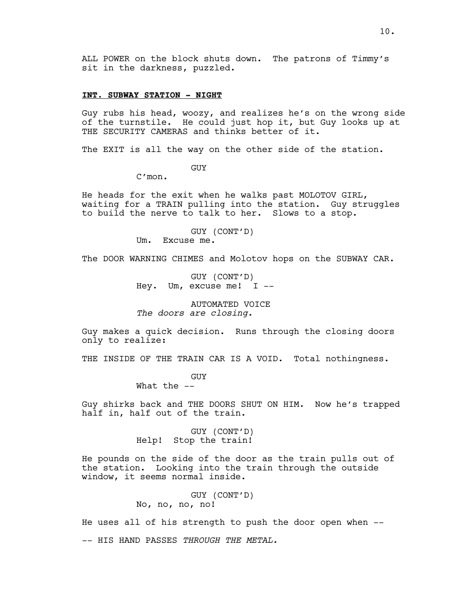# **INT. SUBWAY STATION - NIGHT**

Guy rubs his head, woozy, and realizes he's on the wrong side of the turnstile. He could just hop it, but Guy looks up at THE SECURITY CAMERAS and thinks better of it.

The EXIT is all the way on the other side of the station.

GUY

C'mon.

He heads for the exit when he walks past MOLOTOV GIRL, waiting for a TRAIN pulling into the station. Guy struggles to build the nerve to talk to her. Slows to a stop.

> GUY (CONT'D) Um. Excuse me.

The DOOR WARNING CHIMES and Molotov hops on the SUBWAY CAR.

GUY (CONT'D) Hey. Um, excuse me! I --

AUTOMATED VOICE *The doors are closing.*

Guy makes a quick decision. Runs through the closing doors only to realize:

THE INSIDE OF THE TRAIN CAR IS A VOID. Total nothingness.

GUY

What the --

Guy shirks back and THE DOORS SHUT ON HIM. Now he's trapped half in, half out of the train.

> GUY (CONT'D) Help! Stop the train!

He pounds on the side of the door as the train pulls out of the station. Looking into the train through the outside window, it seems normal inside.

> GUY (CONT'D) No, no, no, no!

He uses all of his strength to push the door open when -- -- HIS HAND PASSES *THROUGH THE METAL.*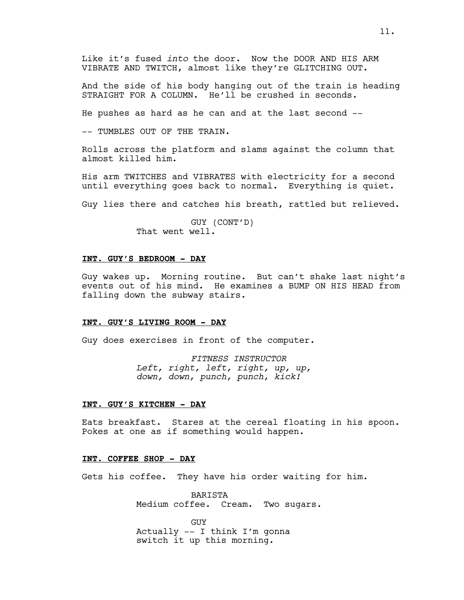Like it's fused *into* the door. Now the DOOR AND HIS ARM VIBRATE AND TWITCH, almost like they're GLITCHING OUT.

And the side of his body hanging out of the train is heading STRAIGHT FOR A COLUMN. He'll be crushed in seconds.

He pushes as hard as he can and at the last second --

-- TUMBLES OUT OF THE TRAIN.

Rolls across the platform and slams against the column that almost killed him.

His arm TWITCHES and VIBRATES with electricity for a second until everything goes back to normal. Everything is quiet.

Guy lies there and catches his breath, rattled but relieved.

GUY (CONT'D) That went well.

# **INT. GUY'S BEDROOM - DAY**

Guy wakes up. Morning routine. But can't shake last night's events out of his mind. He examines a BUMP ON HIS HEAD from falling down the subway stairs.

#### **INT. GUY'S LIVING ROOM - DAY**

Guy does exercises in front of the computer.

*FITNESS INSTRUCTOR Left, right, left, right, up, up, down, down, punch, punch, kick!*

### **INT. GUY'S KITCHEN - DAY**

Eats breakfast. Stares at the cereal floating in his spoon. Pokes at one as if something would happen.

### **INT. COFFEE SHOP - DAY**

Gets his coffee. They have his order waiting for him.

BARISTA Medium coffee. Cream. Two sugars.

GUY Actually -- I think I'm gonna switch it up this morning.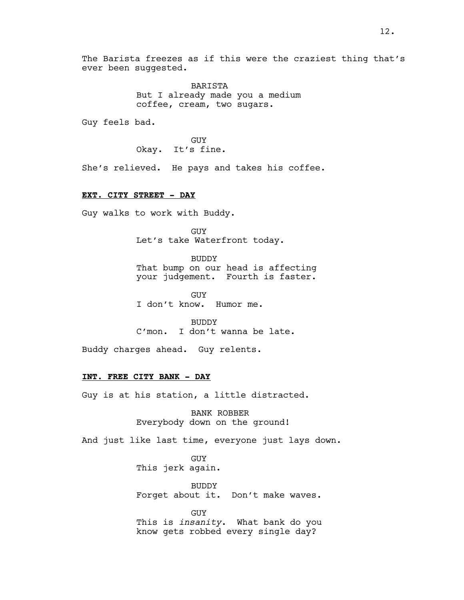The Barista freezes as if this were the craziest thing that's ever been suggested.

> BARISTA But I already made you a medium coffee, cream, two sugars.

Guy feels bad.

GUY Okay. It's fine.

She's relieved. He pays and takes his coffee.

#### **EXT. CITY STREET - DAY**

Guy walks to work with Buddy.

GUY Let's take Waterfront today.

BUDDY That bump on our head is affecting your judgement. Fourth is faster.

GUY I don't know. Humor me.

BUDDY C'mon. I don't wanna be late.

Buddy charges ahead. Guy relents.

## **INT. FREE CITY BANK - DAY**

Guy is at his station, a little distracted.

BANK ROBBER Everybody down on the ground!

And just like last time, everyone just lays down.

GUY This jerk again.

BUDDY Forget about it. Don't make waves.

GUY This is *insanity*. What bank do you know gets robbed every single day?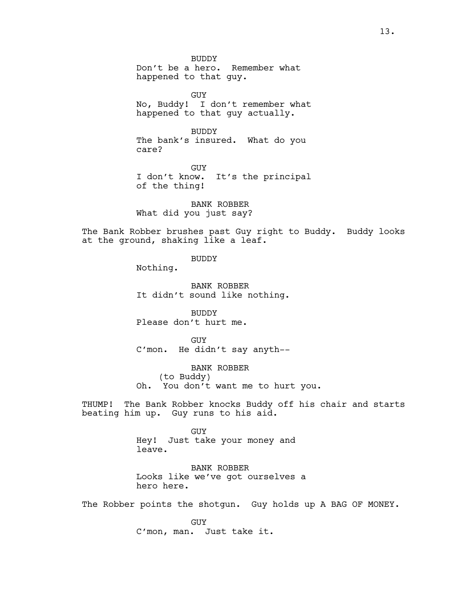BUDDY Don't be a hero. Remember what happened to that guy.

GUY No, Buddy! I don't remember what happened to that guy actually.

BUDDY The bank's insured. What do you care?

GUY I don't know. It's the principal of the thing!

BANK ROBBER What did you just say?

The Bank Robber brushes past Guy right to Buddy. Buddy looks at the ground, shaking like a leaf.

BUDDY

Nothing.

BANK ROBBER It didn't sound like nothing.

BUDDY Please don't hurt me.

GUY C'mon. He didn't say anyth--

BANK ROBBER (to Buddy) Oh. You don't want me to hurt you.

THUMP! The Bank Robber knocks Buddy off his chair and starts beating him up. Guy runs to his aid.

> GUY Hey! Just take your money and leave.

BANK ROBBER Looks like we've got ourselves a hero here.

The Robber points the shotgun. Guy holds up A BAG OF MONEY.

GUY C'mon, man. Just take it.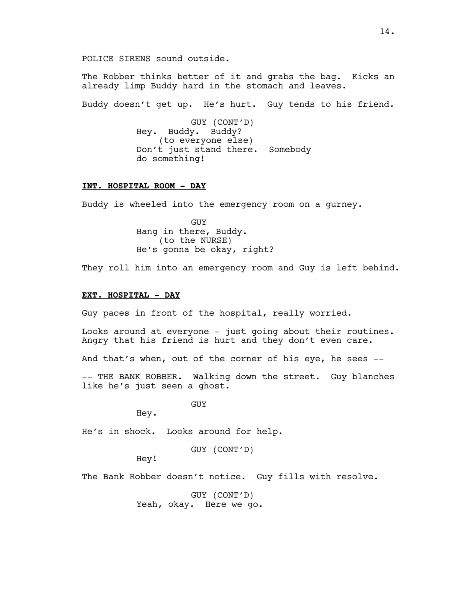POLICE SIRENS sound outside.

The Robber thinks better of it and grabs the bag. Kicks an already limp Buddy hard in the stomach and leaves.

Buddy doesn't get up. He's hurt. Guy tends to his friend.

GUY (CONT'D) Hey. Buddy. Buddy? (to everyone else) Don't just stand there. Somebody do something!

### **INT. HOSPITAL ROOM - DAY**

Buddy is wheeled into the emergency room on a gurney.

GUY Hang in there, Buddy. (to the NURSE) He's gonna be okay, right?

They roll him into an emergency room and Guy is left behind.

### **EXT. HOSPITAL - DAY**

Guy paces in front of the hospital, really worried.

Looks around at everyone - just going about their routines. Angry that his friend is hurt and they don't even care.

And that's when, out of the corner of his eye, he sees --

-- THE BANK ROBBER. Walking down the street. Guy blanches like he's just seen a ghost.

GUY

Hey.

He's in shock. Looks around for help.

GUY (CONT'D)

Hey!

The Bank Robber doesn't notice. Guy fills with resolve.

GUY (CONT'D) Yeah, okay. Here we go.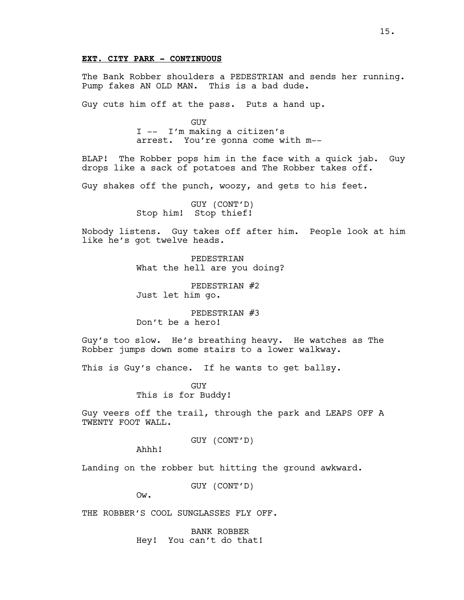# **EXT. CITY PARK - CONTINUOUS**

The Bank Robber shoulders a PEDESTRIAN and sends her running. Pump fakes AN OLD MAN. This is a bad dude.

Guy cuts him off at the pass. Puts a hand up.

GUY I -- I'm making a citizen's arrest. You're gonna come with m--

BLAP! The Robber pops him in the face with a quick jab. Guy drops like a sack of potatoes and The Robber takes off.

Guy shakes off the punch, woozy, and gets to his feet.

GUY (CONT'D) Stop him! Stop thief!

Nobody listens. Guy takes off after him. People look at him like he's got twelve heads.

> PEDESTRIAN What the hell are you doing?

PEDESTRIAN #2 Just let him go.

PEDESTRIAN #3 Don't be a hero!

Guy's too slow. He's breathing heavy. He watches as The Robber jumps down some stairs to a lower walkway.

This is Guy's chance. If he wants to get ballsy.

GUY This is for Buddy!

Guy veers off the trail, through the park and LEAPS OFF A TWENTY FOOT WALL.

GUY (CONT'D)

Ahhh!

Landing on the robber but hitting the ground awkward.

GUY (CONT'D)

Ow.

THE ROBBER'S COOL SUNGLASSES FLY OFF.

BANK ROBBER Hey! You can't do that!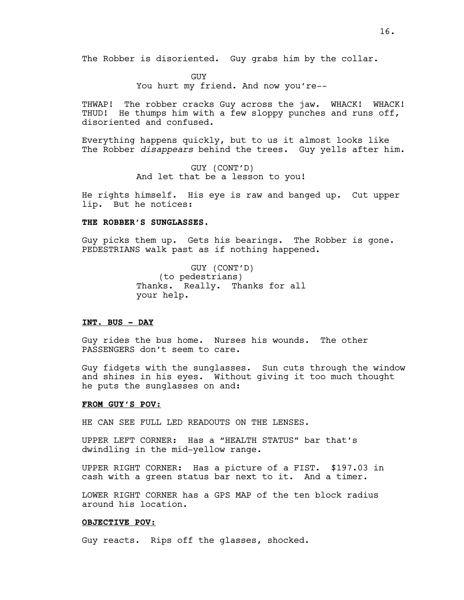The Robber is disoriented. Guy grabs him by the collar.

**GUY** You hurt my friend. And now you're--

THWAP! The robber cracks Guy across the jaw. WHACK! WHACK! THUD! He thumps him with a few sloppy punches and runs off, disoriented and confused.

Everything happens quickly, but to us it almost looks like The Robber *disappears* behind the trees. Guy yells after him.

> GUY (CONT'D) And let that be a lesson to you!

He rights himself. His eye is raw and banged up. Cut upper lip. But he notices:

#### **THE ROBBER'S SUNGLASSES**.

Guy picks them up. Gets his bearings. The Robber is gone. PEDESTRIANS walk past as if nothing happened.

> GUY (CONT'D) (to pedestrians) Thanks. Really. Thanks for all your help.

### **INT. BUS - DAY**

Guy rides the bus home. Nurses his wounds. The other PASSENGERS don't seem to care.

Guy fidgets with the sunglasses. Sun cuts through the window and shines in his eyes. Without giving it too much thought he puts the sunglasses on and:

#### **FROM GUY'S POV:**

HE CAN SEE FULL LED READOUTS ON THE LENSES.

UPPER LEFT CORNER: Has a "HEALTH STATUS" bar that's dwindling in the mid-yellow range.

UPPER RIGHT CORNER: Has a picture of a FIST. \$197.03 in cash with a green status bar next to it. And a timer.

LOWER RIGHT CORNER has a GPS MAP of the ten block radius around his location.

#### **OBJECTIVE POV:**

Guy reacts. Rips off the glasses, shocked.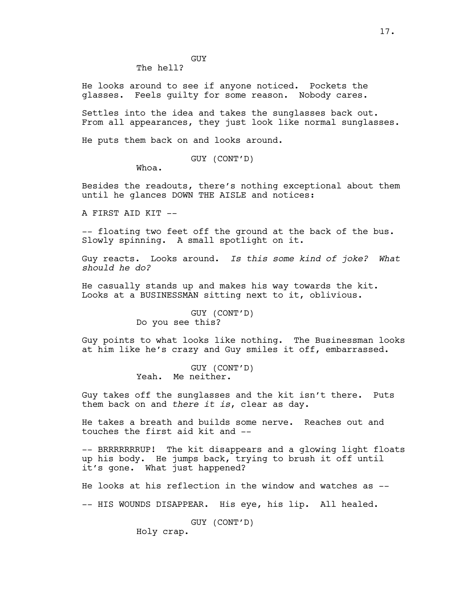GUY The hell?

He looks around to see if anyone noticed. Pockets the glasses. Feels guilty for some reason. Nobody cares.

Settles into the idea and takes the sunglasses back out. From all appearances, they just look like normal sunglasses.

He puts them back on and looks around.

GUY (CONT'D)

Whoa.

Besides the readouts, there's nothing exceptional about them until he glances DOWN THE AISLE and notices:

A FIRST AID KIT --

-- floating two feet off the ground at the back of the bus. Slowly spinning. A small spotlight on it.

Guy reacts. Looks around. *Is this some kind of joke? What should he do?*

He casually stands up and makes his way towards the kit. Looks at a BUSINESSMAN sitting next to it, oblivious.

> GUY (CONT'D) Do you see this?

Guy points to what looks like nothing. The Businessman looks at him like he's crazy and Guy smiles it off, embarrassed.

> GUY (CONT'D) Yeah. Me neither.

Guy takes off the sunglasses and the kit isn't there. Puts them back on and *there it is*, clear as day.

He takes a breath and builds some nerve. Reaches out and touches the first aid kit and --

-- BRRRRRRRUP! The kit disappears and a glowing light floats up his body. He jumps back, trying to brush it off until it's gone. What just happened?

He looks at his reflection in the window and watches as --

-- HIS WOUNDS DISAPPEAR. His eye, his lip. All healed.

GUY (CONT'D)

Holy crap.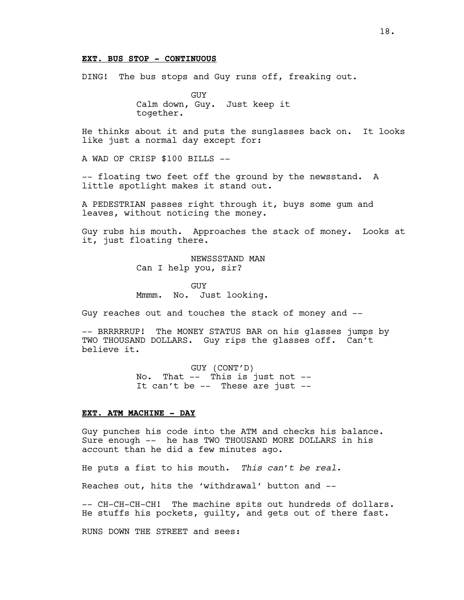#### **EXT. BUS STOP - CONTINUOUS**

DING! The bus stops and Guy runs off, freaking out.

GUY Calm down, Guy. Just keep it together.

He thinks about it and puts the sunglasses back on. It looks like just a normal day except for:

A WAD OF CRISP \$100 BILLS --

-- floating two feet off the ground by the newsstand. A little spotlight makes it stand out.

A PEDESTRIAN passes right through it, buys some gum and leaves, without noticing the money.

Guy rubs his mouth. Approaches the stack of money. Looks at it, just floating there.

> NEWSSSTAND MAN Can I help you, sir?

GUY Mmmm. No. Just looking.

Guy reaches out and touches the stack of money and --

-- BRRRRRUP! The MONEY STATUS BAR on his glasses jumps by TWO THOUSAND DOLLARS. Guy rips the glasses off. Can't believe it.

> GUY (CONT'D) No. That -- This is just not -- It can't be -- These are just --

### **EXT. ATM MACHINE - DAY**

Guy punches his code into the ATM and checks his balance. Sure enough -- he has TWO THOUSAND MORE DOLLARS in his account than he did a few minutes ago.

He puts a fist to his mouth. *This can't be real.*

Reaches out, hits the 'withdrawal' button and --

-- CH-CH-CH-CH! The machine spits out hundreds of dollars. He stuffs his pockets, guilty, and gets out of there fast.

RUNS DOWN THE STREET and sees: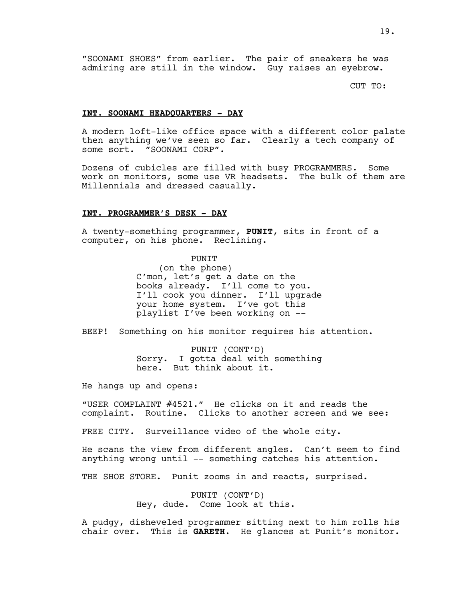CUT TO:

#### **INT. SOONAMI HEADQUARTERS - DAY**

A modern loft-like office space with a different color palate then anything we've seen so far. Clearly a tech company of some sort. "SOONAMI CORP".

Dozens of cubicles are filled with busy PROGRAMMERS. Some work on monitors, some use VR headsets. The bulk of them are Millennials and dressed casually.

#### **INT. PROGRAMMER'S DESK - DAY**

A twenty-something programmer, **PUNIT**, sits in front of a computer, on his phone. Reclining.

> PUNIT (on the phone) C'mon, let's get a date on the books already. I'll come to you. I'll cook you dinner. I'll upgrade your home system. I've got this playlist I've been working on --

BEEP! Something on his monitor requires his attention.

PUNIT (CONT'D) Sorry. I gotta deal with something here. But think about it.

He hangs up and opens:

"USER COMPLAINT #4521." He clicks on it and reads the complaint. Routine. Clicks to another screen and we see:

FREE CITY. Surveillance video of the whole city.

He scans the view from different angles. Can't seem to find anything wrong until -- something catches his attention.

THE SHOE STORE. Punit zooms in and reacts, surprised.

PUNIT (CONT'D) Hey, dude. Come look at this.

A pudgy, disheveled programmer sitting next to him rolls his chair over. This is **GARETH**. He glances at Punit's monitor.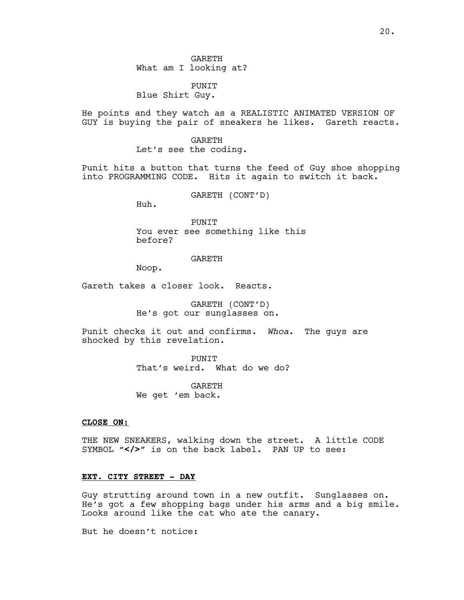GARETH What am I looking at?

PUNIT Blue Shirt Guy.

He points and they watch as a REALISTIC ANIMATED VERSION OF GUY is buying the pair of sneakers he likes. Gareth reacts.

> GARETH Let's see the coding.

Punit hits a button that turns the feed of Guy shoe shopping into PROGRAMMING CODE. Hits it again to switch it back.

GARETH (CONT'D)

Huh.

PUNIT You ever see something like this before?

GARETH

Noop.

Gareth takes a closer look. Reacts.

GARETH (CONT'D) He's got our sunglasses on.

Punit checks it out and confirms. *Whoa*. The guys are shocked by this revelation.

> PUNIT That's weird. What do we do?

**GARETH** We get 'em back.

### **CLOSE ON:**

THE NEW SNEAKERS, walking down the street. A little CODE SYMBOL "</>" is on the back label. PAN UP to see:

# **EXT. CITY STREET - DAY**

Guy strutting around town in a new outfit. Sunglasses on. He's got a few shopping bags under his arms and a big smile. Looks around like the cat who ate the canary.

But he doesn't notice: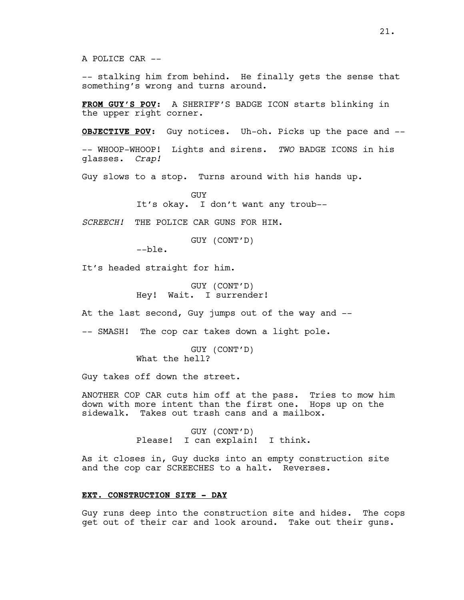-- stalking him from behind. He finally gets the sense that something's wrong and turns around.

**FROM GUY'S POV**: A SHERIFF'S BADGE ICON starts blinking in the upper right corner.

**OBJECTIVE POV**: Guy notices. Uh-oh. Picks up the pace and --

-- WHOOP-WHOOP! Lights and sirens. *TWO* BADGE ICONS in his glasses. *Crap!*

Guy slows to a stop. Turns around with his hands up.

GUY It's okay. I don't want any troub--

*SCREECH!* THE POLICE CAR GUNS FOR HIM.

GUY (CONT'D)

--ble.

It's headed straight for him.

GUY (CONT'D) Hey! Wait. I surrender!

At the last second, Guy jumps out of the way and --

-- SMASH! The cop car takes down a light pole.

GUY (CONT'D) What the hell?

Guy takes off down the street.

ANOTHER COP CAR cuts him off at the pass. Tries to mow him down with more intent than the first one. Hops up on the sidewalk. Takes out trash cans and a mailbox.

> GUY (CONT'D) Please! I can explain! I think.

As it closes in, Guy ducks into an empty construction site and the cop car SCREECHES to a halt. Reverses.

### **EXT. CONSTRUCTION SITE - DAY**

Guy runs deep into the construction site and hides. The cops get out of their car and look around. Take out their guns.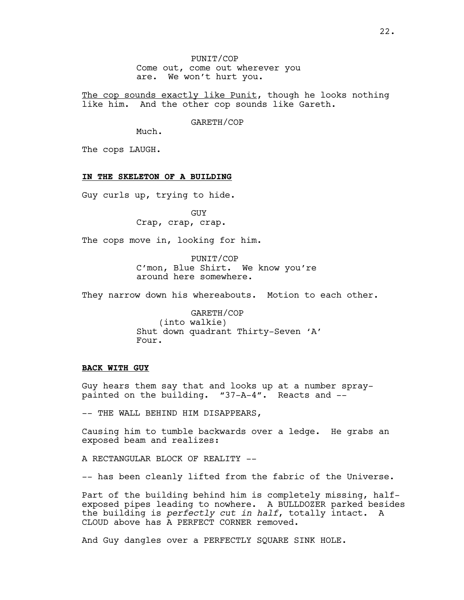PUNIT/COP Come out, come out wherever you are. We won't hurt you.

The cop sounds exactly like Punit, though he looks nothing like him. And the other cop sounds like Gareth.

GARETH/COP

Much.

The cops LAUGH.

### **IN THE SKELETON OF A BUILDING**

Guy curls up, trying to hide.

GUY Crap, crap, crap.

The cops move in, looking for him.

PUNIT/COP C'mon, Blue Shirt. We know you're around here somewhere.

They narrow down his whereabouts. Motion to each other.

GARETH/COP (into walkie) Shut down quadrant Thirty-Seven 'A' Four.

#### **BACK WITH GUY**

Guy hears them say that and looks up at a number spraypainted on the building. "37-A-4". Reacts and --

-- THE WALL BEHIND HIM DISAPPEARS,

Causing him to tumble backwards over a ledge. He grabs an exposed beam and realizes:

A RECTANGULAR BLOCK OF REALITY --

-- has been cleanly lifted from the fabric of the Universe.

Part of the building behind him is completely missing, halfexposed pipes leading to nowhere. A BULLDOZER parked besides the building is *perfectly cut in half*, totally intact. A CLOUD above has A PERFECT CORNER removed.

And Guy dangles over a PERFECTLY SQUARE SINK HOLE.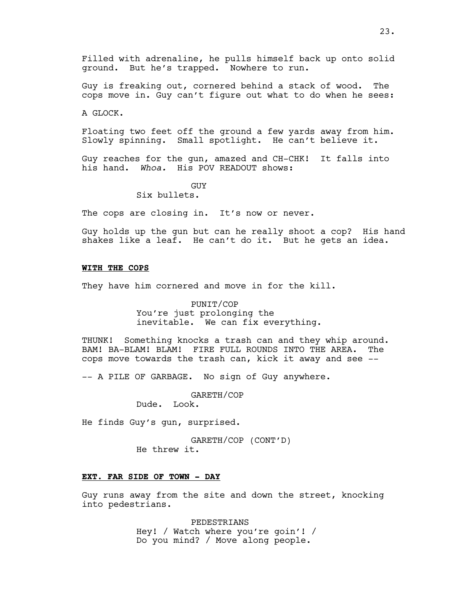Guy is freaking out, cornered behind a stack of wood. The cops move in. Guy can't figure out what to do when he sees:

A GLOCK.

Floating two feet off the ground a few yards away from him. Slowly spinning. Small spotlight. He can't believe it.

Guy reaches for the gun, amazed and CH-CHK! It falls into his hand. *Whoa.* His POV READOUT shows:

GUY

Six bullets.

The cops are closing in. It's now or never.

Guy holds up the gun but can he really shoot a cop? His hand shakes like a leaf. He can't do it. But he gets an idea.

### **WITH THE COPS**

They have him cornered and move in for the kill.

PUNIT/COP You're just prolonging the inevitable. We can fix everything.

THUNK! Something knocks a trash can and they whip around. BAM! BA-BLAM! BLAM! FIRE FULL ROUNDS INTO THE AREA. The cops move towards the trash can, kick it away and see --

-- A PILE OF GARBAGE. No sign of Guy anywhere.

GARETH/COP

Dude. Look.

He finds Guy's gun, surprised.

GARETH/COP (CONT'D) He threw it.

### **EXT. FAR SIDE OF TOWN - DAY**

Guy runs away from the site and down the street, knocking into pedestrians.

> PEDESTRIANS Hey! / Watch where you're goin'! / Do you mind? / Move along people.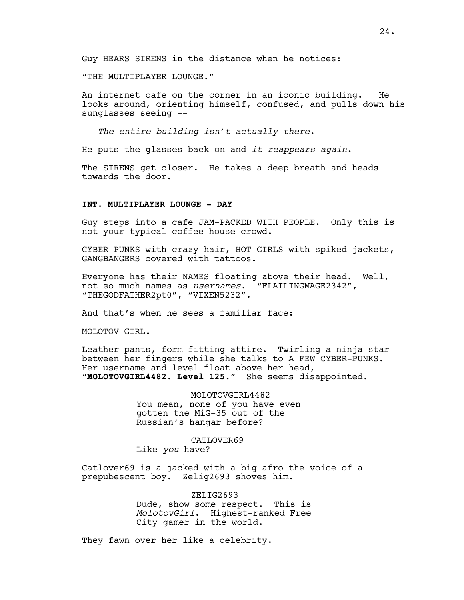"THE MULTIPLAYER LOUNGE."

An internet cafe on the corner in an iconic building. He looks around, orienting himself, confused, and pulls down his sunglasses seeing --

*-- The entire building isn't actually there.*

He puts the glasses back on and *it reappears again*.

The SIRENS get closer. He takes a deep breath and heads towards the door.

#### **INT. MULTIPLAYER LOUNGE - DAY**

Guy steps into a cafe JAM-PACKED WITH PEOPLE. Only this is not your typical coffee house crowd.

CYBER PUNKS with crazy hair, HOT GIRLS with spiked jackets, GANGBANGERS covered with tattoos.

Everyone has their NAMES floating above their head. Well, not so much names as *usernames*. "FLAILINGMAGE2342", "THEGODFATHER2pt0", "VIXEN5232".

And that's when he sees a familiar face:

MOLOTOV GIRL.

Leather pants, form-fitting attire. Twirling a ninja star between her fingers while she talks to A FEW CYBER-PUNKS. Her username and level float above her head, "**MOLOTOVGIRL4482. Level 125."** She seems disappointed.

> MOLOTOVGIRL4482 You mean, none of you have even gotten the MiG-35 out of the Russian's hangar before?

> > CATLOVER69

Like *you* have?

Catlover69 is a jacked with a big afro the voice of a prepubescent boy. Zelig2693 shoves him.

> ZELIG2693 Dude, show some respect. This is *MolotovGirl*. Highest-ranked Free City gamer in the world.

They fawn over her like a celebrity.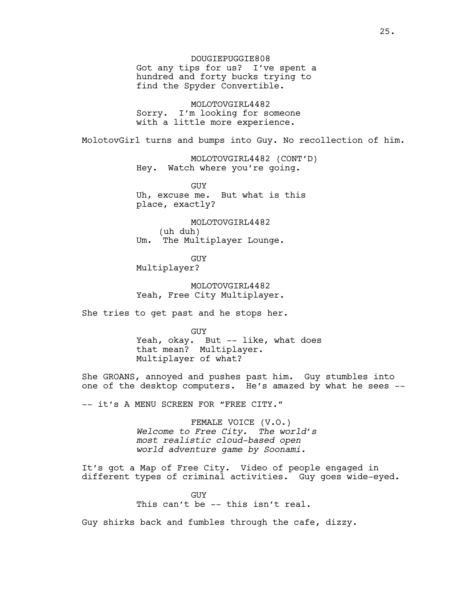Got any tips for us? I've spent a hundred and forty bucks trying to find the Spyder Convertible.

MOLOTOVGIRL4482 Sorry. I'm looking for someone with a little more experience.

MolotovGirl turns and bumps into Guy. No recollection of him.

MOLOTOVGIRL4482 (CONT'D) Hey. Watch where you're going.

GUY Uh, excuse me. But what is this place, exactly?

MOLOTOVGIRL4482 (uh duh) Um. The Multiplayer Lounge.

GUY Multiplayer?

MOLOTOVGIRL4482 Yeah, Free City Multiplayer.

She tries to get past and he stops her.

GUY Yeah, okay. But -- like, what does that mean? Multiplayer. Multiplayer of what?

She GROANS, annoyed and pushes past him. Guy stumbles into one of the desktop computers. He's amazed by what he sees --

-- it's A MENU SCREEN FOR "FREE CITY."

FEMALE VOICE (V.O.) *Welcome to Free City. The world's most realistic cloud-based open world adventure game by Soonami.*

It's got a Map of Free City. Video of people engaged in different types of criminal activities. Guy goes wide-eyed.

> **GUY** This can't be -- this isn't real.

Guy shirks back and fumbles through the cafe, dizzy.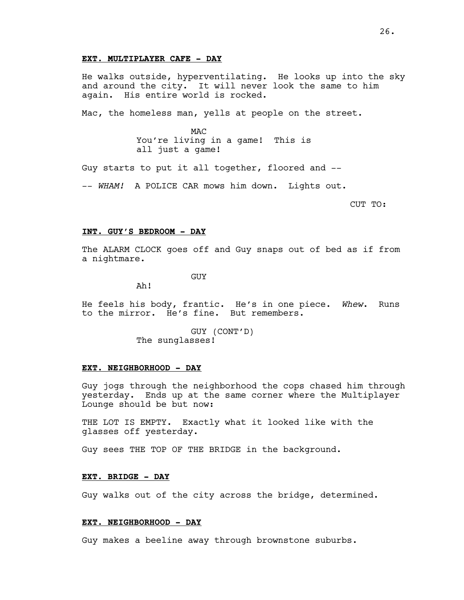#### **EXT. MULTIPLAYER CAFE - DAY**

He walks outside, hyperventilating. He looks up into the sky and around the city. It will never look the same to him again. His entire world is rocked.

Mac, the homeless man, yells at people on the street.

**MAC** You're living in a game! This is all just a game!

Guy starts to put it all together, floored and --

-- *WHAM!* A POLICE CAR mows him down. Lights out.

CUT TO:

#### **INT. GUY'S BEDROOM - DAY**

The ALARM CLOCK goes off and Guy snaps out of bed as if from a nightmare.

GUY

Ah!

He feels his body, frantic. He's in one piece. *Whew*. Runs to the mirror. He's fine. But remembers.

> GUY (CONT'D) The sunglasses!

#### **EXT. NEIGHBORHOOD - DAY**

Guy jogs through the neighborhood the cops chased him through yesterday. Ends up at the same corner where the Multiplayer Lounge should be but now:

THE LOT IS EMPTY. Exactly what it looked like with the glasses off yesterday.

Guy sees THE TOP OF THE BRIDGE in the background.

### **EXT. BRIDGE - DAY**

Guy walks out of the city across the bridge, determined.

#### **EXT. NEIGHBORHOOD - DAY**

Guy makes a beeline away through brownstone suburbs.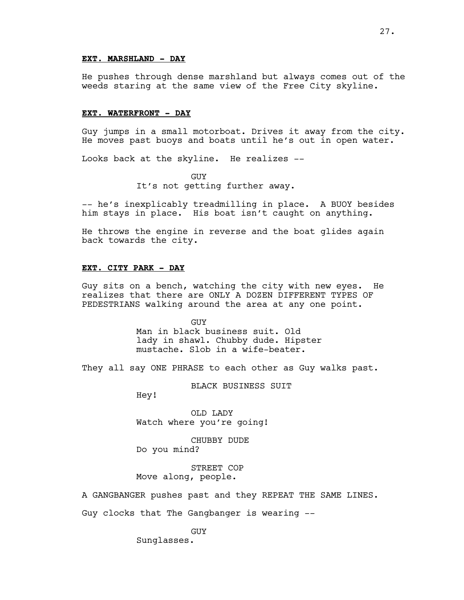### **EXT. MARSHLAND - DAY**

He pushes through dense marshland but always comes out of the weeds staring at the same view of the Free City skyline.

#### **EXT. WATERFRONT - DAY**

Guy jumps in a small motorboat. Drives it away from the city. He moves past buoys and boats until he's out in open water.

Looks back at the skyline. He realizes --

GUY It's not getting further away.

-- he's inexplicably treadmilling in place. A BUOY besides him stays in place. His boat isn't caught on anything.

He throws the engine in reverse and the boat glides again back towards the city.

### **EXT. CITY PARK - DAY**

Guy sits on a bench, watching the city with new eyes. He realizes that there are ONLY A DOZEN DIFFERENT TYPES OF PEDESTRIANS walking around the area at any one point.

> GUY Man in black business suit. Old lady in shawl. Chubby dude. Hipster mustache. Slob in a wife-beater.

They all say ONE PHRASE to each other as Guy walks past.

BLACK BUSINESS SUIT

Hey!

OLD LADY Watch where you're going!

CHUBBY DUDE Do you mind?

STREET COP Move along, people.

A GANGBANGER pushes past and they REPEAT THE SAME LINES.

Guy clocks that The Gangbanger is wearing --

GUY

Sunglasses.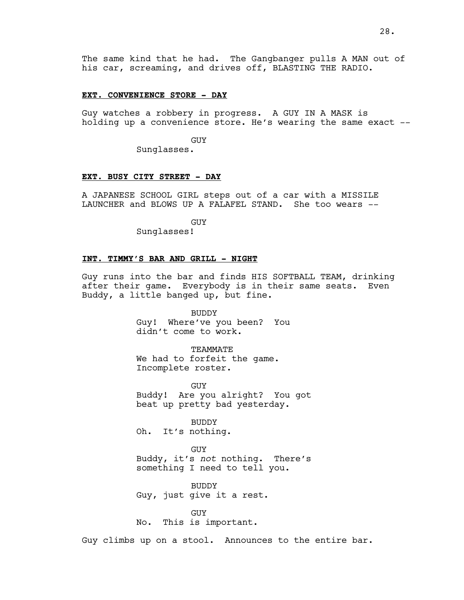The same kind that he had. The Gangbanger pulls A MAN out of his car, screaming, and drives off, BLASTING THE RADIO.

#### **EXT. CONVENIENCE STORE - DAY**

Guy watches a robbery in progress. A GUY IN A MASK is holding up a convenience store. He's wearing the same exact --

GUY

Sunglasses.

### **EXT. BUSY CITY STREET - DAY**

A JAPANESE SCHOOL GIRL steps out of a car with a MISSILE LAUNCHER and BLOWS UP A FALAFEL STAND. She too wears --

GUY

Sunglasses!

# **INT. TIMMY'S BAR AND GRILL - NIGHT**

Guy runs into the bar and finds HIS SOFTBALL TEAM, drinking after their game. Everybody is in their same seats. Even Buddy, a little banged up, but fine.

> BUDDY Guy! Where've you been? You didn't come to work.

TEAMMATE We had to forfeit the game. Incomplete roster.

GUY Buddy! Are you alright? You got beat up pretty bad yesterday.

BUDDY Oh. It's nothing.

GUY Buddy, it's *not* nothing. There's something I need to tell you.

BUDDY Guy, just give it a rest.

GUY No. This is important.

Guy climbs up on a stool. Announces to the entire bar.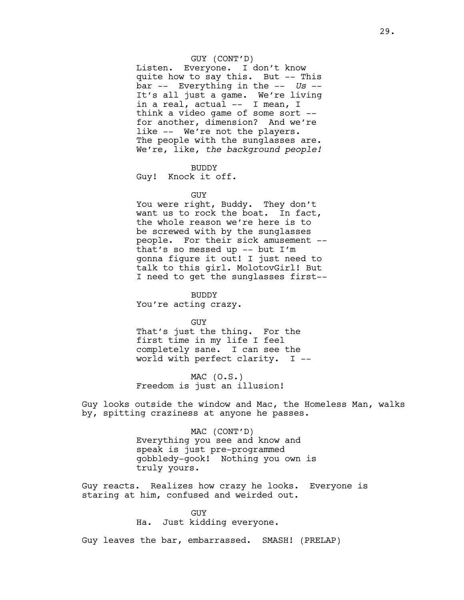## GUY (CONT'D)

Listen. Everyone. I don't know quite how to say this. But -- This bar -- Everything in the -- *Us* -- It's all just a game. We're living in a real, actual -- I mean, I think a video game of some sort - for another, dimension? And we're like -- We're not the players. The people with the sunglasses are. We're, like, *the background people!*

#### BUDDY

Guy! Knock it off.

#### GUY

You were right, Buddy. They don't want us to rock the boat. In fact, the whole reason we're here is to be screwed with by the sunglasses people. For their sick amusement - that's so messed up -- but I'm gonna figure it out! I just need to talk to this girl. MolotovGirl! But I need to get the sunglasses first--

BUDDY

You're acting crazy.

GUY

That's just the thing. For the first time in my life I feel completely sane. I can see the world with perfect clarity. I --

 $MAC (0.S.)$ Freedom is just an illusion!

Guy looks outside the window and Mac, the Homeless Man, walks by, spitting craziness at anyone he passes.

> MAC (CONT'D) Everything you see and know and speak is just pre-programmed gobbledy-gook! Nothing you own is truly yours.

Guy reacts. Realizes how crazy he looks. Everyone is staring at him, confused and weirded out.

#### GUY

Ha. Just kidding everyone.

Guy leaves the bar, embarrassed. SMASH! (PRELAP)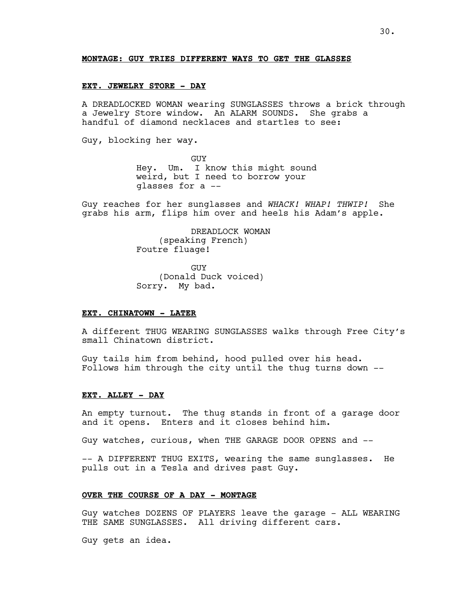#### **MONTAGE: GUY TRIES DIFFERENT WAYS TO GET THE GLASSES**

#### **EXT. JEWELRY STORE - DAY**

A DREADLOCKED WOMAN wearing SUNGLASSES throws a brick through a Jewelry Store window. An ALARM SOUNDS. She grabs a handful of diamond necklaces and startles to see:

Guy, blocking her way.

GUY Hey. Um. I know this might sound weird, but I need to borrow your glasses for a --

Guy reaches for her sunglasses and *WHACK! WHAP! THWIP!* She grabs his arm, flips him over and heels his Adam's apple.

> DREADLOCK WOMAN (speaking French) Foutre fluage!

GUY (Donald Duck voiced) Sorry. My bad.

#### **EXT. CHINATOWN - LATER**

A different THUG WEARING SUNGLASSES walks through Free City's small Chinatown district.

Guy tails him from behind, hood pulled over his head. Follows him through the city until the thug turns down --

#### **EXT. ALLEY - DAY**

An empty turnout. The thug stands in front of a garage door and it opens. Enters and it closes behind him.

Guy watches, curious, when THE GARAGE DOOR OPENS and --

-- A DIFFERENT THUG EXITS, wearing the same sunglasses. He pulls out in a Tesla and drives past Guy.

#### **OVER THE COURSE OF A DAY - MONTAGE**

Guy watches DOZENS OF PLAYERS leave the garage - ALL WEARING THE SAME SUNGLASSES. All driving different cars.

Guy gets an idea.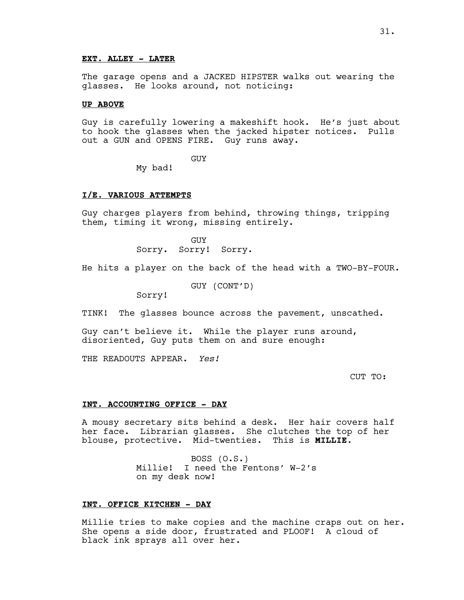### **EXT. ALLEY - LATER**

The garage opens and a JACKED HIPSTER walks out wearing the glasses. He looks around, not noticing:

#### **UP ABOVE**

Guy is carefully lowering a makeshift hook. He's just about to hook the glasses when the jacked hipster notices. Pulls out a GUN and OPENS FIRE. Guy runs away.

GUY

My bad!

#### **I/E. VARIOUS ATTEMPTS**

Guy charges players from behind, throwing things, tripping them, timing it wrong, missing entirely.

> GUY Sorry. Sorry! Sorry.

He hits a player on the back of the head with a TWO-BY-FOUR.

GUY (CONT'D)

Sorry!

TINK! The glasses bounce across the pavement, unscathed.

Guy can't believe it. While the player runs around, disoriented, Guy puts them on and sure enough:

THE READOUTS APPEAR. *Yes!*

CUT TO:

#### **INT. ACCOUNTING OFFICE - DAY**

A mousy secretary sits behind a desk. Her hair covers half her face. Librarian glasses. She clutches the top of her blouse, protective. Mid-twenties. This is **MILLIE**.

> BOSS (O.S.) Millie! I need the Fentons' W-2's on my desk now!

### **INT. OFFICE KITCHEN - DAY**

Millie tries to make copies and the machine craps out on her. She opens a side door, frustrated and PLOOF! A cloud of black ink sprays all over her.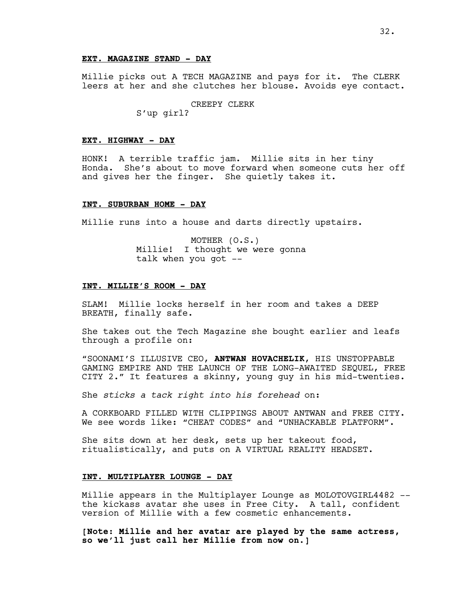#### **EXT. MAGAZINE STAND - DAY**

Millie picks out A TECH MAGAZINE and pays for it. The CLERK leers at her and she clutches her blouse. Avoids eye contact.

### CREEPY CLERK

S'up girl?

### **EXT. HIGHWAY - DAY**

HONK! A terrible traffic jam. Millie sits in her tiny Honda. She's about to move forward when someone cuts her off and gives her the finger. She quietly takes it.

#### **INT. SUBURBAN HOME - DAY**

Millie runs into a house and darts directly upstairs.

MOTHER (O.S.) Millie! I thought we were gonna talk when you got --

#### **INT. MILLIE'S ROOM - DAY**

SLAM! Millie locks herself in her room and takes a DEEP BREATH, finally safe.

She takes out the Tech Magazine she bought earlier and leafs through a profile on:

"SOONAMI'S ILLUSIVE CEO, **ANTWAN HOVACHELIK**, HIS UNSTOPPABLE GAMING EMPIRE AND THE LAUNCH OF THE LONG-AWAITED SEQUEL, FREE CITY 2." It features a skinny, young guy in his mid-twenties.

She *sticks a tack right into his forehead* on:

A CORKBOARD FILLED WITH CLIPPINGS ABOUT ANTWAN and FREE CITY. We see words like: "CHEAT CODES" and "UNHACKABLE PLATFORM".

She sits down at her desk, sets up her takeout food, ritualistically, and puts on A VIRTUAL REALITY HEADSET.

### **INT. MULTIPLAYER LOUNGE - DAY**

Millie appears in the Multiplayer Lounge as MOLOTOVGIRL4482 - the kickass avatar she uses in Free City. A tall, confident version of Millie with a few cosmetic enhancements.

**[Note: Millie and her avatar are played by the same actress, so we'll just call her Millie from now on.]**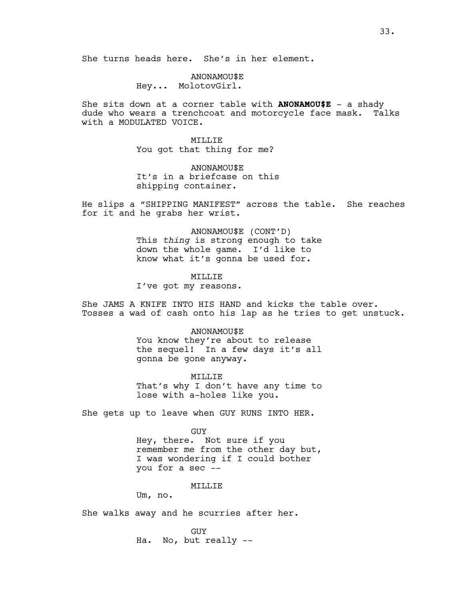ANONAMOU\$E Hey... MolotovGirl.

She sits down at a corner table with **ANONAMOU\$E** - a shady dude who wears a trenchcoat and motorcycle face mask. Talks with a MODULATED VOICE.

> MILLIE You got that thing for me?

ANONAMOU\$E It's in a briefcase on this shipping container.

He slips a "SHIPPING MANIFEST" across the table. She reaches for it and he grabs her wrist.

> ANONAMOU\$E (CONT'D) This *thing* is strong enough to take down the whole game. I'd like to know what it's gonna be used for.

MTT.T.TE I've got my reasons.

She JAMS A KNIFE INTO HIS HAND and kicks the table over. Tosses a wad of cash onto his lap as he tries to get unstuck.

> ANONAMOU\$E You know they're about to release the sequel! In a few days it's all gonna be gone anyway.

> MILLIE That's why I don't have any time to lose with a-holes like you.

She gets up to leave when GUY RUNS INTO HER.

GUY Hey, there. Not sure if you remember me from the other day but, I was wondering if I could bother you for a sec --

MILLIE

Um, no.

She walks away and he scurries after her.

GUY Ha. No, but really --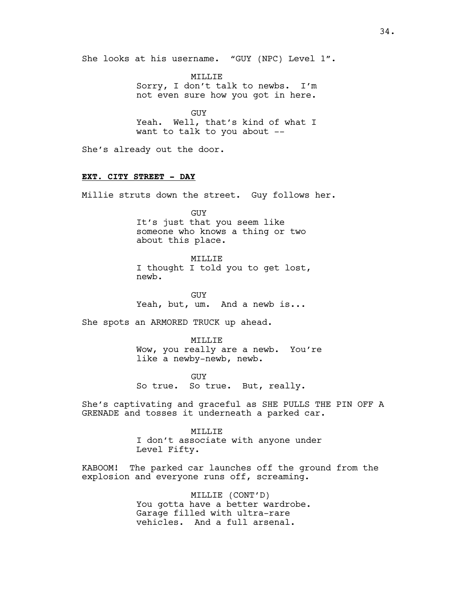She looks at his username. "GUY (NPC) Level 1".

MILLIE Sorry, I don't talk to newbs. I'm not even sure how you got in here.

GUY Yeah. Well, that's kind of what I want to talk to you about --

She's already out the door.

# **EXT. CITY STREET - DAY**

Millie struts down the street. Guy follows her.

GUY It's just that you seem like someone who knows a thing or two about this place.

### MTT.T.TE

I thought I told you to get lost, newb.

GUY Yeah, but, um. And a newb is...

She spots an ARMORED TRUCK up ahead.

MILLIE Wow, you really are a newb. You're like a newby-newb, newb.

GUY So true. So true. But, really.

She's captivating and graceful as SHE PULLS THE PIN OFF A GRENADE and tosses it underneath a parked car.

# MILLIE I don't associate with anyone under Level Fifty.

KABOOM! The parked car launches off the ground from the explosion and everyone runs off, screaming.

> MILLIE (CONT'D) You gotta have a better wardrobe. Garage filled with ultra-rare vehicles. And a full arsenal.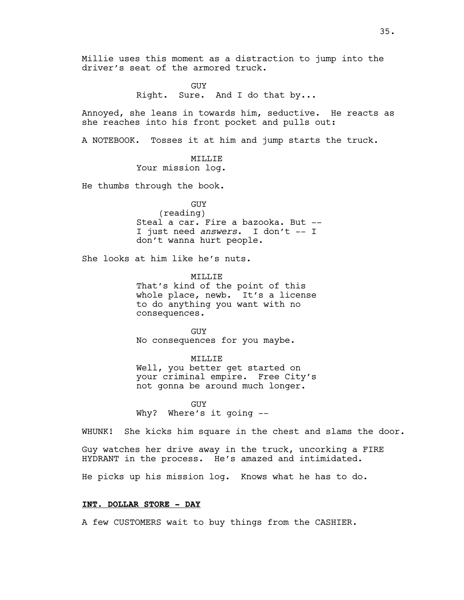Millie uses this moment as a distraction to jump into the driver's seat of the armored truck.

GUY

Right. Sure. And I do that by...

Annoyed, she leans in towards him, seductive. He reacts as she reaches into his front pocket and pulls out:

A NOTEBOOK. Tosses it at him and jump starts the truck.

# MILLIE

Your mission log.

He thumbs through the book.

GUY

(reading) Steal a car. Fire a bazooka. But -- I just need *answers*. I don't -- I don't wanna hurt people.

She looks at him like he's nuts.

MTT.T.TE That's kind of the point of this whole place, newb. It's a license to do anything you want with no consequences.

GUY No consequences for you maybe.

MILLIE Well, you better get started on your criminal empire. Free City's not gonna be around much longer.

GUY Why? Where's it going --

WHUNK! She kicks him square in the chest and slams the door.

Guy watches her drive away in the truck, uncorking a FIRE HYDRANT in the process. He's amazed and intimidated.

He picks up his mission log. Knows what he has to do.

### **INT. DOLLAR STORE - DAY**

A few CUSTOMERS wait to buy things from the CASHIER.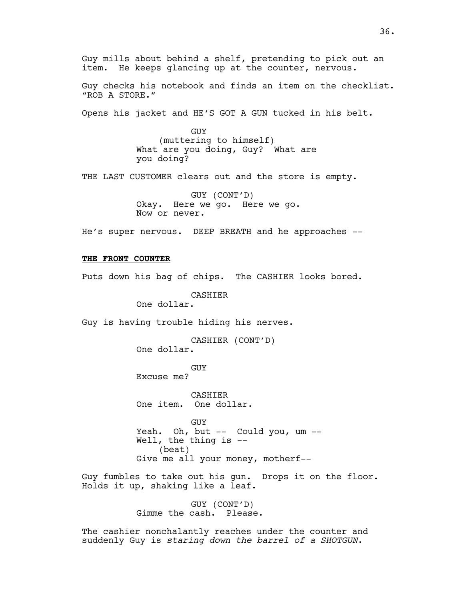Guy mills about behind a shelf, pretending to pick out an item. He keeps glancing up at the counter, nervous.

Guy checks his notebook and finds an item on the checklist. "ROB A STORE."

Opens his jacket and HE'S GOT A GUN tucked in his belt.

GUY (muttering to himself) What are you doing, Guy? What are you doing?

THE LAST CUSTOMER clears out and the store is empty.

GUY (CONT'D) Okay. Here we go. Here we go. Now or never.

He's super nervous. DEEP BREATH and he approaches --

## **THE FRONT COUNTER**

Puts down his bag of chips. The CASHIER looks bored.

CASHIER

One dollar.

Guy is having trouble hiding his nerves.

CASHIER (CONT'D) One dollar.

GUY Excuse me?

CASHIER One item. One dollar.

GUY Yeah. Oh, but -- Could you, um -- Well, the thing is -- (beat) Give me all your money, motherf--

Guy fumbles to take out his gun. Drops it on the floor. Holds it up, shaking like a leaf.

> GUY (CONT'D) Gimme the cash. Please.

The cashier nonchalantly reaches under the counter and suddenly Guy is *staring down the barrel of a SHOTGUN*.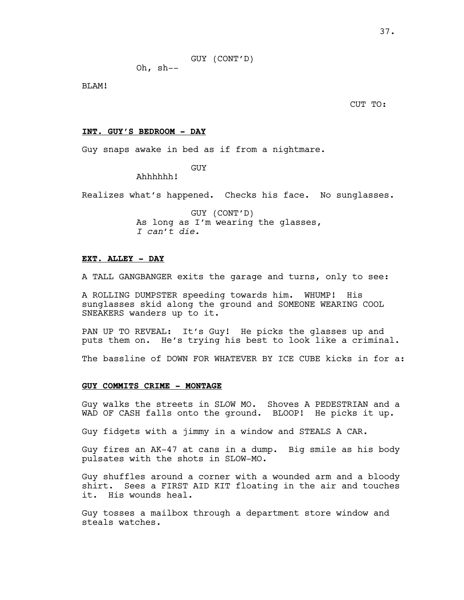GUY (CONT'D)

Oh, sh--

BLAM!

CUT TO:

## **INT. GUY'S BEDROOM - DAY**

Guy snaps awake in bed as if from a nightmare.

GUY

Ahhhhhh!

Realizes what's happened. Checks his face. No sunglasses.

GUY (CONT'D) As long as I'm wearing the glasses, *I can't die.*

## **EXT. ALLEY - DAY**

A TALL GANGBANGER exits the garage and turns, only to see:

A ROLLING DUMPSTER speeding towards him. WHUMP! His sunglasses skid along the ground and SOMEONE WEARING COOL SNEAKERS wanders up to it.

PAN UP TO REVEAL: It's Guy! He picks the glasses up and puts them on. He's trying his best to look like a criminal.

The bassline of DOWN FOR WHATEVER BY ICE CUBE kicks in for a:

#### **GUY COMMITS CRIME - MONTAGE**

Guy walks the streets in SLOW MO. Shoves A PEDESTRIAN and a WAD OF CASH falls onto the ground. BLOOP! He picks it up.

Guy fidgets with a jimmy in a window and STEALS A CAR.

Guy fires an AK-47 at cans in a dump. Big smile as his body pulsates with the shots in SLOW-MO.

Guy shuffles around a corner with a wounded arm and a bloody shirt. Sees a FIRST AID KIT floating in the air and touches it. His wounds heal.

Guy tosses a mailbox through a department store window and steals watches.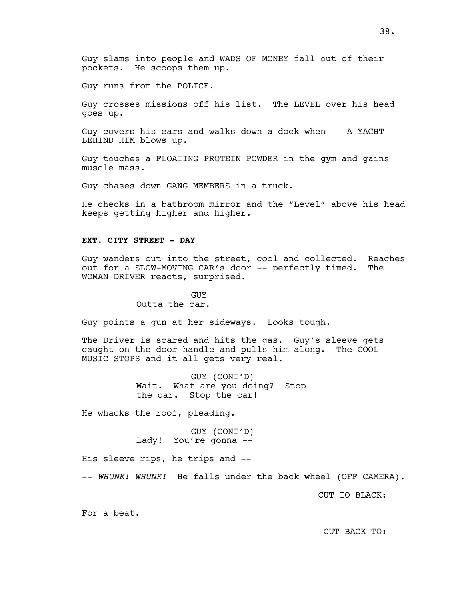Guy slams into people and WADS OF MONEY fall out of their pockets. He scoops them up.

Guy runs from the POLICE.

Guy crosses missions off his list. The LEVEL over his head goes up.

Guy covers his ears and walks down a dock when -- A YACHT BEHIND HIM blows up.

Guy touches a FLOATING PROTEIN POWDER in the gym and gains muscle mass.

Guy chases down GANG MEMBERS in a truck.

He checks in a bathroom mirror and the "Level" above his head keeps getting higher and higher.

### **EXT. CITY STREET - DAY**

Guy wanders out into the street, cool and collected. Reaches out for a SLOW-MOVING CAR's door -- perfectly timed. The WOMAN DRIVER reacts, surprised.

> GUY Outta the car.

Guy points a gun at her sideways. Looks tough.

The Driver is scared and hits the gas. Guy's sleeve gets caught on the door handle and pulls him along. The COOL MUSIC STOPS and it all gets very real.

> GUY (CONT'D) Wait. What are you doing? Stop the car. Stop the car!

He whacks the roof, pleading.

GUY (CONT'D) Lady! You're gonna --

His sleeve rips, he trips and --

-- *WHUNK! WHUNK!* He falls under the back wheel (OFF CAMERA).

CUT TO BLACK:

For a beat.

38.

CUT BACK TO: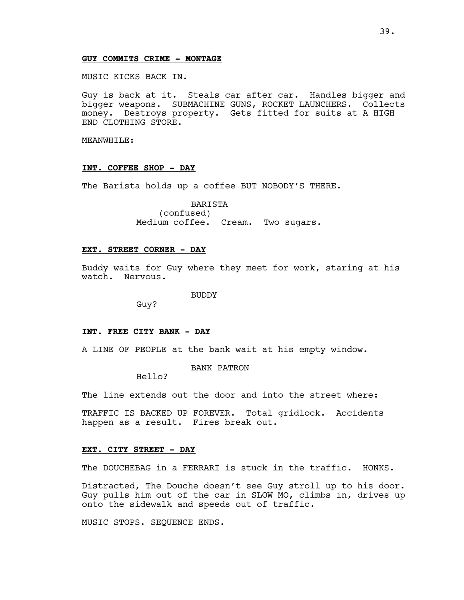## **GUY COMMITS CRIME - MONTAGE**

MUSIC KICKS BACK IN.

Guy is back at it. Steals car after car. Handles bigger and bigger weapons. SUBMACHINE GUNS, ROCKET LAUNCHERS. Collects money. Destroys property. Gets fitted for suits at A HIGH END CLOTHING STORE.

MEANWHILE:

## **INT. COFFEE SHOP - DAY**

The Barista holds up a coffee BUT NOBODY'S THERE.

BARISTA (confused) Medium coffee. Cream. Two sugars.

### **EXT. STREET CORNER - DAY**

Buddy waits for Guy where they meet for work, staring at his watch. Nervous.

BUDDY

Guy?

#### **INT. FREE CITY BANK - DAY**

A LINE OF PEOPLE at the bank wait at his empty window.

BANK PATRON

Hello?

The line extends out the door and into the street where:

TRAFFIC IS BACKED UP FOREVER. Total gridlock. Accidents happen as a result. Fires break out.

## **EXT. CITY STREET - DAY**

The DOUCHEBAG in a FERRARI is stuck in the traffic. HONKS.

Distracted, The Douche doesn't see Guy stroll up to his door. Guy pulls him out of the car in SLOW MO, climbs in, drives up onto the sidewalk and speeds out of traffic.

MUSIC STOPS. SEQUENCE ENDS.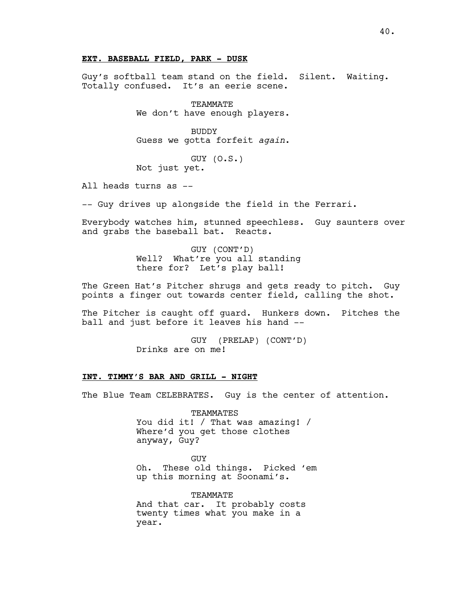## **EXT. BASEBALL FIELD, PARK - DUSK**

Guy's softball team stand on the field. Silent. Waiting. Totally confused. It's an eerie scene.

> TEAMMATE We don't have enough players.

> BUDDY Guess we gotta forfeit *again*.

GUY (O.S.) Not just yet.

All heads turns as --

-- Guy drives up alongside the field in the Ferrari.

Everybody watches him, stunned speechless. Guy saunters over and grabs the baseball bat. Reacts.

> GUY (CONT'D) Well? What're you all standing there for? Let's play ball!

The Green Hat's Pitcher shrugs and gets ready to pitch. Guy points a finger out towards center field, calling the shot.

The Pitcher is caught off guard. Hunkers down. Pitches the ball and just before it leaves his hand --

> GUY (PRELAP) (CONT'D) Drinks are on me!

## **INT. TIMMY'S BAR AND GRILL - NIGHT**

The Blue Team CELEBRATES. Guy is the center of attention.

TEAMMATES You did it! / That was amazing! / Where'd you get those clothes anyway, Guy?

**GUY** 

Oh. These old things. Picked 'em up this morning at Soonami's.

TEAMMATE And that car. It probably costs twenty times what you make in a year.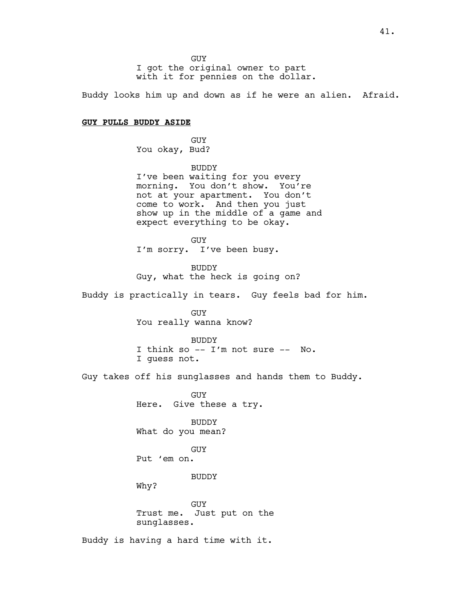**GUY** I got the original owner to part with it for pennies on the dollar.

Buddy looks him up and down as if he were an alien. Afraid.

## **GUY PULLS BUDDY ASIDE**

GUY You okay, Bud?

BUDDY I've been waiting for you every morning. You don't show. You're not at your apartment. You don't come to work. And then you just show up in the middle of a game and expect everything to be okay.

GUY I'm sorry. I've been busy.

BUDDY Guy, what the heck is going on?

Buddy is practically in tears. Guy feels bad for him.

GUY You really wanna know?

BUDDY I think so -- I'm not sure -- No. I guess not.

Guy takes off his sunglasses and hands them to Buddy.

GUY Here. Give these a try.

BUDDY What do you mean?

GUY

Put 'em on.

BUDDY

Why?

GUY Trust me. Just put on the sunglasses.

Buddy is having a hard time with it.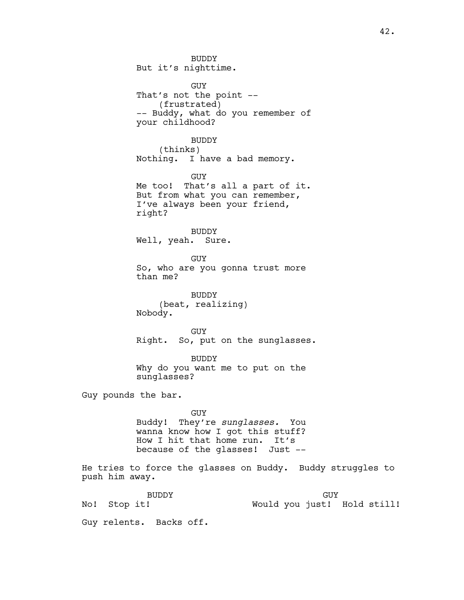BUDDY But it's nighttime. GUY That's not the point -- (frustrated) -- Buddy, what do you remember of your childhood? BUDDY (thinks) Nothing. I have a bad memory. GUY Me too! That's all a part of it. But from what you can remember, I've always been your friend, right? BUDDY Well, yeah. Sure. GUY So, who are you gonna trust more than me? BUDDY (beat, realizing) Nobody. GUY Right. So, put on the sunglasses. BUDDY Why do you want me to put on the sunglasses? Guy pounds the bar. GUY Buddy! They're *sunglasses.* You wanna know how I got this stuff? How I hit that home run. It's because of the glasses! Just -- He tries to force the glasses on Buddy. Buddy struggles to push him away. BUDDY No! Stop it! GUY Would you just! Hold still!

Guy relents. Backs off.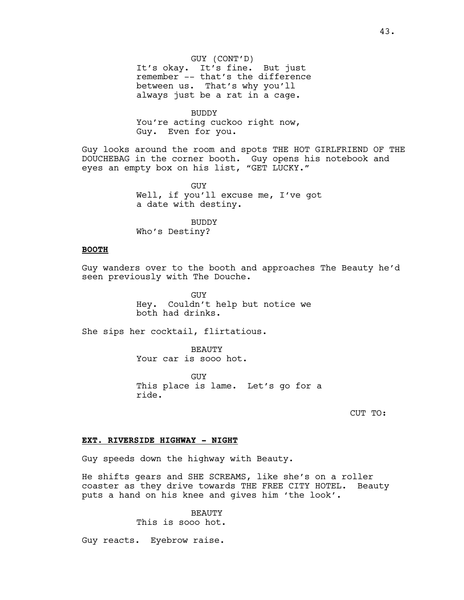GUY (CONT'D) It's okay. It's fine. But just remember -- that's the difference between us. That's why you'll always just be a rat in a cage.

BUDDY You're acting cuckoo right now, Guy. Even for you.

Guy looks around the room and spots THE HOT GIRLFRIEND OF THE DOUCHEBAG in the corner booth. Guy opens his notebook and eyes an empty box on his list, "GET LUCKY."

> GUY Well, if you'll excuse me, I've got a date with destiny.

BUDDY Who's Destiny?

## **BOOTH**

Guy wanders over to the booth and approaches The Beauty he'd seen previously with The Douche.

> GUY Hey. Couldn't help but notice we both had drinks.

She sips her cocktail, flirtatious.

BEAUTY Your car is sooo hot.

GUY This place is lame. Let's go for a ride.

CUT TO:

## **EXT. RIVERSIDE HIGHWAY - NIGHT**

Guy speeds down the highway with Beauty.

He shifts gears and SHE SCREAMS, like she's on a roller coaster as they drive towards THE FREE CITY HOTEL. Beauty puts a hand on his knee and gives him 'the look'.

> BEAUTY This is sooo hot.

Guy reacts. Eyebrow raise.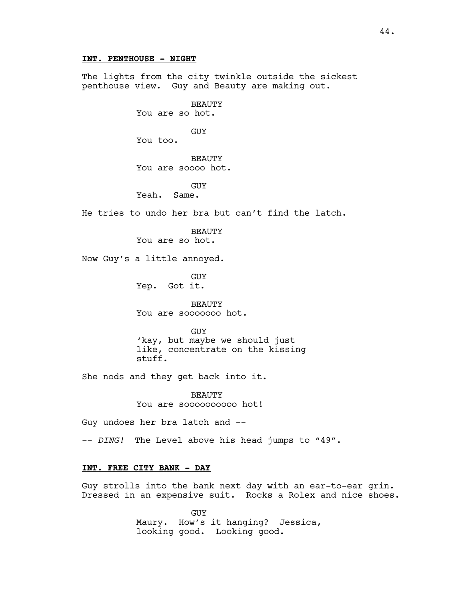## **INT. PENTHOUSE - NIGHT**

The lights from the city twinkle outside the sickest penthouse view. Guy and Beauty are making out.

> BEAUTY You are so hot.

GUY You too.

BEAUTY

You are soooo hot.

GUY

Yeah. Same.

He tries to undo her bra but can't find the latch.

**BEAUTY** You are so hot.

Now Guy's a little annoyed.

GUY Yep. Got it.

BEAUTY You are sooooooo hot.

GUY 'kay, but maybe we should just like, concentrate on the kissing stuff.

She nods and they get back into it.

BEAUTY You are sooooooooooo hot!

Guy undoes her bra latch and --

-- *DING!* The Level above his head jumps to "49".

## **INT. FREE CITY BANK - DAY**

Guy strolls into the bank next day with an ear-to-ear grin. Dressed in an expensive suit. Rocks a Rolex and nice shoes.

> GUY Maury. How's it hanging? Jessica, looking good. Looking good.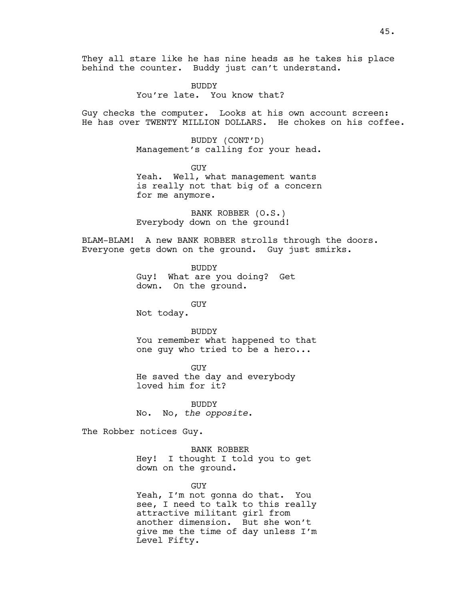They all stare like he has nine heads as he takes his place behind the counter. Buddy just can't understand.

> BUDDY You're late. You know that?

Guy checks the computer. Looks at his own account screen: He has over TWENTY MILLION DOLLARS. He chokes on his coffee.

> BUDDY (CONT'D) Management's calling for your head.

GUY Yeah. Well, what management wants is really not that big of a concern for me anymore.

BANK ROBBER (O.S.) Everybody down on the ground!

BLAM-BLAM! A new BANK ROBBER strolls through the doors. Everyone gets down on the ground. Guy just smirks.

> BUDDY Guy! What are you doing? Get down. On the ground.

GUY Not today.

#### BUDDY

You remember what happened to that one guy who tried to be a hero...

GUY He saved the day and everybody loved him for it?

BUDDY No. No, *the opposite*.

The Robber notices Guy.

BANK ROBBER Hey! I thought I told you to get down on the ground.

#### GUY

Yeah, I'm not gonna do that. You see, I need to talk to this really attractive militant girl from another dimension. But she won't give me the time of day unless I'm Level Fifty.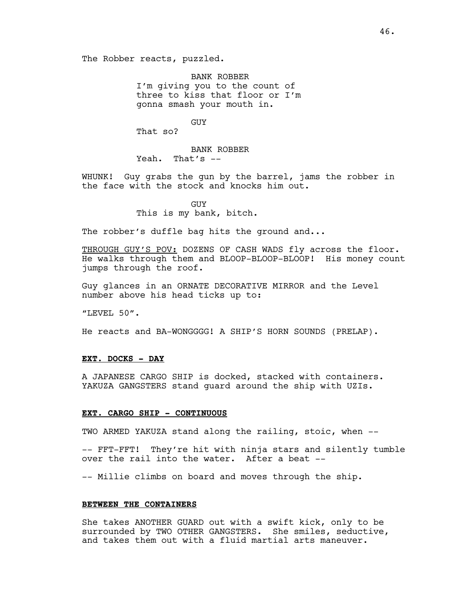BANK ROBBER I'm giving you to the count of three to kiss that floor or I'm gonna smash your mouth in.

GUY

That so?

BANK ROBBER Yeah. That's --

WHUNK! Guy grabs the gun by the barrel, jams the robber in the face with the stock and knocks him out.

> **GUY** This is my bank, bitch.

The robber's duffle bag hits the ground and...

THROUGH GUY'S POV: DOZENS OF CASH WADS fly across the floor. He walks through them and BLOOP-BLOOP-BLOOP! His money count jumps through the roof.

Guy glances in an ORNATE DECORATIVE MIRROR and the Level number above his head ticks up to:

"LEVEL 50".

He reacts and BA-WONGGGG! A SHIP'S HORN SOUNDS (PRELAP).

## **EXT. DOCKS - DAY**

A JAPANESE CARGO SHIP is docked, stacked with containers. YAKUZA GANGSTERS stand guard around the ship with UZIs.

## **EXT. CARGO SHIP - CONTINUOUS**

TWO ARMED YAKUZA stand along the railing, stoic, when --

-- FFT-FFT! They're hit with ninja stars and silently tumble over the rail into the water. After a beat --

-- Millie climbs on board and moves through the ship.

## **BETWEEN THE CONTAINERS**

She takes ANOTHER GUARD out with a swift kick, only to be surrounded by TWO OTHER GANGSTERS. She smiles, seductive, and takes them out with a fluid martial arts maneuver.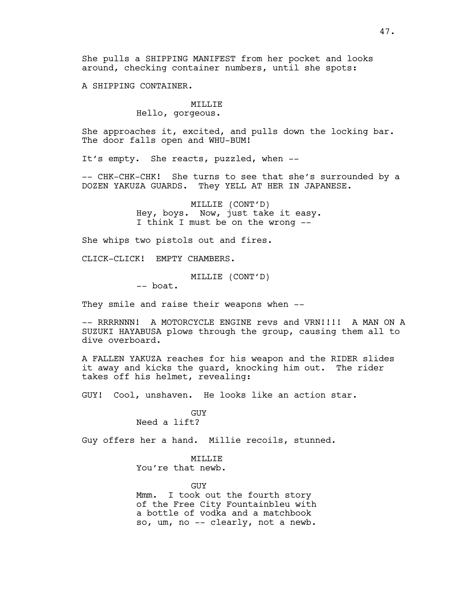She pulls a SHIPPING MANIFEST from her pocket and looks around, checking container numbers, until she spots:

A SHIPPING CONTAINER.

## MILLIE

## Hello, gorgeous.

She approaches it, excited, and pulls down the locking bar. The door falls open and WHU-BUM!

It's empty. She reacts, puzzled, when --

-- CHK-CHK-CHK! She turns to see that she's surrounded by a DOZEN YAKUZA GUARDS. They YELL AT HER IN JAPANESE.

> MILLIE (CONT'D) Hey, boys. Now, just take it easy. I think I must be on the wrong --

She whips two pistols out and fires.

CLICK-CLICK! EMPTY CHAMBERS.

MILLIE (CONT'D)

-- boat.

They smile and raise their weapons when --

-- RRRRNNN! A MOTORCYCLE ENGINE revs and VRN!!!! A MAN ON A SUZUKI HAYABUSA plows through the group, causing them all to dive overboard.

A FALLEN YAKUZA reaches for his weapon and the RIDER slides it away and kicks the guard, knocking him out. The rider takes off his helmet, revealing:

GUY! Cool, unshaven. He looks like an action star.

GUY Need a lift?

Guy offers her a hand. Millie recoils, stunned.

MILLIE You're that newb.

GUY

Mmm. I took out the fourth story of the Free City Fountainbleu with a bottle of vodka and a matchbook so, um, no -- clearly, not a newb.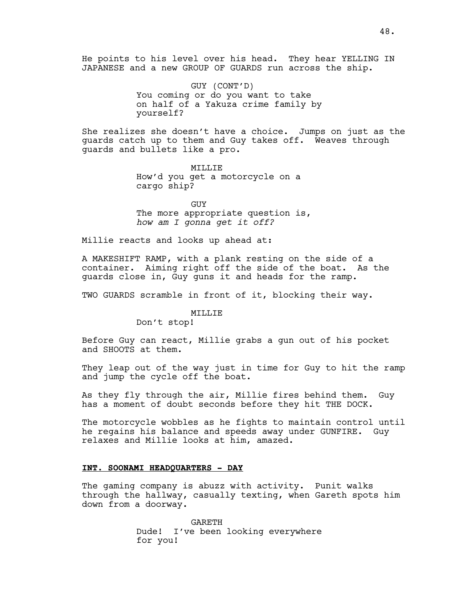He points to his level over his head. They hear YELLING IN JAPANESE and a new GROUP OF GUARDS run across the ship.

> GUY (CONT'D) You coming or do you want to take on half of a Yakuza crime family by yourself?

She realizes she doesn't have a choice. Jumps on just as the guards catch up to them and Guy takes off. Weaves through guards and bullets like a pro.

> MILLIE How'd you get a motorcycle on a cargo ship?

GUY The more appropriate question is, *how am I gonna get it off?*

Millie reacts and looks up ahead at:

A MAKESHIFT RAMP, with a plank resting on the side of a container. Aiming right off the side of the boat. As the guards close in, Guy guns it and heads for the ramp.

TWO GUARDS scramble in front of it, blocking their way.

MILLIE

Don't stop!

Before Guy can react, Millie grabs a gun out of his pocket and SHOOTS at them.

They leap out of the way just in time for Guy to hit the ramp and jump the cycle off the boat.

As they fly through the air, Millie fires behind them. Guy has a moment of doubt seconds before they hit THE DOCK.

The motorcycle wobbles as he fights to maintain control until he regains his balance and speeds away under GUNFIRE. Guy relaxes and Millie looks at him, amazed.

## **INT. SOONAMI HEADQUARTERS - DAY**

The gaming company is abuzz with activity. Punit walks through the hallway, casually texting, when Gareth spots him down from a doorway.

> GARETH Dude! I've been looking everywhere for you!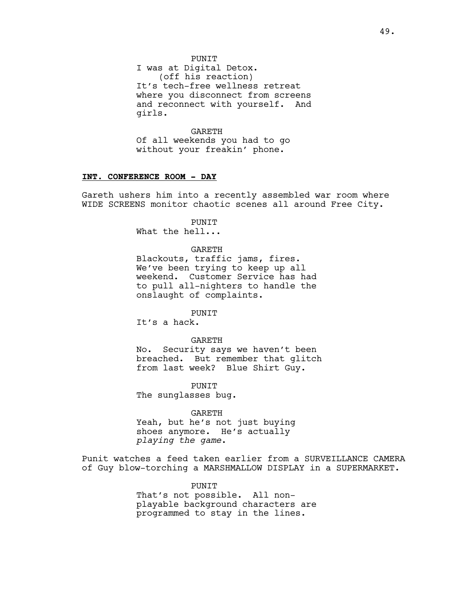I was at Digital Detox. (off his reaction) It's tech-free wellness retreat where you disconnect from screens and reconnect with yourself. And girls.

GARETH Of all weekends you had to go without your freakin' phone.

## **INT. CONFERENCE ROOM - DAY**

Gareth ushers him into a recently assembled war room where WIDE SCREENS monitor chaotic scenes all around Free City.

## PUNIT

What the hell...

## GARETH

Blackouts, traffic jams, fires. We've been trying to keep up all weekend. Customer Service has had to pull all-nighters to handle the onslaught of complaints.

### PUNIT

It's a hack.

### GARETH

No. Security says we haven't been breached. But remember that glitch from last week? Blue Shirt Guy.

PUNIT The sunglasses bug.

#### GARETH

Yeah, but he's not just buying shoes anymore. He's actually *playing the game*.

Punit watches a feed taken earlier from a SURVEILLANCE CAMERA of Guy blow-torching a MARSHMALLOW DISPLAY in a SUPERMARKET.

PUNIT

That's not possible. All nonplayable background characters are programmed to stay in the lines.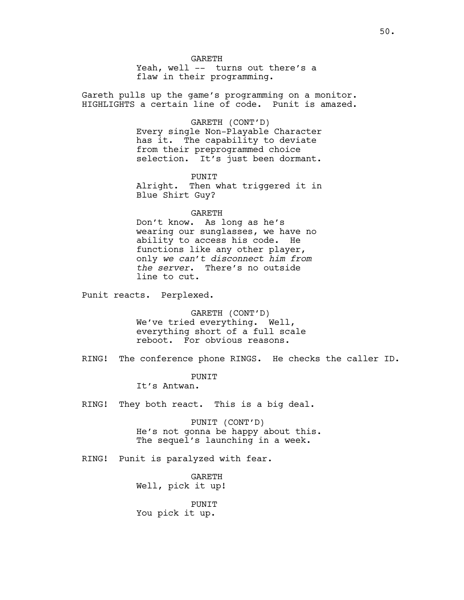**GARETH** 

Yeah, well -- turns out there's a flaw in their programming.

Gareth pulls up the game's programming on a monitor. HIGHLIGHTS a certain line of code. Punit is amazed.

#### GARETH (CONT'D)

Every single Non-Playable Character has it. The capability to deviate from their preprogrammed choice selection. It's just been dormant.

PUNIT

Alright. Then what triggered it in Blue Shirt Guy?

GARETH

Don't know. As long as he's wearing our sunglasses, we have no ability to access his code. He functions like any other player, only *we can't disconnect him from the server*. There's no outside line to cut.

Punit reacts. Perplexed.

GARETH (CONT'D) We've tried everything. Well, everything short of a full scale reboot. For obvious reasons.

RING! The conference phone RINGS. He checks the caller ID.

**PUNTT** 

It's Antwan.

RING! They both react. This is a big deal.

PUNIT (CONT'D) He's not gonna be happy about this. The sequel's launching in a week.

RING! Punit is paralyzed with fear.

GARETH Well, pick it up!

PUNIT You pick it up.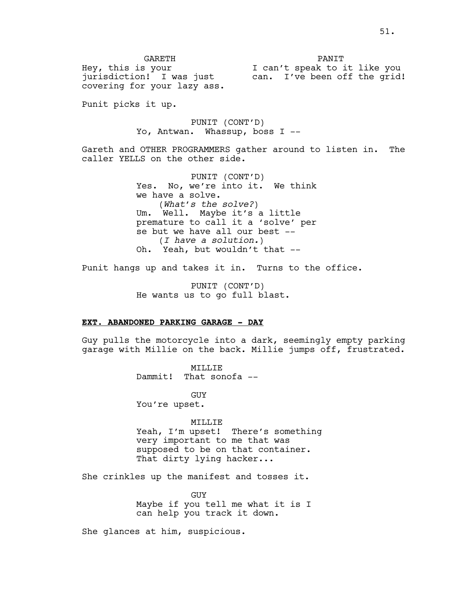GARETH Hey, this is your jurisdiction! I was just covering for your lazy ass. PANIT I can't speak to it like you can. I've been off the grid!

Punit picks it up.

PUNIT (CONT'D) Yo, Antwan. Whassup, boss I --

Gareth and OTHER PROGRAMMERS gather around to listen in. The caller YELLS on the other side.

> PUNIT (CONT'D) Yes. No, we're into it. We think we have a solve. (*What's the solve?*) Um. Well. Maybe it's a little premature to call it a 'solve' per se but we have all our best -- (*I have a solution.*) Oh. Yeah, but wouldn't that --

Punit hangs up and takes it in. Turns to the office.

PUNIT (CONT'D) He wants us to go full blast.

### **EXT. ABANDONED PARKING GARAGE - DAY**

Guy pulls the motorcycle into a dark, seemingly empty parking garage with Millie on the back. Millie jumps off, frustrated.

> MILLIE Dammit! That sonofa --

GUY You're upset.

MILLIE

Yeah, I'm upset! There's something very important to me that was supposed to be on that container. That dirty lying hacker...

She crinkles up the manifest and tosses it.

GUY Maybe if you tell me what it is I can help you track it down.

She glances at him, suspicious.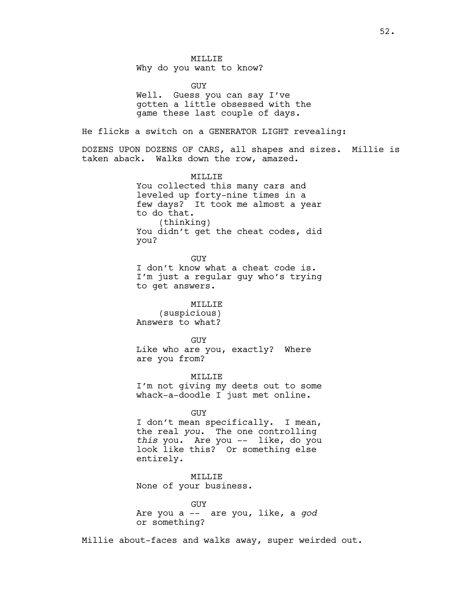MILLIE Why do you want to know?

GUY Well. Guess you can say I've gotten a little obsessed with the game these last couple of days. He flicks a switch on a GENERATOR LIGHT revealing: DOZENS UPON DOZENS OF CARS, all shapes and sizes. Millie is taken aback. Walks down the row, amazed. MILLIE You collected this many cars and leveled up forty-nine times in a few days? It took me almost a year to do that. (thinking) You didn't get the cheat codes, did you? GUY I don't know what a cheat code is. I'm just a regular guy who's trying to get answers. MILLIE (suspicious) Answers to what? GUY Like who are you, exactly? Where are you from? MILLIE I'm not giving my deets out to some whack-a-doodle I just met online. GUY I don't mean specifically. I mean, the real *you*. The one controlling *this* you. Are you -- like, do you look like this? Or something else entirely. MILLIE None of your business.

> GUY Are you a -- are you, like, a *god* or something?

Millie about-faces and walks away, super weirded out.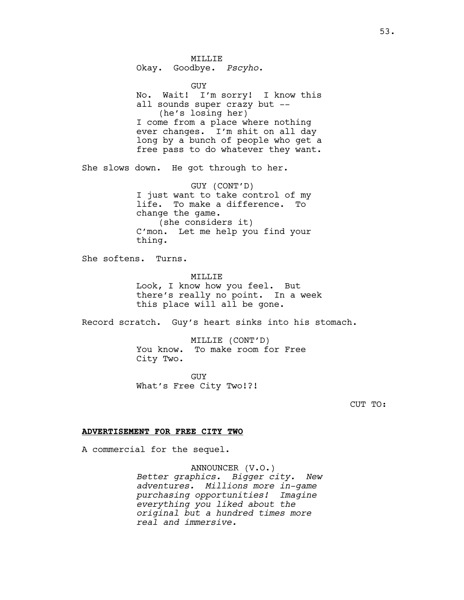MILLIE Okay. Goodbye. *Pscyho*. GUY No. Wait! I'm sorry! I know this all sounds super crazy but -- (he's losing her) I come from a place where nothing ever changes. I'm shit on all day long by a bunch of people who get a free pass to do whatever they want. She slows down. He got through to her. GUY (CONT'D) I just want to take control of my life. To make a difference. To change the game. (she considers it) C'mon. Let me help you find your thing. She softens. Turns. MTT.T.TE Look, I know how you feel. But there's really no point. In a week this place will all be gone. Record scratch. Guy's heart sinks into his stomach. MILLIE (CONT'D) You know. To make room for Free City Two. GUY What's Free City Two!?! CUT TO: **ADVERTISEMENT FOR FREE CITY TWO** A commercial for the sequel.

> ANNOUNCER (V.O.) *Better graphics. Bigger city. New adventures. Millions more in-game purchasing opportunities! Imagine everything you liked about the original but a hundred times more real and immersive.*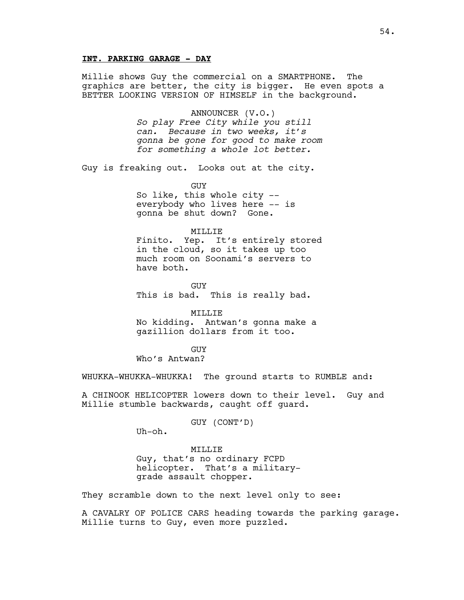## **INT. PARKING GARAGE - DAY**

Millie shows Guy the commercial on a SMARTPHONE. The graphics are better, the city is bigger. He even spots a BETTER LOOKING VERSION OF HIMSELF in the background.

ANNOUNCER (V.O.)

*So play Free City while you still can. Because in two weeks, it's gonna be gone for good to make room for something a whole lot better.*

Guy is freaking out. Looks out at the city.

GUY So like, this whole city - everybody who lives here -- is gonna be shut down? Gone.

## MILLIE

Finito. Yep. It's entirely stored in the cloud, so it takes up too much room on Soonami's servers to have both.

GUY This is bad. This is really bad.

MILLIE No kidding. Antwan's gonna make a gazillion dollars from it too.

GUY Who's Antwan?

WHUKKA-WHUKKA-WHUKKA! The ground starts to RUMBLE and:

A CHINOOK HELICOPTER lowers down to their level. Guy and Millie stumble backwards, caught off guard.

GUY (CONT'D)

Uh-oh.

## MILLIE

Guy, that's no ordinary FCPD helicopter. That's a militarygrade assault chopper.

They scramble down to the next level only to see:

A CAVALRY OF POLICE CARS heading towards the parking garage. Millie turns to Guy, even more puzzled.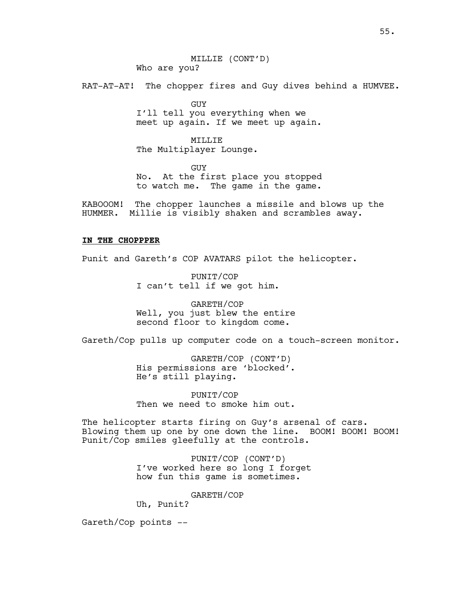MILLIE (CONT'D) Who are you?

RAT-AT-AT! The chopper fires and Guy dives behind a HUMVEE.

GUY I'll tell you everything when we meet up again. If we meet up again.

MILLIE The Multiplayer Lounge.

GUY No. At the first place you stopped to watch me. The game in the game.

KABOOOM! The chopper launches a missile and blows up the HUMMER. Millie is visibly shaken and scrambles away.

## **IN THE CHOPPPER**

Punit and Gareth's COP AVATARS pilot the helicopter.

PUNIT/COP I can't tell if we got him.

GARETH/COP Well, you just blew the entire second floor to kingdom come.

Gareth/Cop pulls up computer code on a touch-screen monitor.

GARETH/COP (CONT'D) His permissions are 'blocked'. He's still playing.

PUNIT/COP Then we need to smoke him out.

The helicopter starts firing on Guy's arsenal of cars. Blowing them up one by one down the line. BOOM! BOOM! BOOM! Punit/Cop smiles gleefully at the controls.

> PUNIT/COP (CONT'D) I've worked here so long I forget how fun this game is sometimes.

> > GARETH/COP

Uh, Punit?

Gareth/Cop points --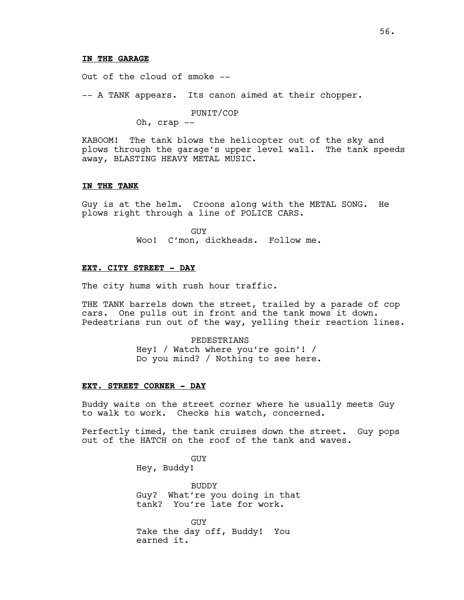## **IN THE GARAGE**

Out of the cloud of smoke --

-- A TANK appears. Its canon aimed at their chopper.

PUNIT/COP

Oh, crap --

KABOOM! The tank blows the helicopter out of the sky and plows through the garage's upper level wall. The tank speeds away, BLASTING HEAVY METAL MUSIC.

### **IN THE TANK**

Guy is at the helm. Croons along with the METAL SONG. He plows right through a line of POLICE CARS.

> GUY Woo! C'mon, dickheads. Follow me.

# **EXT. CITY STREET - DAY**

The city hums with rush hour traffic.

THE TANK barrels down the street, trailed by a parade of cop cars. One pulls out in front and the tank mows it down. Pedestrians run out of the way, yelling their reaction lines.

> PEDESTRIANS Hey! / Watch where you're goin'! / Do you mind? / Nothing to see here.

#### **EXT. STREET CORNER - DAY**

Buddy waits on the street corner where he usually meets Guy to walk to work. Checks his watch, concerned.

Perfectly timed, the tank cruises down the street. Guy pops out of the HATCH on the roof of the tank and waves.

> GUY Hey, Buddy!

BUDDY

Guy? What're you doing in that tank? You're late for work.

GUY Take the day off, Buddy! You earned it.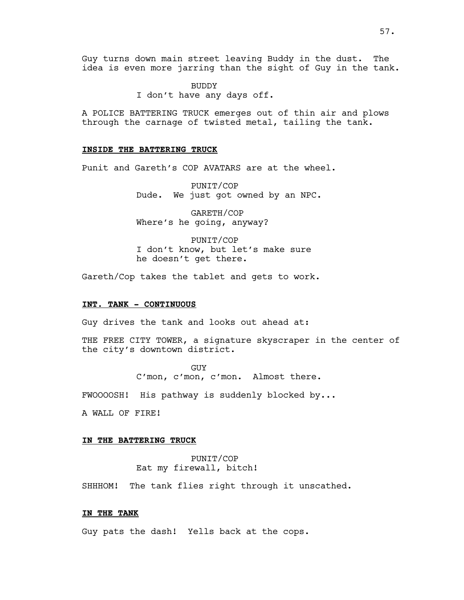Guy turns down main street leaving Buddy in the dust. The idea is even more jarring than the sight of Guy in the tank.

> BUDDY I don't have any days off.

A POLICE BATTERING TRUCK emerges out of thin air and plows through the carnage of twisted metal, tailing the tank.

## **INSIDE THE BATTERING TRUCK**

Punit and Gareth's COP AVATARS are at the wheel.

PUNIT/COP Dude. We just got owned by an NPC.

GARETH/COP Where's he going, anyway?

PUNIT/COP I don't know, but let's make sure he doesn't get there.

Gareth/Cop takes the tablet and gets to work.

## **INT. TANK - CONTINUOUS**

Guy drives the tank and looks out ahead at:

THE FREE CITY TOWER, a signature skyscraper in the center of the city's downtown district.

> GUY C'mon, c'mon, c'mon. Almost there.

FWOOOOSH! His pathway is suddenly blocked by...

A WALL OF FIRE!

#### **IN THE BATTERING TRUCK**

PUNIT/COP Eat my firewall, bitch!

SHHHOM! The tank flies right through it unscathed.

## **IN THE TANK**

Guy pats the dash! Yells back at the cops.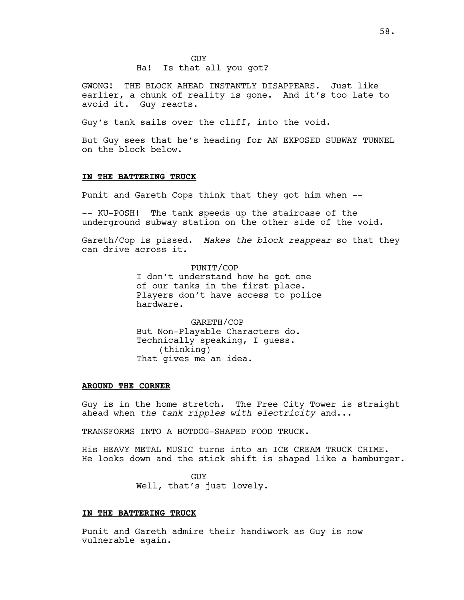## Ha! Is that all you got?

GWONG! THE BLOCK AHEAD INSTANTLY DISAPPEARS. Just like earlier, a chunk of reality is gone. And it's too late to avoid it. Guy reacts.

Guy's tank sails over the cliff, into the void.

But Guy sees that he's heading for AN EXPOSED SUBWAY TUNNEL on the block below.

## **IN THE BATTERING TRUCK**

Punit and Gareth Cops think that they got him when --

-- KU-POSH! The tank speeds up the staircase of the underground subway station on the other side of the void.

Gareth/Cop is pissed. *Makes the block reappear* so that they can drive across it.

> PUNIT/COP I don't understand how he got one of our tanks in the first place. Players don't have access to police hardware.

GARETH/COP But Non-Playable Characters do. Technically speaking, I guess. (thinking) That gives me an idea.

#### **AROUND THE CORNER**

Guy is in the home stretch. The Free City Tower is straight ahead when *the tank ripples with electricity* and...

TRANSFORMS INTO A HOTDOG-SHAPED FOOD TRUCK.

His HEAVY METAL MUSIC turns into an ICE CREAM TRUCK CHIME. He looks down and the stick shift is shaped like a hamburger.

> GUY Well, that's just lovely.

## **IN THE BATTERING TRUCK**

Punit and Gareth admire their handiwork as Guy is now vulnerable again.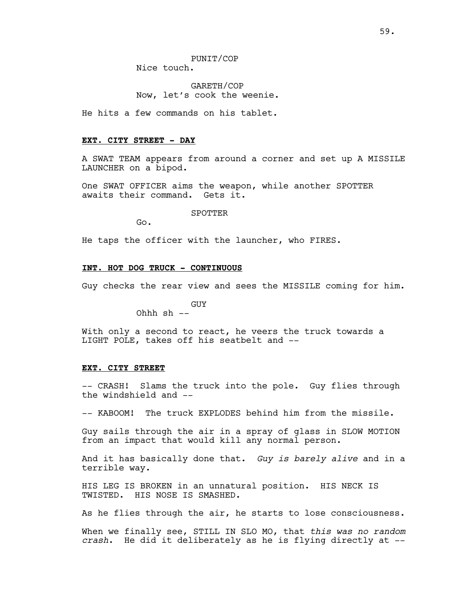Nice touch.

GARETH/COP Now, let's cook the weenie.

He hits a few commands on his tablet.

## **EXT. CITY STREET - DAY**

Go.

A SWAT TEAM appears from around a corner and set up A MISSILE LAUNCHER on a bipod.

One SWAT OFFICER aims the weapon, while another SPOTTER awaits their command. Gets it.

SPOTTER

He taps the officer with the launcher, who FIRES.

## **INT. HOT DOG TRUCK - CONTINUOUS**

Guy checks the rear view and sees the MISSILE coming for him.

GUY

Ohhh sh --

With only a second to react, he veers the truck towards a LIGHT POLE, takes off his seatbelt and --

### **EXT. CITY STREET**

-- CRASH! Slams the truck into the pole. Guy flies through the windshield and --

-- KABOOM! The truck EXPLODES behind him from the missile.

Guy sails through the air in a spray of glass in SLOW MOTION from an impact that would kill any normal person.

And it has basically done that. *Guy is barely alive* and in a terrible way.

HIS LEG IS BROKEN in an unnatural position. HIS NECK IS TWISTED. HIS NOSE IS SMASHED.

As he flies through the air, he starts to lose consciousness.

When we finally see, STILL IN SLO MO, that *this was no random crash*. He did it deliberately as he is flying directly at --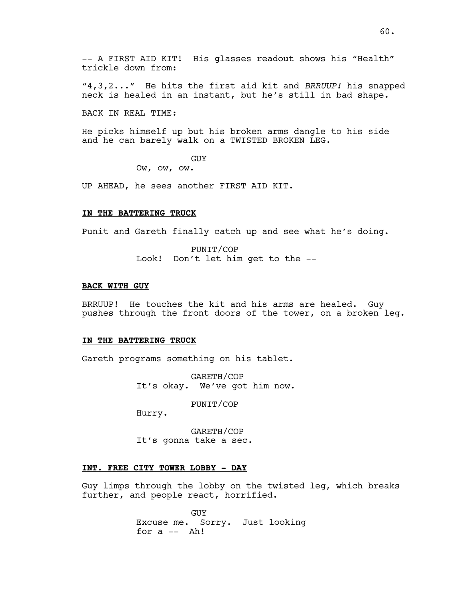"4,3,2..." He hits the first aid kit and *BRRUUP!* his snapped neck is healed in an instant, but he's still in bad shape.

BACK IN REAL TIME:

He picks himself up but his broken arms dangle to his side and he can barely walk on a TWISTED BROKEN LEG.

GUY

Ow, ow, ow.

UP AHEAD, he sees another FIRST AID KIT.

## **IN THE BATTERING TRUCK**

Punit and Gareth finally catch up and see what he's doing.

PUNIT/COP Look! Don't let him get to the --

#### **BACK WITH GUY**

BRRUUP! He touches the kit and his arms are healed. Guy pushes through the front doors of the tower, on a broken leg.

### **IN THE BATTERING TRUCK**

Gareth programs something on his tablet.

GARETH/COP It's okay. We've got him now.

PUNIT/COP

Hurry.

GARETH/COP It's gonna take a sec.

## **INT. FREE CITY TOWER LOBBY - DAY**

Guy limps through the lobby on the twisted leg, which breaks further, and people react, horrified.

> GUY Excuse me. Sorry. Just looking for  $a$   $--$  Ah!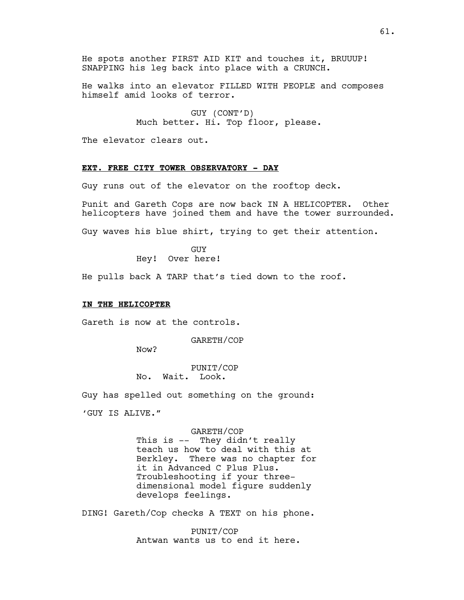He spots another FIRST AID KIT and touches it, BRUUUP! SNAPPING his leg back into place with a CRUNCH.

He walks into an elevator FILLED WITH PEOPLE and composes himself amid looks of terror.

> GUY (CONT'D) Much better. Hi. Top floor, please.

The elevator clears out.

# **EXT. FREE CITY TOWER OBSERVATORY - DAY**

Guy runs out of the elevator on the rooftop deck.

Punit and Gareth Cops are now back IN A HELICOPTER. Other helicopters have joined them and have the tower surrounded.

Guy waves his blue shirt, trying to get their attention.

GUY Hey! Over here!

He pulls back A TARP that's tied down to the roof.

## **IN THE HELICOPTER**

Gareth is now at the controls.

GARETH/COP

Now?

PUNIT/COP No. Wait. Look.

Guy has spelled out something on the ground:

'GUY IS ALIVE."

#### GARETH/COP

This is -- They didn't really teach us how to deal with this at Berkley. There was no chapter for it in Advanced C Plus Plus. Troubleshooting if your threedimensional model figure suddenly develops feelings.

DING! Gareth/Cop checks A TEXT on his phone.

PUNIT/COP Antwan wants us to end it here.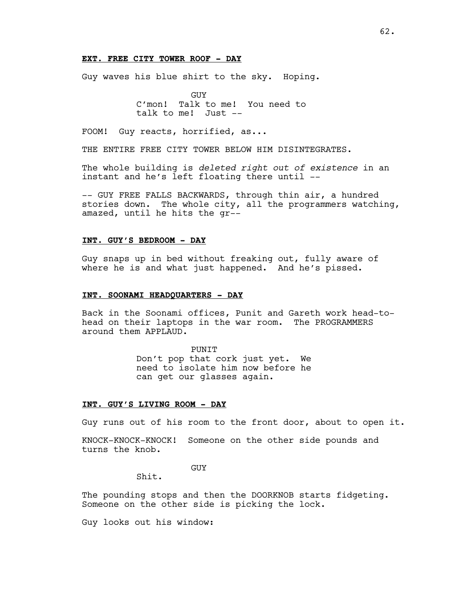## **EXT. FREE CITY TOWER ROOF - DAY**

Guy waves his blue shirt to the sky. Hoping.

GUY C'mon! Talk to me! You need to talk to me! Just --

FOOM! Guy reacts, horrified, as...

THE ENTIRE FREE CITY TOWER BELOW HIM DISINTEGRATES.

The whole building is *deleted right out of existence* in an instant and he's left floating there until --

-- GUY FREE FALLS BACKWARDS, through thin air, a hundred stories down. The whole city, all the programmers watching, amazed, until he hits the gr--

## **INT. GUY'S BEDROOM - DAY**

Guy snaps up in bed without freaking out, fully aware of where he is and what just happened. And he's pissed.

## **INT. SOONAMI HEADQUARTERS - DAY**

Back in the Soonami offices, Punit and Gareth work head-tohead on their laptops in the war room. The PROGRAMMERS around them APPLAUD.

> PUNIT Don't pop that cork just yet. We need to isolate him now before he can get our glasses again.

## **INT. GUY'S LIVING ROOM - DAY**

Guy runs out of his room to the front door, about to open it.

KNOCK-KNOCK-KNOCK! Someone on the other side pounds and turns the knob.

GUY

Shit.

The pounding stops and then the DOORKNOB starts fidgeting. Someone on the other side is picking the lock.

Guy looks out his window: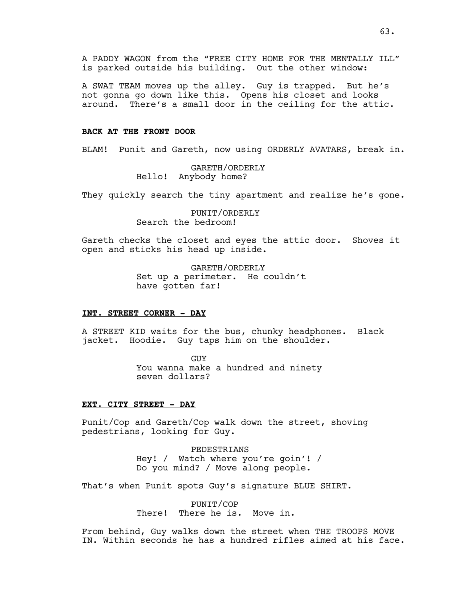A SWAT TEAM moves up the alley. Guy is trapped. But he's not gonna go down like this. Opens his closet and looks around. There's a small door in the ceiling for the attic.

## **BACK AT THE FRONT DOOR**

BLAM! Punit and Gareth, now using ORDERLY AVATARS, break in.

GARETH/ORDERLY Hello! Anybody home?

They quickly search the tiny apartment and realize he's gone.

PUNIT/ORDERLY Search the bedroom!

Gareth checks the closet and eyes the attic door. Shoves it open and sticks his head up inside.

> GARETH/ORDERLY Set up a perimeter. He couldn't have gotten far!

### **INT. STREET CORNER - DAY**

A STREET KID waits for the bus, chunky headphones. Black jacket. Hoodie. Guy taps him on the shoulder.

> GUY You wanna make a hundred and ninety seven dollars?

## **EXT. CITY STREET - DAY**

Punit/Cop and Gareth/Cop walk down the street, shoving pedestrians, looking for Guy.

> PEDESTRIANS Hey! / Watch where you're goin'! / Do you mind? / Move along people.

That's when Punit spots Guy's signature BLUE SHIRT.

PUNIT/COP There! There he is. Move in.

From behind, Guy walks down the street when THE TROOPS MOVE IN. Within seconds he has a hundred rifles aimed at his face.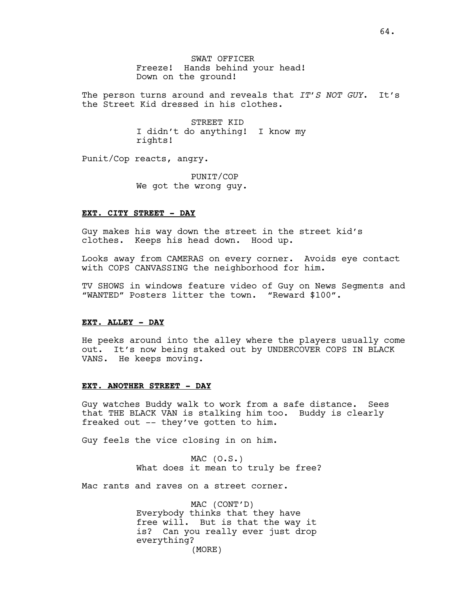SWAT OFFICER Freeze! Hands behind your head! Down on the ground!

The person turns around and reveals that *IT'S NOT GUY*. It's the Street Kid dressed in his clothes.

> STREET KID I didn't do anything! I know my rights!

Punit/Cop reacts, angry.

PUNIT/COP We got the wrong guy.

### **EXT. CITY STREET - DAY**

Guy makes his way down the street in the street kid's clothes. Keeps his head down. Hood up.

Looks away from CAMERAS on every corner. Avoids eye contact with COPS CANVASSING the neighborhood for him.

TV SHOWS in windows feature video of Guy on News Segments and "WANTED" Posters litter the town. "Reward \$100".

### **EXT. ALLEY - DAY**

He peeks around into the alley where the players usually come out. It's now being staked out by UNDERCOVER COPS IN BLACK VANS. He keeps moving.

#### **EXT. ANOTHER STREET - DAY**

Guy watches Buddy walk to work from a safe distance. Sees that THE BLACK VAN is stalking him too. Buddy is clearly freaked out -- they've gotten to him.

Guy feels the vice closing in on him.

 $MAC (0.S.)$ What does it mean to truly be free?

Mac rants and raves on a street corner.

MAC (CONT'D) Everybody thinks that they have free will. But is that the way it is? Can you really ever just drop everything? (MORE)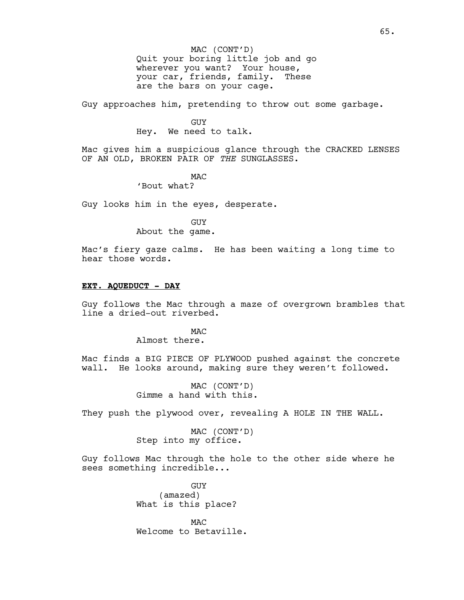Quit your boring little job and go wherever you want? Your house, your car, friends, family. These are the bars on your cage. MAC (CONT'D)

Guy approaches him, pretending to throw out some garbage.

#### GUY

Hey. We need to talk.

Mac gives him a suspicious glance through the CRACKED LENSES OF AN OLD, BROKEN PAIR OF *THE* SUNGLASSES.

> MAC 'Bout what?

Guy looks him in the eyes, desperate.

GUY

About the game.

Mac's fiery gaze calms. He has been waiting a long time to hear those words.

#### **EXT. AQUEDUCT - DAY**

Guy follows the Mac through a maze of overgrown brambles that line a dried-out riverbed.

> M<sub>AC</sub> Almost there.

Mac finds a BIG PIECE OF PLYWOOD pushed against the concrete wall. He looks around, making sure they weren't followed.

> MAC (CONT'D) Gimme a hand with this.

They push the plywood over, revealing A HOLE IN THE WALL.

MAC (CONT'D) Step into my office.

Guy follows Mac through the hole to the other side where he sees something incredible...

> GUY (amazed) What is this place?

MAC Welcome to Betaville.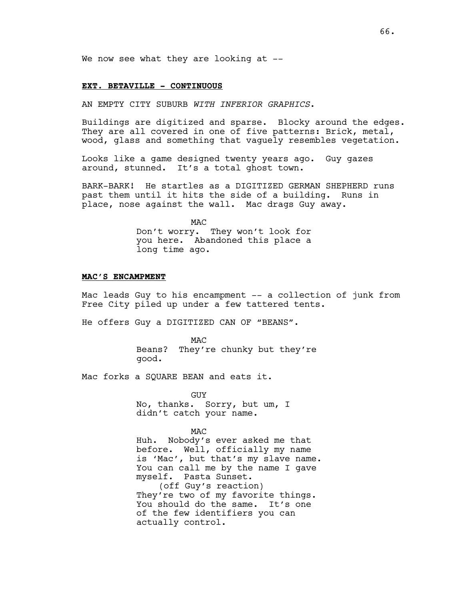We now see what they are looking at --

#### **EXT. BETAVILLE - CONTINUOUS**

AN EMPTY CITY SUBURB *WITH INFERIOR GRAPHICS*.

Buildings are digitized and sparse. Blocky around the edges. They are all covered in one of five patterns: Brick, metal, wood, glass and something that vaguely resembles vegetation.

Looks like a game designed twenty years ago. Guy gazes around, stunned. It's a total ghost town.

BARK-BARK! He startles as a DIGITIZED GERMAN SHEPHERD runs past them until it hits the side of a building. Runs in place, nose against the wall. Mac drags Guy away.

MAC

Don't worry. They won't look for you here. Abandoned this place a long time ago.

## **MAC'S ENCAMPMENT**

Mac leads Guy to his encampment -- a collection of junk from Free City piled up under a few tattered tents.

He offers Guy a DIGITIZED CAN OF "BEANS".

MAC Beans? They're chunky but they're good.

Mac forks a SQUARE BEAN and eats it.

GUY No, thanks. Sorry, but um, I didn't catch your name.

MAC

Huh. Nobody's ever asked me that before. Well, officially my name is 'Mac', but that's my slave name. You can call me by the name I gave myself. Pasta Sunset. (off Guy's reaction) They're two of my favorite things. You should do the same. It's one of the few identifiers you can actually control.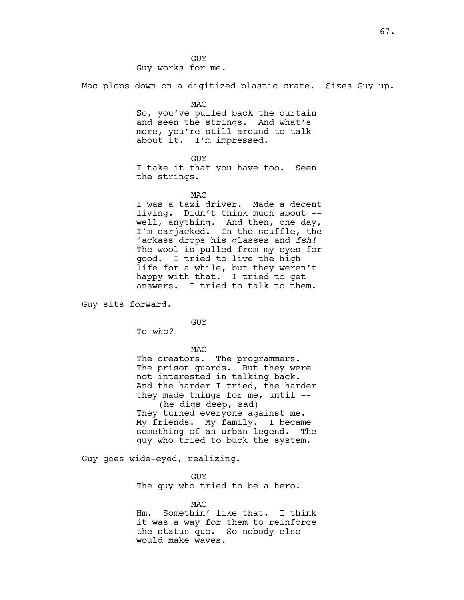GUY Guy works for me.

Mac plops down on a digitized plastic crate. Sizes Guy up.

MAC So, you've pulled back the curtain and seen the strings. And what's more, you're still around to talk about it. I'm impressed.

GUY I take it that you have too. Seen the strings.

**MAC** 

I was a taxi driver. Made a decent living. Didn't think much about - well, anything. And then, one day, I'm carjacked. In the scuffle, the jackass drops his glasses and *fsh!* The wool is pulled from my eyes for good. I tried to live the high life for a while, but they weren't happy with that. I tried to get answers. I tried to talk to them.

Guy sits forward.

GUY

To *who?*

MAC

The creators. The programmers. The prison guards. But they were not interested in talking back. And the harder I tried, the harder they made things for me, until  $-$ (he digs deep, sad) They turned everyone against me. My friends. My family. I became something of an urban legend. The guy who tried to buck the system.

Guy goes wide-eyed, realizing.

GUY The guy who tried to be a hero!

MAC Hm. Somethin' like that. I think it was a way for them to reinforce the status quo. So nobody else would make waves.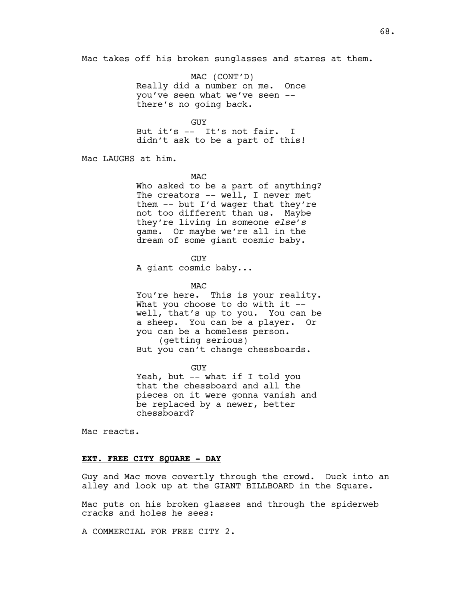Mac takes off his broken sunglasses and stares at them.

MAC (CONT'D) Really did a number on me. Once you've seen what we've seen - there's no going back.

GUY But it's -- It's not fair. I didn't ask to be a part of this!

Mac LAUGHS at him.

MAC

Who asked to be a part of anything? The creators -- well, I never met them -- but I'd wager that they're not too different than us. Maybe they're living in someone *else's* game. Or maybe we're all in the dream of some giant cosmic baby.

GUY

A giant cosmic baby...

MAC

You're here. This is your reality. What you choose to do with it -well, that's up to you. You can be a sheep. You can be a player. Or you can be a homeless person. (getting serious) But you can't change chessboards.

GUY Yeah, but -- what if I told you that the chessboard and all the pieces on it were gonna vanish and be replaced by a newer, better chessboard?

Mac reacts.

## **EXT. FREE CITY SQUARE - DAY**

Guy and Mac move covertly through the crowd. Duck into an alley and look up at the GIANT BILLBOARD in the Square.

Mac puts on his broken glasses and through the spiderweb cracks and holes he sees:

A COMMERCIAL FOR FREE CITY 2.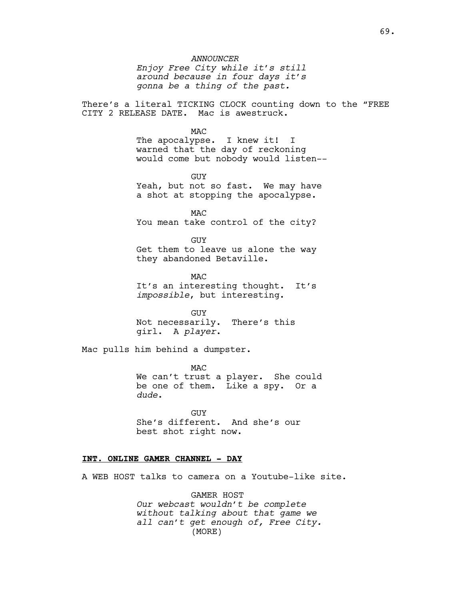*Enjoy Free City while it's still around because in four days it's gonna be a thing of the past.*

There's a literal TICKING CLOCK counting down to the "FREE CITY 2 RELEASE DATE. Mac is awestruck.

MAC

The apocalypse. I knew it! I warned that the day of reckoning would come but nobody would listen--

GUY Yeah, but not so fast. We may have a shot at stopping the apocalypse.

MAC You mean take control of the city?

GUY Get them to leave us alone the way they abandoned Betaville.

**MAC** It's an interesting thought. It's *impossible*, but interesting.

**GUY** Not necessarily. There's this girl. A *player*.

Mac pulls him behind a dumpster.

MAC We can't trust a player. She could be one of them. Like a spy. Or a *dude*.

GUY She's different. And she's our best shot right now.

## **INT. ONLINE GAMER CHANNEL - DAY**

A WEB HOST talks to camera on a Youtube-like site.

GAMER HOST *Our webcast wouldn't be complete without talking about that game we all can't get enough of, Free City.*  (MORE)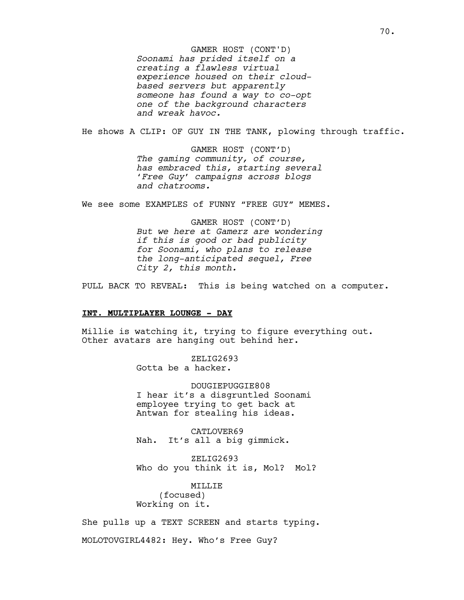*Soonami has prided itself on a creating a flawless virtual experience housed on their cloudbased servers but apparently someone has found a way to co-opt one of the background characters and wreak havoc.* GAMER HOST (CONT'D)

He shows A CLIP: OF GUY IN THE TANK, plowing through traffic.

GAMER HOST (CONT'D) *The gaming community, of course, has embraced this, starting several 'Free Guy' campaigns across blogs and chatrooms.*

We see some EXAMPLES of FUNNY "FREE GUY" MEMES.

GAMER HOST (CONT'D) *But we here at Gamerz are wondering if this is good or bad publicity for Soonami, who plans to release the long-anticipated sequel, Free City 2, this month.*

PULL BACK TO REVEAL: This is being watched on a computer.

#### **INT. MULTIPLAYER LOUNGE - DAY**

Millie is watching it, trying to figure everything out. Other avatars are hanging out behind her.

> ZELIG2693 Gotta be a hacker.

DOUGIEPUGGIE808 I hear it's a disgruntled Soonami employee trying to get back at Antwan for stealing his ideas.

CATLOVER69 Nah. It's all a big gimmick.

ZELIG2693 Who do you think it is, Mol? Mol?

MILLIE (focused) Working on it.

She pulls up a TEXT SCREEN and starts typing.

MOLOTOVGIRL4482: Hey. Who's Free Guy?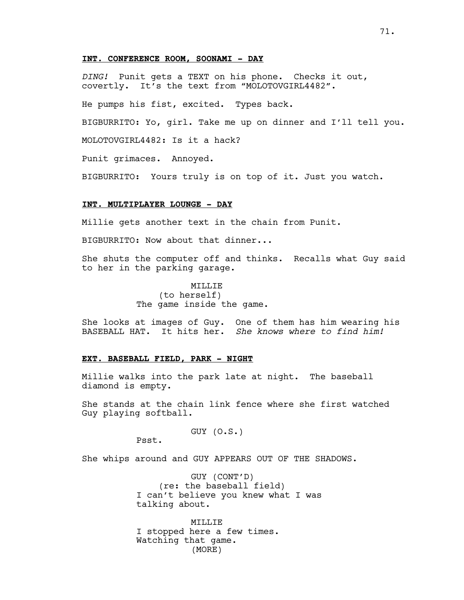## **INT. CONFERENCE ROOM, SOONAMI - DAY**

*DING!* Punit gets a TEXT on his phone. Checks it out, covertly. It's the text from "MOLOTOVGIRL4482".

He pumps his fist, excited. Types back.

BIGBURRITO: Yo, girl. Take me up on dinner and I'll tell you.

MOLOTOVGIRL4482: Is it a hack?

Punit grimaces. Annoyed.

BIGBURRITO: Yours truly is on top of it. Just you watch.

## **INT. MULTIPLAYER LOUNGE - DAY**

Millie gets another text in the chain from Punit.

BIGBURRITO: Now about that dinner...

She shuts the computer off and thinks. Recalls what Guy said to her in the parking garage.

> MTT.T.TE (to herself) The game inside the game.

She looks at images of Guy. One of them has him wearing his BASEBALL HAT. It hits her. *She knows where to find him!*

### **EXT. BASEBALL FIELD, PARK - NIGHT**

Millie walks into the park late at night. The baseball diamond is empty.

She stands at the chain link fence where she first watched Guy playing softball.

# GUY (O.S.)

Psst.

She whips around and GUY APPEARS OUT OF THE SHADOWS.

GUY (CONT'D) (re: the baseball field) I can't believe you knew what I was talking about.

MILLIE I stopped here a few times. Watching that game. (MORE)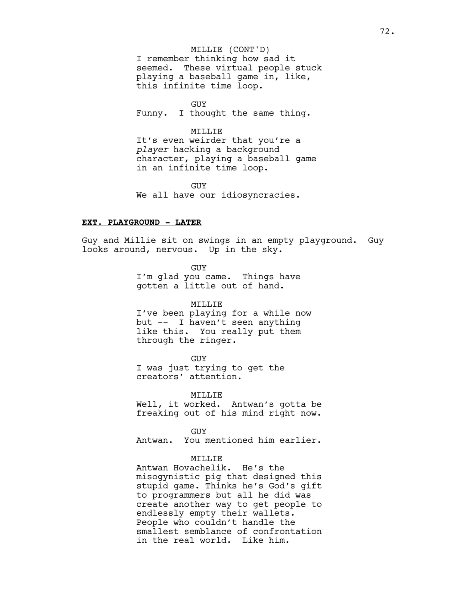# I remember thinking how sad it seemed. These virtual people stuck playing a baseball game in, like, this infinite time loop. MILLIE (CONT'D)

GUY

Funny. I thought the same thing.

# MILLIE

It's even weirder that you're a *player* hacking a background character, playing a baseball game in an infinite time loop.

GUY We all have our idiosyncracies.

#### **EXT. PLAYGROUND - LATER**

Guy and Millie sit on swings in an empty playground. Guy looks around, nervous. Up in the sky.

> GUY I'm glad you came. Things have gotten a little out of hand.

# MILLIE

I've been playing for a while now but -- I haven't seen anything like this. You really put them through the ringer.

**GUY** 

I was just trying to get the creators' attention.

MILLIE

Well, it worked. Antwan's gotta be freaking out of his mind right now.

GUY

Antwan. You mentioned him earlier.

## MTT.T.T.F.

Antwan Hovachelik. He's the misogynistic pig that designed this stupid game. Thinks he's God's gift to programmers but all he did was create another way to get people to endlessly empty their wallets. People who couldn't handle the smallest semblance of confrontation in the real world. Like him.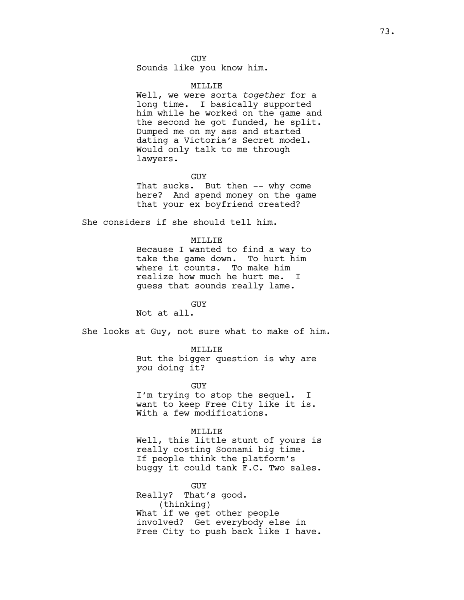GUY Sounds like you know him.

#### MILLIE

Well, we were sorta *together* for a long time. I basically supported him while he worked on the game and the second he got funded, he split. Dumped me on my ass and started dating a Victoria's Secret model. Would only talk to me through lawyers.

#### GUY

That sucks. But then -- why come here? And spend money on the game that your ex boyfriend created?

She considers if she should tell him.

# MILLIE

Because I wanted to find a way to take the game down. To hurt him where it counts. To make him realize how much he hurt me. I guess that sounds really lame.

GUY

Not at all.

She looks at Guy, not sure what to make of him.

MILLIE

But the bigger question is why are *you* doing it?

GUY

I'm trying to stop the sequel. I want to keep Free City like it is. With a few modifications.

#### MILLIE

Well, this little stunt of yours is really costing Soonami big time. If people think the platform's buggy it could tank F.C. Two sales.

GUY Really? That's good. (thinking) What if we get other people involved? Get everybody else in Free City to push back like I have.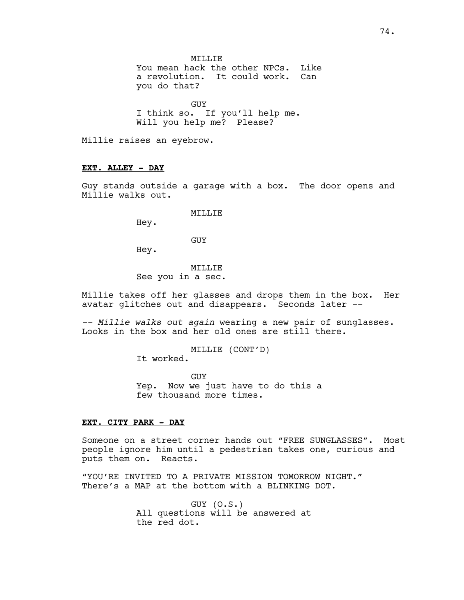MTT.T.T.F.

You mean hack the other NPCs. Like a revolution. It could work. Can you do that?

GUY I think so. If you'll help me. Will you help me? Please?

Millie raises an eyebrow.

# **EXT. ALLEY - DAY**

Guy stands outside a garage with a box. The door opens and Millie walks out.

MILLIE

Hey.

GUY

Hey.

# MILLIE

See you in a sec.

Millie takes off her glasses and drops them in the box. Her avatar glitches out and disappears. Seconds later --

*-- Millie walks out again* wearing a new pair of sunglasses. Looks in the box and her old ones are still there.

MILLIE (CONT'D)

It worked.

GUY Yep. Now we just have to do this a few thousand more times.

## **EXT. CITY PARK - DAY**

Someone on a street corner hands out "FREE SUNGLASSES". Most people ignore him until a pedestrian takes one, curious and puts them on. Reacts.

"YOU'RE INVITED TO A PRIVATE MISSION TOMORROW NIGHT." There's a MAP at the bottom with a BLINKING DOT.

> GUY (O.S.) All questions will be answered at the red dot.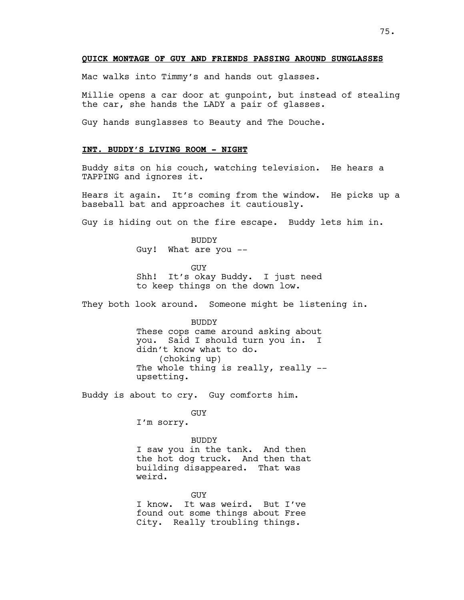## **QUICK MONTAGE OF GUY AND FRIENDS PASSING AROUND SUNGLASSES**

Mac walks into Timmy's and hands out glasses.

Millie opens a car door at gunpoint, but instead of stealing the car, she hands the LADY a pair of glasses.

Guy hands sunglasses to Beauty and The Douche.

# **INT. BUDDY'S LIVING ROOM - NIGHT**

Buddy sits on his couch, watching television. He hears a TAPPING and ignores it.

Hears it again. It's coming from the window. He picks up a baseball bat and approaches it cautiously.

Guy is hiding out on the fire escape. Buddy lets him in.

BUDDY Guy! What are you --

GUY Shh! It's okay Buddy. I just need to keep things on the down low.

They both look around. Someone might be listening in.

BUDDY These cops came around asking about you. Said I should turn you in. I didn't know what to do. (choking up) The whole thing is really, really  $-$ upsetting.

Buddy is about to cry. Guy comforts him.

GUY

I'm sorry.

BUDDY I saw you in the tank. And then the hot dog truck. And then that building disappeared. That was weird.

**GUY** I know. It was weird. But I've found out some things about Free City. Really troubling things.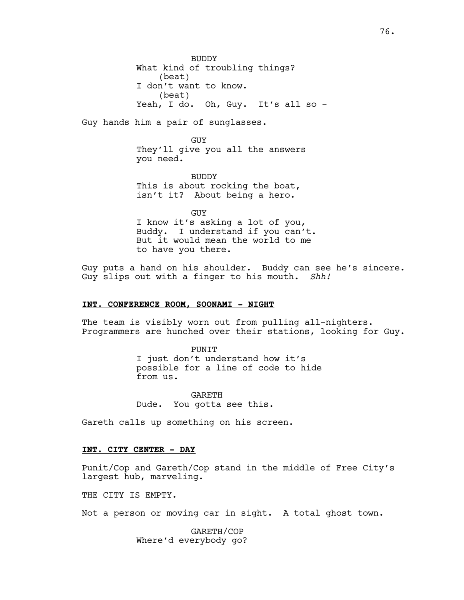**BUDDY** What kind of troubling things? (beat) I don't want to know. (beat) Yeah, I do. Oh, Guy. It's all so -

Guy hands him a pair of sunglasses.

**GUY** They'll give you all the answers you need.

BUDDY This is about rocking the boat, isn't it? About being a hero.

GUY I know it's asking a lot of you, Buddy. I understand if you can't. But it would mean the world to me to have you there.

Guy puts a hand on his shoulder. Buddy can see he's sincere. Guy slips out with a finger to his mouth. *Shh!*

## **INT. CONFERENCE ROOM, SOONAMI - NIGHT**

The team is visibly worn out from pulling all-nighters. Programmers are hunched over their stations, looking for Guy.

> PUNIT I just don't understand how it's possible for a line of code to hide from us.

GARETH Dude. You gotta see this.

Gareth calls up something on his screen.

# **INT. CITY CENTER - DAY**

Punit/Cop and Gareth/Cop stand in the middle of Free City's largest hub, marveling.

THE CITY IS EMPTY.

Not a person or moving car in sight. A total ghost town.

GARETH/COP Where'd everybody go?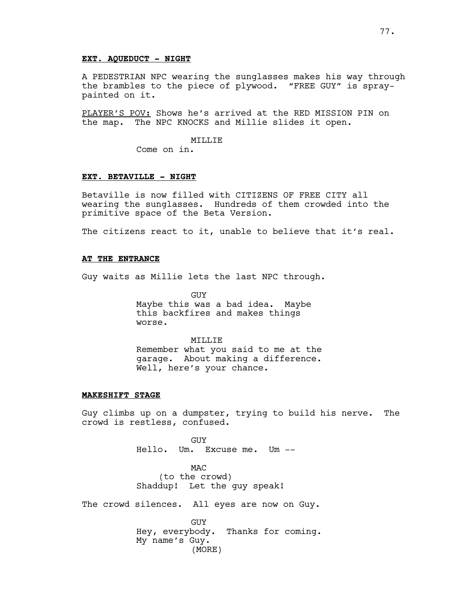## **EXT. AQUEDUCT - NIGHT**

A PEDESTRIAN NPC wearing the sunglasses makes his way through the brambles to the piece of plywood. "FREE GUY" is spraypainted on it.

PLAYER'S POV: Shows he's arrived at the RED MISSION PIN on the map. The NPC KNOCKS and Millie slides it open.

## MILLIE

Come on in.

## **EXT. BETAVILLE - NIGHT**

Betaville is now filled with CITIZENS OF FREE CITY all wearing the sunglasses. Hundreds of them crowded into the primitive space of the Beta Version.

The citizens react to it, unable to believe that it's real.

## **AT THE ENTRANCE**

Guy waits as Millie lets the last NPC through.

GUY Maybe this was a bad idea. Maybe this backfires and makes things worse.

# MILLIE Remember what you said to me at the garage. About making a difference. Well, here's your chance.

#### **MAKESHIFT STAGE**

Guy climbs up on a dumpster, trying to build his nerve. The crowd is restless, confused.

> GUY Hello. Um. Excuse me. Um --

MAC (to the crowd) Shaddup! Let the guy speak!

The crowd silences. All eyes are now on Guy.

GUY Hey, everybody. Thanks for coming. My name's Guy. (MORE)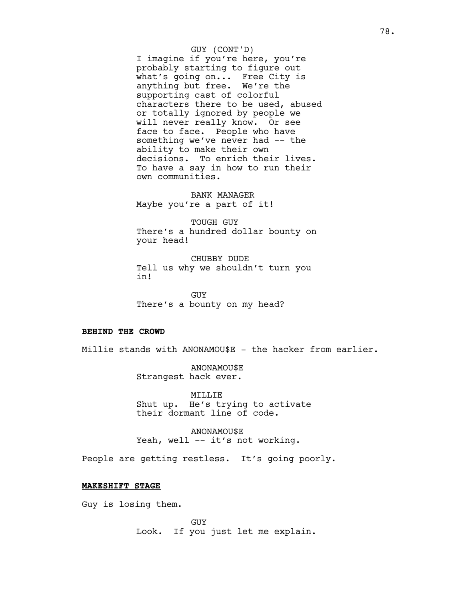#### GUY (CONT'D)

I imagine if you're here, you're probably starting to figure out what's going on... Free City is anything but free. We're the supporting cast of colorful characters there to be used, abused or totally ignored by people we will never really know. Or see face to face. People who have something we've never had -- the ability to make their own decisions. To enrich their lives. To have a say in how to run their own communities.

BANK MANAGER Maybe you're a part of it!

TOUGH GUY There's a hundred dollar bounty on your head!

CHUBBY DUDE Tell us why we shouldn't turn you in!

GUY There's a bounty on my head?

## **BEHIND THE CROWD**

Millie stands with ANONAMOU\$E - the hacker from earlier.

ANONAMOU\$E Strangest hack ever.

MILLIE Shut up. He's trying to activate their dormant line of code.

ANONAMOU\$E Yeah, well -- it's not working.

People are getting restless. It's going poorly.

#### **MAKESHIFT STAGE**

Guy is losing them.

GUY Look. If you just let me explain.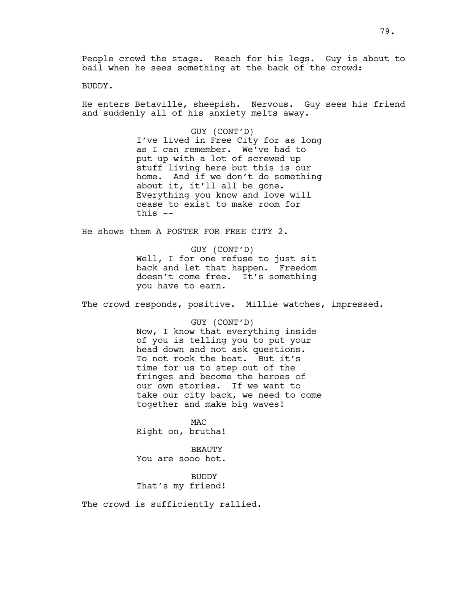People crowd the stage. Reach for his legs. Guy is about to bail when he sees something at the back of the crowd:

BUDDY.

He enters Betaville, sheepish. Nervous. Guy sees his friend and suddenly all of his anxiety melts away.

> GUY (CONT'D) I've lived in Free City for as long as I can remember. We've had to put up with a lot of screwed up stuff living here but this is our home. And if we don't do something about it, it'll all be gone. Everything you know and love will cease to exist to make room for this --

He shows them A POSTER FOR FREE CITY 2.

GUY (CONT'D) Well, I for one refuse to just sit back and let that happen. Freedom doesn't come free. It's something you have to earn.

The crowd responds, positive. Millie watches, impressed.

GUY (CONT'D) Now, I know that everything inside of you is telling you to put your head down and not ask questions. To not rock the boat. But it's time for us to step out of the fringes and become the heroes of our own stories. If we want to take our city back, we need to come together and make big waves!

MAC Right on, brutha!

BEAUTY You are sooo hot.

BUDDY That's my friend!

The crowd is sufficiently rallied.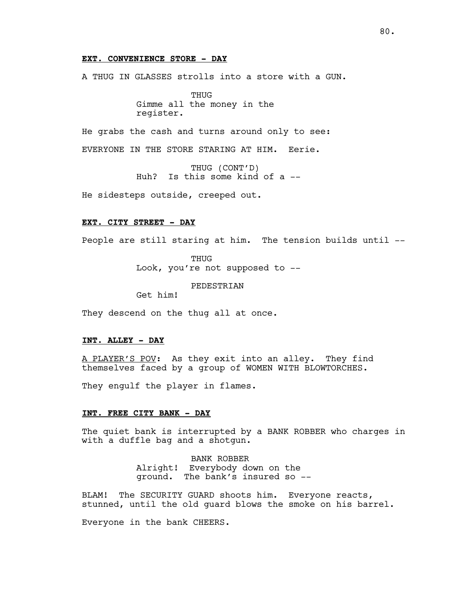## **EXT. CONVENIENCE STORE - DAY**

A THUG IN GLASSES strolls into a store with a GUN.

**THUG** Gimme all the money in the register.

He grabs the cash and turns around only to see:

EVERYONE IN THE STORE STARING AT HIM. Eerie.

THUG (CONT'D) Huh? Is this some kind of a --

He sidesteps outside, creeped out.

#### **EXT. CITY STREET - DAY**

People are still staring at him. The tension builds until --

**THUG** Look, you're not supposed to --

PEDESTRIAN

Get him!

They descend on the thug all at once.

## **INT. ALLEY - DAY**

A PLAYER'S POV: As they exit into an alley. They find themselves faced by a group of WOMEN WITH BLOWTORCHES.

They engulf the player in flames.

#### **INT. FREE CITY BANK - DAY**

The quiet bank is interrupted by a BANK ROBBER who charges in with a duffle bag and a shotgun.

> BANK ROBBER Alright! Everybody down on the ground. The bank's insured so --

BLAM! The SECURITY GUARD shoots him. Everyone reacts, stunned, until the old guard blows the smoke on his barrel.

Everyone in the bank CHEERS.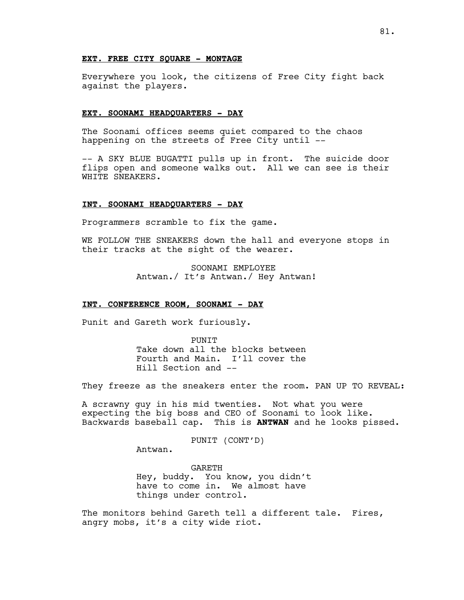## **EXT. FREE CITY SQUARE - MONTAGE**

Everywhere you look, the citizens of Free City fight back against the players.

#### **EXT. SOONAMI HEADQUARTERS - DAY**

The Soonami offices seems quiet compared to the chaos happening on the streets of Free City until --

-- A SKY BLUE BUGATTI pulls up in front. The suicide door flips open and someone walks out. All we can see is their WHITE SNEAKERS.

## **INT. SOONAMI HEADQUARTERS - DAY**

Programmers scramble to fix the game.

WE FOLLOW THE SNEAKERS down the hall and everyone stops in their tracks at the sight of the wearer.

> SOONAMI EMPLOYEE Antwan./ It's Antwan./ Hey Antwan!

## **INT. CONFERENCE ROOM, SOONAMI - DAY**

Punit and Gareth work furiously.

**PUNTT** Take down all the blocks between Fourth and Main. I'll cover the Hill Section and --

They freeze as the sneakers enter the room. PAN UP TO REVEAL:

A scrawny guy in his mid twenties. Not what you were expecting the big boss and CEO of Soonami to look like. Backwards baseball cap. This is **ANTWAN** and he looks pissed.

PUNIT (CONT'D)

Antwan.

GARETH Hey, buddy. You know, you didn't have to come in. We almost have things under control.

The monitors behind Gareth tell a different tale. Fires, angry mobs, it's a city wide riot.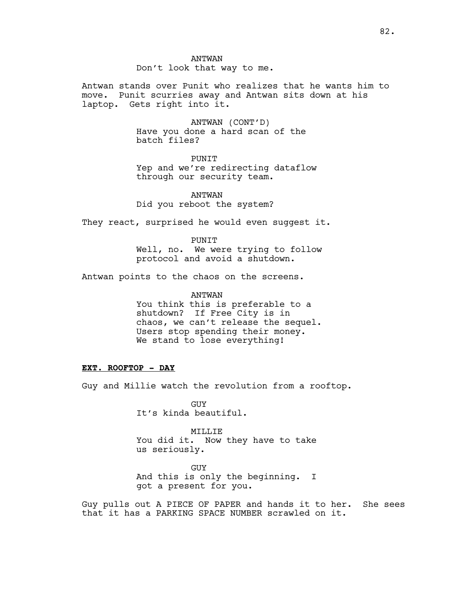ANTWAN Don't look that way to me.

Antwan stands over Punit who realizes that he wants him to move. Punit scurries away and Antwan sits down at his laptop. Gets right into it.

> ANTWAN (CONT'D) Have you done a hard scan of the batch files?

PUNIT Yep and we're redirecting dataflow through our security team.

ANTWAN Did you reboot the system?

They react, surprised he would even suggest it.

PUNIT Well, no. We were trying to follow protocol and avoid a shutdown.

Antwan points to the chaos on the screens.

ANTWAN

You think this is preferable to a shutdown? If Free City is in chaos, we can't release the sequel. Users stop spending their money. We stand to lose everything!

# **EXT. ROOFTOP - DAY**

Guy and Millie watch the revolution from a rooftop.

GUY It's kinda beautiful.

MILLIE You did it. Now they have to take us seriously.

GUY And this is only the beginning. I got a present for you.

Guy pulls out A PIECE OF PAPER and hands it to her. She sees that it has a PARKING SPACE NUMBER scrawled on it.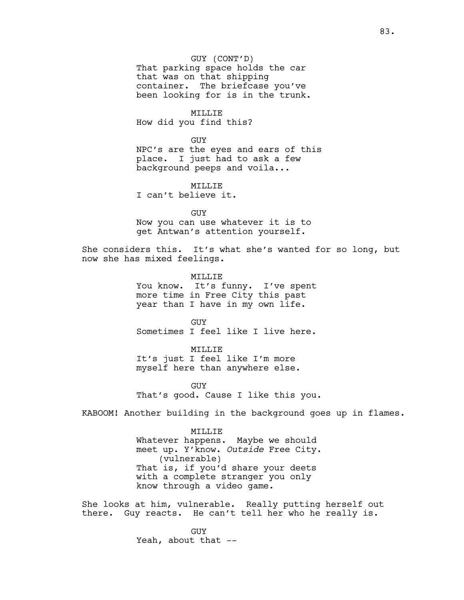GUY (CONT'D) That parking space holds the car that was on that shipping container. The briefcase you've been looking for is in the trunk.

MILLIE How did you find this?

GUY NPC's are the eyes and ears of this place. I just had to ask a few background peeps and voila...

MILLIE I can't believe it.

GUY Now you can use whatever it is to get Antwan's attention yourself.

She considers this. It's what she's wanted for so long, but now she has mixed feelings.

> MTT.T.TE You know. It's funny. I've spent more time in Free City this past year than I have in my own life.

GUY Sometimes I feel like I live here.

# MILLIE

It's just I feel like I'm more myself here than anywhere else.

GUY That's good. Cause I like this you.

KABOOM! Another building in the background goes up in flames.

#### MILLIE

Whatever happens. Maybe we should meet up. Y'know. *Outside* Free City. (vulnerable) That is, if you'd share your deets with a complete stranger you only know through a video game.

She looks at him, vulnerable. Really putting herself out there. Guy reacts. He can't tell her who he really is.

> GUY Yeah, about that --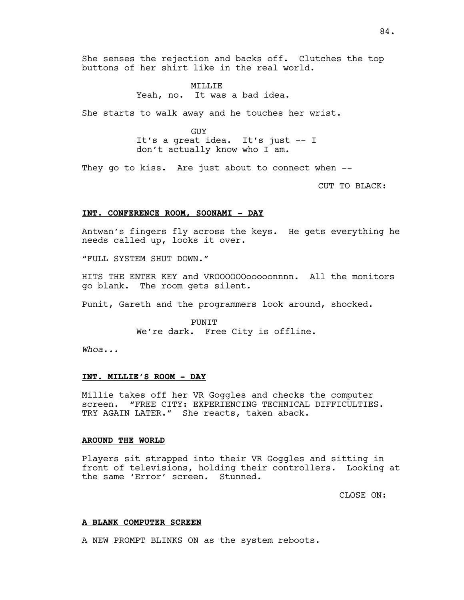She senses the rejection and backs off. Clutches the top buttons of her shirt like in the real world.

> MTT.T.TF. Yeah, no. It was a bad idea.

She starts to walk away and he touches her wrist.

GUY It's a great idea. It's just -- I don't actually know who I am.

They go to kiss. Are just about to connect when --

CUT TO BLACK:

## **INT. CONFERENCE ROOM, SOONAMI - DAY**

Antwan's fingers fly across the keys. He gets everything he needs called up, looks it over.

"FULL SYSTEM SHUT DOWN."

HITS THE ENTER KEY and VROOOOOOooooonnnn. All the monitors go blank. The room gets silent.

Punit, Gareth and the programmers look around, shocked.

PUNIT We're dark. Free City is offline.

*Whoa...*

## **INT. MILLIE'S ROOM - DAY**

Millie takes off her VR Goggles and checks the computer screen. "FREE CITY: EXPERIENCING TECHNICAL DIFFICULTIES. TRY AGAIN LATER." She reacts, taken aback.

## **AROUND THE WORLD**

Players sit strapped into their VR Goggles and sitting in front of televisions, holding their controllers. Looking at the same 'Error' screen. Stunned.

CLOSE ON:

#### **A BLANK COMPUTER SCREEN**

A NEW PROMPT BLINKS ON as the system reboots.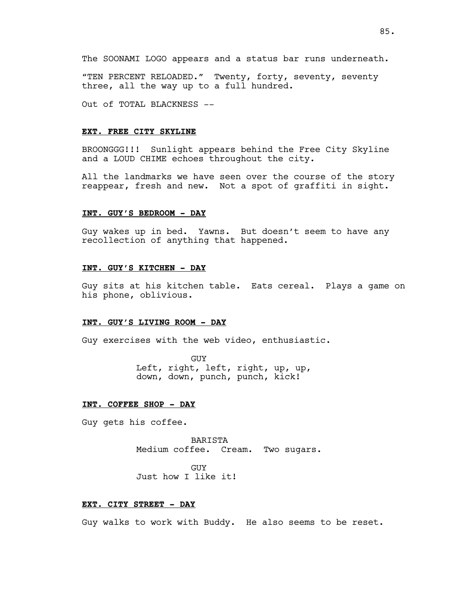The SOONAMI LOGO appears and a status bar runs underneath.

"TEN PERCENT RELOADED." Twenty, forty, seventy, seventy three, all the way up to a full hundred.

Out of TOTAL BLACKNESS --

#### **EXT. FREE CITY SKYLINE**

BROONGGG!!! Sunlight appears behind the Free City Skyline and a LOUD CHIME echoes throughout the city.

All the landmarks we have seen over the course of the story reappear, fresh and new. Not a spot of graffiti in sight.

#### **INT. GUY'S BEDROOM - DAY**

Guy wakes up in bed. Yawns. But doesn't seem to have any recollection of anything that happened.

## **INT. GUY'S KITCHEN - DAY**

Guy sits at his kitchen table. Eats cereal. Plays a game on his phone, oblivious.

## **INT. GUY'S LIVING ROOM - DAY**

Guy exercises with the web video, enthusiastic.

GUY Left, right, left, right, up, up, down, down, punch, punch, kick!

## **INT. COFFEE SHOP - DAY**

Guy gets his coffee.

BARISTA Medium coffee. Cream. Two sugars.

GUY Just how I like it!

## **EXT. CITY STREET - DAY**

Guy walks to work with Buddy. He also seems to be reset.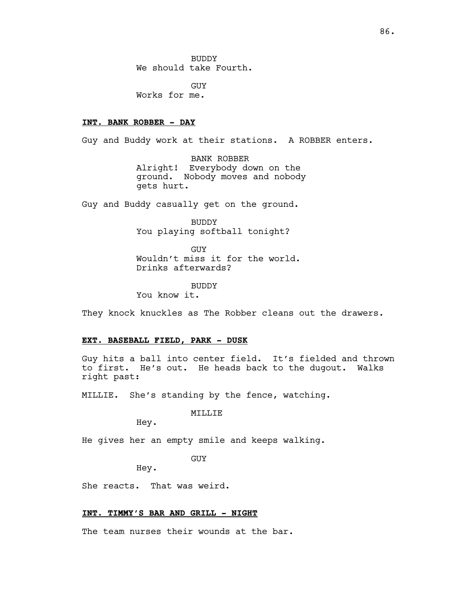BUDDY We should take Fourth.

GUY Works for me.

## **INT. BANK ROBBER - DAY**

Guy and Buddy work at their stations. A ROBBER enters.

BANK ROBBER Alright! Everybody down on the ground. Nobody moves and nobody gets hurt.

Guy and Buddy casually get on the ground.

BUDDY You playing softball tonight?

GUY Wouldn't miss it for the world. Drinks afterwards?

BUDDY You know it.

They knock knuckles as The Robber cleans out the drawers.

## **EXT. BASEBALL FIELD, PARK - DUSK**

Guy hits a ball into center field. It's fielded and thrown to first. He's out. He heads back to the dugout. Walks right past:

MILLIE. She's standing by the fence, watching.

MILLIE

Hey.

He gives her an empty smile and keeps walking.

GUY

Hey.

She reacts. That was weird.

## **INT. TIMMY'S BAR AND GRILL - NIGHT**

The team nurses their wounds at the bar.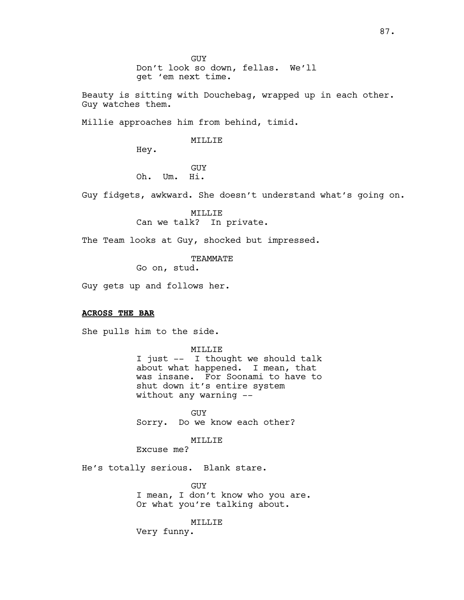Beauty is sitting with Douchebag, wrapped up in each other. Guy watches them.

Millie approaches him from behind, timid.

## MILLIE

Hey.

GUY Oh. Um. Hi.

Guy fidgets, awkward. She doesn't understand what's going on.

MILLIE Can we talk? In private.

The Team looks at Guy, shocked but impressed.

TEAMMATE

Go on, stud.

Guy gets up and follows her.

# **ACROSS THE BAR**

She pulls him to the side.

MILLIE

I just -- I thought we should talk about what happened. I mean, that was insane. For Soonami to have to shut down it's entire system without any warning --

GUY Sorry. Do we know each other?

MILLIE

Excuse me?

He's totally serious. Blank stare.

GUY I mean, I don't know who you are. Or what you're talking about.

MILLIE

Very funny.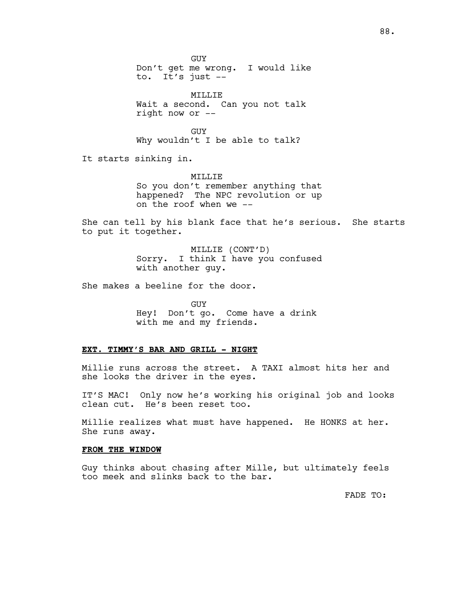GUY Don't get me wrong. I would like to. It's just --

MILLIE Wait a second. Can you not talk right now or --

GUY Why wouldn't I be able to talk?

It starts sinking in.

MILLIE So you don't remember anything that happened? The NPC revolution or up on the roof when we --

She can tell by his blank face that he's serious. She starts to put it together.

> MILLIE (CONT'D) Sorry. I think I have you confused with another guy.

She makes a beeline for the door.

GUY Hey! Don't go. Come have a drink with me and my friends.

## **EXT. TIMMY'S BAR AND GRILL - NIGHT**

Millie runs across the street. A TAXI almost hits her and she looks the driver in the eyes.

IT'S MAC! Only now he's working his original job and looks clean cut. He's been reset too.

Millie realizes what must have happened. He HONKS at her. She runs away.

## **FROM THE WINDOW**

Guy thinks about chasing after Mille, but ultimately feels too meek and slinks back to the bar.

FADE TO: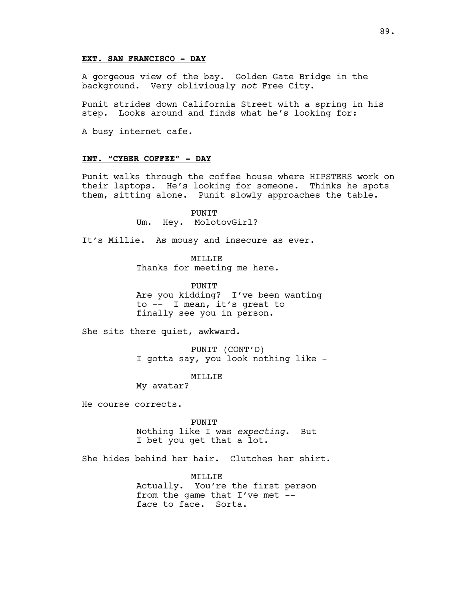## **EXT. SAN FRANCISCO - DAY**

A gorgeous view of the bay. Golden Gate Bridge in the background. Very obliviously *not* Free City.

Punit strides down California Street with a spring in his step. Looks around and finds what he's looking for:

A busy internet cafe.

## **INT. "CYBER COFFEE" - DAY**

Punit walks through the coffee house where HIPSTERS work on their laptops. He's looking for someone. Thinks he spots them, sitting alone. Punit slowly approaches the table.

> PUNIT Um. Hey. MolotovGirl?

It's Millie. As mousy and insecure as ever.

MTT.T.T.F. Thanks for meeting me here.

PUNIT Are you kidding? I've been wanting to -- I mean, it's great to finally see you in person.

She sits there quiet, awkward.

PUNIT (CONT'D) I gotta say, you look nothing like -

MILLIE

My avatar?

He course corrects.

PUNIT Nothing like I was *expecting*. But I bet you get that a lot.

She hides behind her hair. Clutches her shirt.

MILLIE Actually. You're the first person from the game that I've met - face to face. Sorta.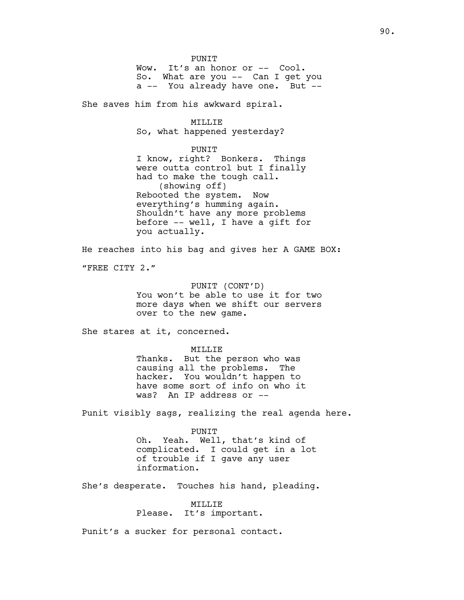PUNIT Wow. It's an honor or -- Cool. So. What are you -- Can I get you a -- You already have one. But --

She saves him from his awkward spiral.

# MILLIE

So, what happened yesterday?

#### PUNIT

I know, right? Bonkers. Things were outta control but I finally had to make the tough call. (showing off) Rebooted the system. Now everything's humming again. Shouldn't have any more problems before -- well, I have a gift for you actually.

He reaches into his bag and gives her A GAME BOX:

"FREE CITY 2."

PUNIT (CONT'D) You won't be able to use it for two more days when we shift our servers over to the new game.

She stares at it, concerned.

MILLIE

Thanks. But the person who was causing all the problems. The hacker. You wouldn't happen to have some sort of info on who it was? An IP address or --

Punit visibly sags, realizing the real agenda here.

PUNIT Oh. Yeah. Well, that's kind of complicated. I could get in a lot of trouble if I gave any user information.

She's desperate. Touches his hand, pleading.

## MILLIE

Please. It's important.

Punit's a sucker for personal contact.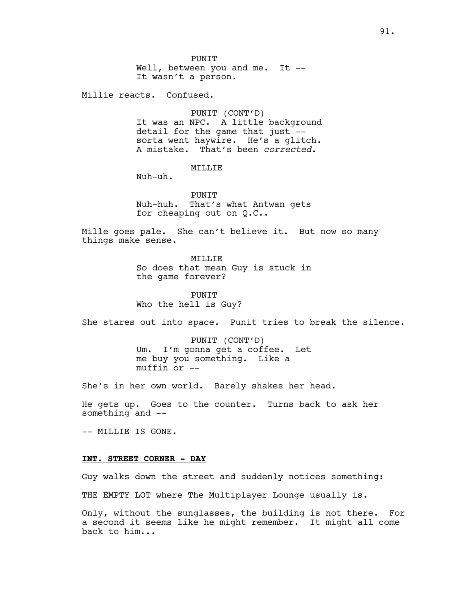**PUNTT** Well, between you and me. It --It wasn't a person.

Millie reacts. Confused.

PUNIT (CONT'D) It was an NPC. A little background detail for the game that just - sorta went haywire. He's a glitch. A mistake. That's been *corrected*.

# MILLIE

Nuh-uh.

**PUNTT** Nuh-huh. That's what Antwan gets for cheaping out on Q.C..

Mille goes pale. She can't believe it. But now so many things make sense.

> MTT.T.T.F. So does that mean Guy is stuck in the game forever?

PUNIT Who the hell is Guy?

She stares out into space. Punit tries to break the silence.

PUNIT (CONT'D) Um. I'm gonna get a coffee. Let me buy you something. Like a muffin or --

She's in her own world. Barely shakes her head.

He gets up. Goes to the counter. Turns back to ask her something and --

-- MILLIE IS GONE.

## **INT. STREET CORNER - DAY**

Guy walks down the street and suddenly notices something: THE EMPTY LOT where The Multiplayer Lounge usually is.

Only, without the sunglasses, the building is not there. For a second it seems like he might remember. It might all come back to him...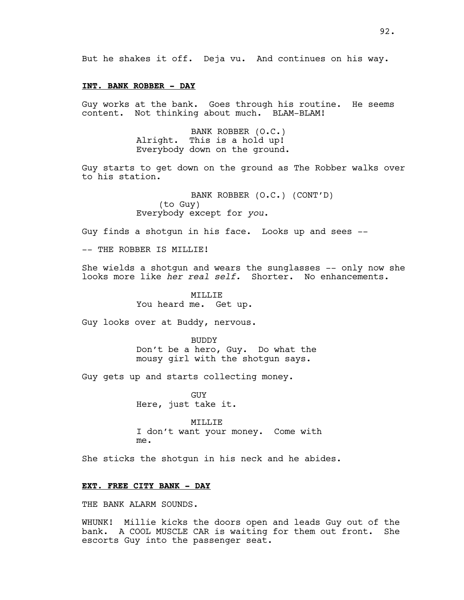But he shakes it off. Deja vu. And continues on his way.

#### **INT. BANK ROBBER - DAY**

Guy works at the bank. Goes through his routine. He seems content. Not thinking about much. BLAM-BLAM!

> BANK ROBBER (O.C.) Alright. This is a hold up! Everybody down on the ground.

Guy starts to get down on the ground as The Robber walks over to his station.

> BANK ROBBER (O.C.) (CONT'D) (to Guy) Everybody except for *you*.

Guy finds a shotgun in his face. Looks up and sees --

-- THE ROBBER IS MILLIE!

She wields a shotgun and wears the sunglasses -- only now she looks more like *her real self.* Shorter.No enhancements.

> MILLIE You heard me. Get up.

Guy looks over at Buddy, nervous.

**BUDDY** Don't be a hero, Guy. Do what the mousy girl with the shotgun says.

Guy gets up and starts collecting money.

**GUY** Here, just take it.

MILLIE I don't want your money. Come with me.

She sticks the shotgun in his neck and he abides.

#### **EXT. FREE CITY BANK - DAY**

THE BANK ALARM SOUNDS.

WHUNK! Millie kicks the doors open and leads Guy out of the bank. A COOL MUSCLE CAR is waiting for them out front. She escorts Guy into the passenger seat.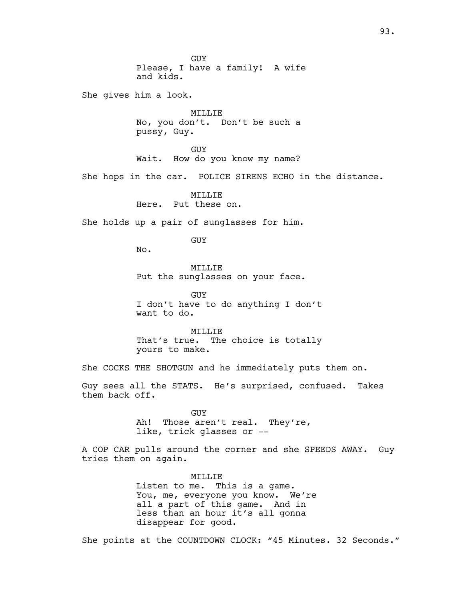GUY Please, I have a family! A wife and kids. She gives him a look. MILLIE No, you don't. Don't be such a pussy, Guy. GUY Wait. How do you know my name? She hops in the car. POLICE SIRENS ECHO in the distance. **MTT.T.TE** Here. Put these on. She holds up a pair of sunglasses for him. GUY No. MILLIE Put the sunglasses on your face. GUY I don't have to do anything I don't want to do. MILLIE That's true. The choice is totally yours to make. She COCKS THE SHOTGUN and he immediately puts them on. them back off. GUY Ah! Those aren't real. They're, like, trick glasses or - tries them on again. MILLIE Listen to me. This is a game. You, me, everyone you know. We're all a part of this game. And in less than an hour it's all gonna disappear for good.

Guy sees all the STATS. He's surprised, confused. Takes

A COP CAR pulls around the corner and she SPEEDS AWAY. Guy

She points at the COUNTDOWN CLOCK: "45 Minutes. 32 Seconds."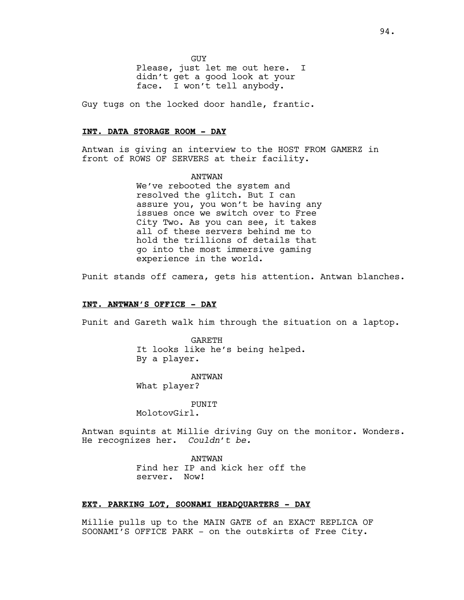GUY

Please, just let me out here. I didn't get a good look at your face. I won't tell anybody.

Guy tugs on the locked door handle, frantic.

## **INT. DATA STORAGE ROOM - DAY**

Antwan is giving an interview to the HOST FROM GAMERZ in front of ROWS OF SERVERS at their facility.

> ANTWAN We've rebooted the system and resolved the glitch. But I can assure you, you won't be having any issues once we switch over to Free City Two. As you can see, it takes all of these servers behind me to hold the trillions of details that go into the most immersive gaming experience in the world.

Punit stands off camera, gets his attention. Antwan blanches.

# **INT. ANTWAN'S OFFICE - DAY**

Punit and Gareth walk him through the situation on a laptop.

GARETH It looks like he's being helped. By a player.

ANTWAN What player?

PUNIT MolotovGirl.

Antwan squints at Millie driving Guy on the monitor. Wonders. He recognizes her. *Couldn't be.*

> ANTWAN Find her IP and kick her off the server. Now!

## **EXT. PARKING LOT, SOONAMI HEADQUARTERS - DAY**

Millie pulls up to the MAIN GATE of an EXACT REPLICA OF SOONAMI'S OFFICE PARK - on the outskirts of Free City.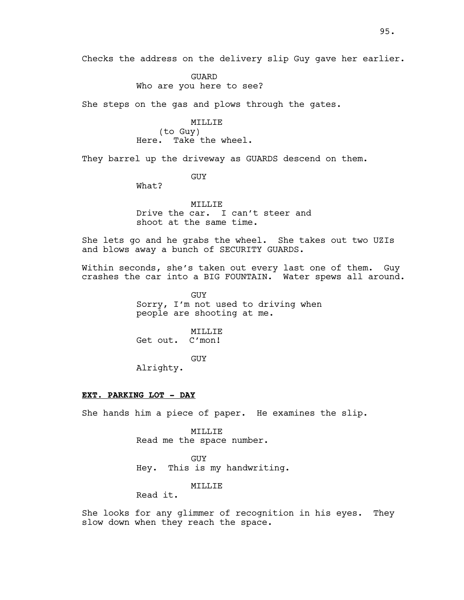GUARD Who are you here to see?

She steps on the gas and plows through the gates.

MILLIE (to Guy) Here. Take the wheel.

They barrel up the driveway as GUARDS descend on them.

GUY

What?

MILLIE Drive the car. I can't steer and shoot at the same time.

She lets go and he grabs the wheel. She takes out two UZIs and blows away a bunch of SECURITY GUARDS.

Within seconds, she's taken out every last one of them. Guy crashes the car into a BIG FOUNTAIN. Water spews all around.

> GUY Sorry, I'm not used to driving when people are shooting at me.

MILLIE Get out. C'mon!

GUY

Alrighty.

## **EXT. PARKING LOT - DAY**

She hands him a piece of paper. He examines the slip.

MILLIE Read me the space number.

GUY Hey. This is my handwriting.

MILLIE

Read it.

She looks for any glimmer of recognition in his eyes. They slow down when they reach the space.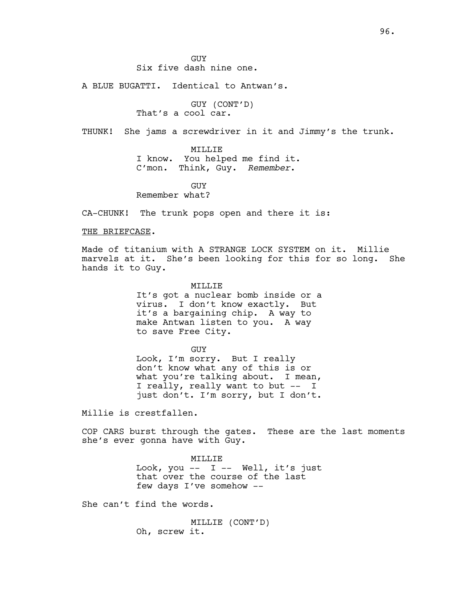GUY Six five dash nine one.

A BLUE BUGATTI. Identical to Antwan's.

GUY (CONT'D) That's a cool car.

THUNK! She jams a screwdriver in it and Jimmy's the trunk.

MILLIE

I know. You helped me find it. C'mon. Think, Guy. *Remember*.

GUY

Remember what?

CA-CHUNK! The trunk pops open and there it is:

## THE BRIEFCASE.

Made of titanium with A STRANGE LOCK SYSTEM on it. Millie marvels at it. She's been looking for this for so long. She hands it to Guy.

MILLIE

It's got a nuclear bomb inside or a virus. I don't know exactly. But it's a bargaining chip. A way to make Antwan listen to you. A way to save Free City.

GUY

Look, I'm sorry. But I really don't know what any of this is or what you're talking about. I mean, I really, really want to but -- I just don't. I'm sorry, but I don't.

Millie is crestfallen.

COP CARS burst through the gates. These are the last moments she's ever gonna have with Guy.

> MILLIE Look, you  $--$  I  $--$  Well, it's just that over the course of the last few days I've somehow --

She can't find the words.

MILLIE (CONT'D) Oh, screw it.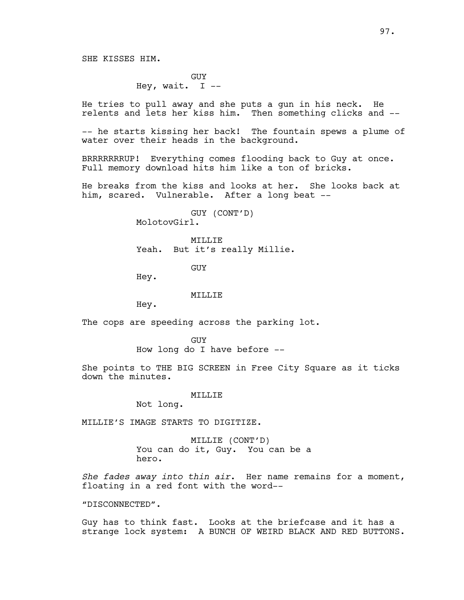GUY Hey, wait. I  $-$ 

He tries to pull away and she puts a gun in his neck. He relents and lets her kiss him. Then something clicks and --

-- he starts kissing her back! The fountain spews a plume of water over their heads in the background.

BRRRRRRRUP! Everything comes flooding back to Guy at once. Full memory download hits him like a ton of bricks.

He breaks from the kiss and looks at her. She looks back at him, scared. Vulnerable. After a long beat --

> GUY (CONT'D) MolotovGirl.

MTT.T.T.F. Yeah. But it's really Millie.

GUY

Hey.

#### MILLIE

Hey.

The cops are speeding across the parking lot.

GUY How long do I have before --

She points to THE BIG SCREEN in Free City Square as it ticks down the minutes.

## MILLIE

Not long.

MILLIE'S IMAGE STARTS TO DIGITIZE.

MILLIE (CONT'D) You can do it, Guy. You can be a hero.

*She fades away into thin air*. Her name remains for a moment, floating in a red font with the word--

"DISCONNECTED".

Guy has to think fast. Looks at the briefcase and it has a strange lock system: A BUNCH OF WEIRD BLACK AND RED BUTTONS.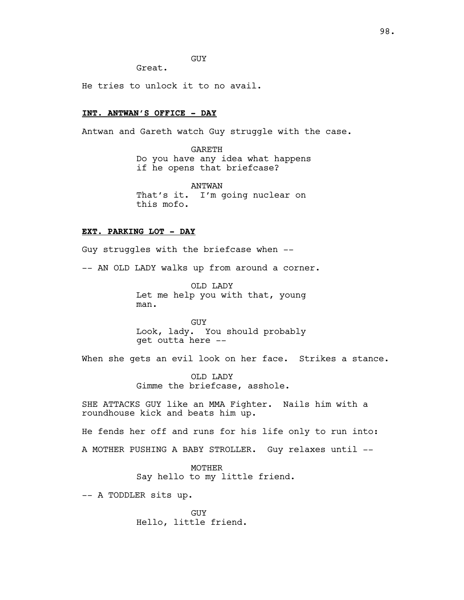GUY

Great.

He tries to unlock it to no avail.

# **INT. ANTWAN'S OFFICE - DAY**

Antwan and Gareth watch Guy struggle with the case.

GARETH Do you have any idea what happens if he opens that briefcase?

ANTWAN That's it. I'm going nuclear on this mofo.

## **EXT. PARKING LOT - DAY**

Guy struggles with the briefcase when --

-- AN OLD LADY walks up from around a corner.

OLD LADY Let me help you with that, young man.

GUY Look, lady. You should probably get outta here --

When she gets an evil look on her face. Strikes a stance.

OLD LADY Gimme the briefcase, asshole.

SHE ATTACKS GUY like an MMA Fighter. Nails him with a roundhouse kick and beats him up.

He fends her off and runs for his life only to run into: A MOTHER PUSHING A BABY STROLLER. Guy relaxes until --

> MOTHER Say hello to my little friend.

-- A TODDLER sits up.

GUY Hello, little friend.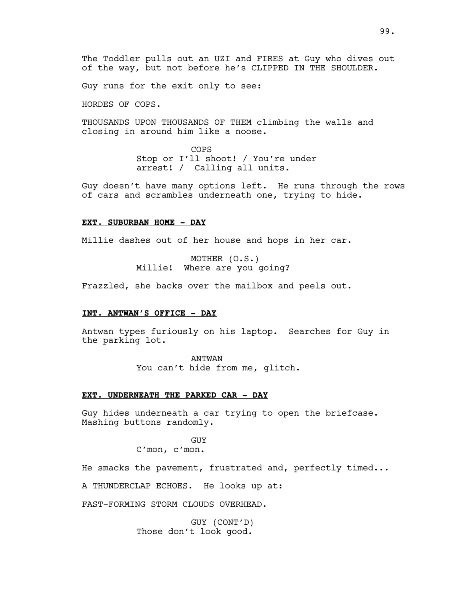Guy runs for the exit only to see:

HORDES OF COPS.

THOUSANDS UPON THOUSANDS OF THEM climbing the walls and closing in around him like a noose.

> COPS Stop or I'll shoot! / You're under arrest! / Calling all units.

Guy doesn't have many options left. He runs through the rows of cars and scrambles underneath one, trying to hide.

#### **EXT. SUBURBAN HOME - DAY**

Millie dashes out of her house and hops in her car.

MOTHER (O.S.) Millie! Where are you going?

Frazzled, she backs over the mailbox and peels out.

## **INT. ANTWAN'S OFFICE - DAY**

Antwan types furiously on his laptop. Searches for Guy in the parking lot.

ANTWAN

You can't hide from me, glitch.

## **EXT. UNDERNEATH THE PARKED CAR - DAY**

Guy hides underneath a car trying to open the briefcase. Mashing buttons randomly.

> GUY C'mon, c'mon.

He smacks the pavement, frustrated and, perfectly timed...

A THUNDERCLAP ECHOES. He looks up at:

FAST-FORMING STORM CLOUDS OVERHEAD.

GUY (CONT'D) Those don't look good.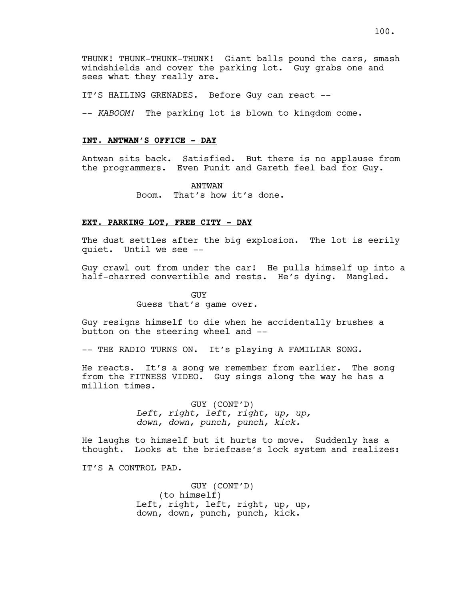THUNK! THUNK-THUNK-THUNK! Giant balls pound the cars, smash windshields and cover the parking lot. Guy grabs one and sees what they really are.

IT'S HAILING GRENADES. Before Guy can react --

-- *KABOOM!* The parking lot is blown to kingdom come.

## **INT. ANTWAN'S OFFICE - DAY**

Antwan sits back. Satisfied. But there is no applause from the programmers. Even Punit and Gareth feel bad for Guy.

> ANTWAN Boom. That's how it's done.

## **EXT. PARKING LOT, FREE CITY - DAY**

The dust settles after the big explosion. The lot is eerily quiet. Until we see --

Guy crawl out from under the car! He pulls himself up into a half-charred convertible and rests. He's dying. Mangled.

> GUY Guess that's game over.

Guy resigns himself to die when he accidentally brushes a button on the steering wheel and --

-- THE RADIO TURNS ON. It's playing A FAMILIAR SONG.

He reacts. It's a song we remember from earlier. The song from the FITNESS VIDEO. Guy sings along the way he has a million times.

> GUY (CONT'D) *Left, right, left, right, up, up, down, down, punch, punch, kick.*

He laughs to himself but it hurts to move. Suddenly has a thought. Looks at the briefcase's lock system and realizes:

IT'S A CONTROL PAD.

GUY (CONT'D) (to himself) Left, right, left, right, up, up, down, down, punch, punch, kick.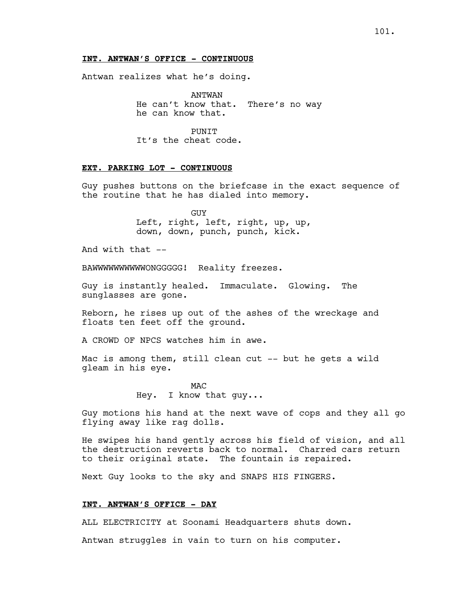## **INT. ANTWAN'S OFFICE - CONTINUOUS**

Antwan realizes what he's doing.

ANTWAN He can't know that. There's no way he can know that.

**PUNTT** It's the cheat code.

## **EXT. PARKING LOT - CONTINUOUS**

Guy pushes buttons on the briefcase in the exact sequence of the routine that he has dialed into memory.

> **GUY** Left, right, left, right, up, up, down, down, punch, punch, kick.

And with that  $--$ 

BAWWWWWWWWWWONGGGGG! Reality freezes.

Guy is instantly healed. Immaculate. Glowing. The sunglasses are gone.

Reborn, he rises up out of the ashes of the wreckage and floats ten feet off the ground.

A CROWD OF NPCS watches him in awe.

Mac is among them, still clean cut -- but he gets a wild gleam in his eye.

> MAC Hey. I know that guy...

Guy motions his hand at the next wave of cops and they all go flying away like rag dolls.

He swipes his hand gently across his field of vision, and all the destruction reverts back to normal. Charred cars return to their original state. The fountain is repaired.

Next Guy looks to the sky and SNAPS HIS FINGERS.

## **INT. ANTWAN'S OFFICE - DAY**

ALL ELECTRICITY at Soonami Headquarters shuts down.

Antwan struggles in vain to turn on his computer.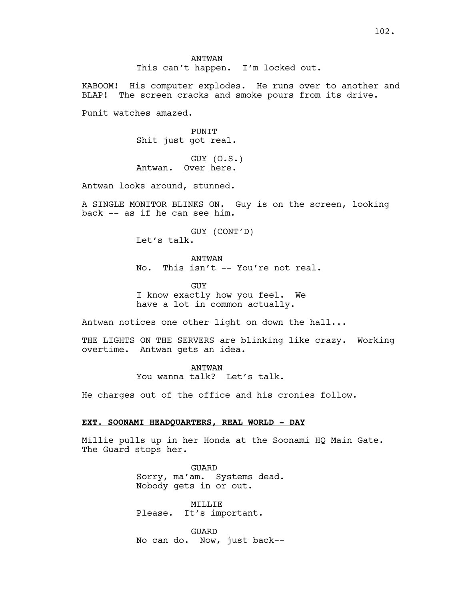ANTWAN This can't happen. I'm locked out.

KABOOM! His computer explodes. He runs over to another and BLAP! The screen cracks and smoke pours from its drive.

Punit watches amazed.

PUNIT Shit just got real.

GUY (O.S.) Antwan. Over here.

Antwan looks around, stunned.

A SINGLE MONITOR BLINKS ON. Guy is on the screen, looking back -- as if he can see him.

> GUY (CONT'D) Let's talk.

ANTWAN No. This isn't -- You're not real.

GUY I know exactly how you feel. We have a lot in common actually.

Antwan notices one other light on down the hall...

THE LIGHTS ON THE SERVERS are blinking like crazy. Working overtime. Antwan gets an idea.

> ANTWAN You wanna talk? Let's talk.

He charges out of the office and his cronies follow.

## **EXT. SOONAMI HEADQUARTERS, REAL WORLD - DAY**

Millie pulls up in her Honda at the Soonami HQ Main Gate. The Guard stops her.

> GUARD Sorry, ma'am. Systems dead. Nobody gets in or out.

MILLIE Please. It's important.

GUARD No can do. Now, just back--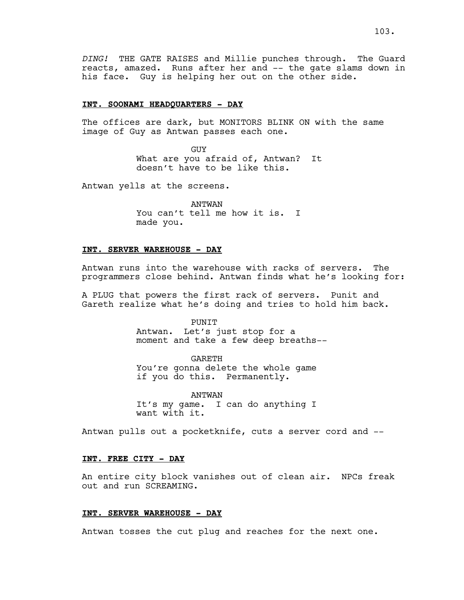*DING!* THE GATE RAISES and Millie punches through. The Guard reacts, amazed. Runs after her and -- the gate slams down in his face. Guy is helping her out on the other side.

## **INT. SOONAMI HEADQUARTERS - DAY**

The offices are dark, but MONITORS BLINK ON with the same image of Guy as Antwan passes each one.

> GUY What are you afraid of, Antwan? It doesn't have to be like this.

Antwan yells at the screens.

ANTWAN You can't tell me how it is. I made you.

## **INT. SERVER WAREHOUSE - DAY**

Antwan runs into the warehouse with racks of servers. The programmers close behind. Antwan finds what he's looking for:

A PLUG that powers the first rack of servers. Punit and Gareth realize what he's doing and tries to hold him back.

## PUNIT

Antwan. Let's just stop for a moment and take a few deep breaths--

GARETH You're gonna delete the whole game if you do this. Permanently.

ANTWAN It's my game. I can do anything I want with it.

Antwan pulls out a pocketknife, cuts a server cord and --

## **INT. FREE CITY - DAY**

An entire city block vanishes out of clean air. NPCs freak out and run SCREAMING.

## **INT. SERVER WAREHOUSE - DAY**

Antwan tosses the cut plug and reaches for the next one.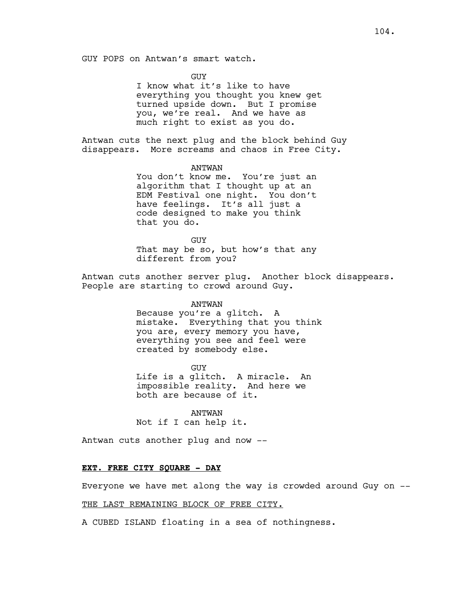GUY POPS on Antwan's smart watch.

**GUY** 

I know what it's like to have everything you thought you knew get turned upside down. But I promise you, we're real. And we have as much right to exist as you do.

Antwan cuts the next plug and the block behind Guy disappears. More screams and chaos in Free City.

> ANTWAN You don't know me. You're just an algorithm that I thought up at an EDM Festival one night. You don't have feelings. It's all just a code designed to make you think that you do.

> GUY That may be so, but how's that any different from you?

Antwan cuts another server plug. Another block disappears. People are starting to crowd around Guy.

## ANTWAN

Because you're a glitch. A mistake. Everything that you think you are, every memory you have, everything you see and feel were created by somebody else.

GUY Life is a glitch. A miracle. An impossible reality. And here we both are because of it.

ANTWAN Not if I can help it.

Antwan cuts another plug and now --

#### **EXT. FREE CITY SQUARE - DAY**

Everyone we have met along the way is crowded around Guy on --

# THE LAST REMAINING BLOCK OF FREE CITY.

A CUBED ISLAND floating in a sea of nothingness.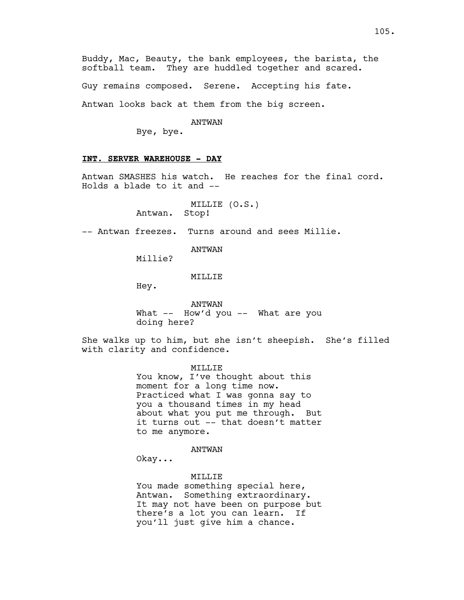Guy remains composed. Serene. Accepting his fate.

Antwan looks back at them from the big screen.

#### ANTWAN

Bye, bye.

## **INT. SERVER WAREHOUSE - DAY**

Antwan SMASHES his watch. He reaches for the final cord. Holds a blade to it and --

> MILLIE (O.S.) Antwan. Stop!

-- Antwan freezes. Turns around and sees Millie.

ANTWAN

Millie?

#### MILLIE

Hey.

ANTWAN What -- How'd you -- What are you doing here?

She walks up to him, but she isn't sheepish. She's filled with clarity and confidence.

MILLIE

You know, I've thought about this moment for a long time now. Practiced what I was gonna say to you a thousand times in my head about what you put me through. But it turns out -- that doesn't matter to me anymore.

ANTWAN

Okay...

#### MILLIE

You made something special here, Antwan. Something extraordinary. It may not have been on purpose but there's a lot you can learn. If you'll just give him a chance.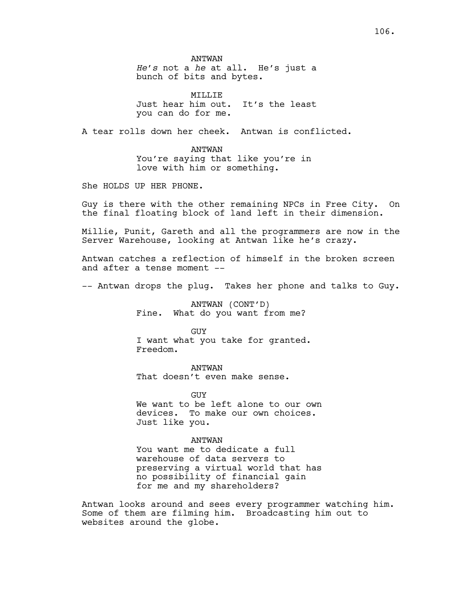ANTWAN *He's* not a *he* at all. He's just a bunch of bits and bytes.

MILLIE Just hear him out. It's the least you can do for me.

A tear rolls down her cheek. Antwan is conflicted.

ANTWAN You're saying that like you're in love with him or something.

She HOLDS UP HER PHONE.

Guy is there with the other remaining NPCs in Free City. On the final floating block of land left in their dimension.

Millie, Punit, Gareth and all the programmers are now in the Server Warehouse, looking at Antwan like he's crazy.

Antwan catches a reflection of himself in the broken screen and after a tense moment --

-- Antwan drops the plug. Takes her phone and talks to Guy.

ANTWAN (CONT'D) Fine. What do you want from me?

GUY I want what you take for granted. Freedom.

ANTWAN That doesn't even make sense.

**GUY** We want to be left alone to our own devices. To make our own choices. Just like you.

ANTWAN You want me to dedicate a full warehouse of data servers to preserving a virtual world that has no possibility of financial gain for me and my shareholders?

Antwan looks around and sees every programmer watching him. Some of them are filming him. Broadcasting him out to websites around the globe.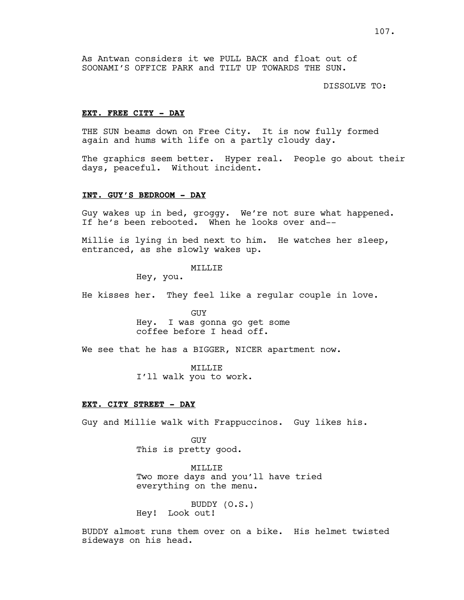As Antwan considers it we PULL BACK and float out of SOONAMI'S OFFICE PARK and TILT UP TOWARDS THE SUN.

DISSOLVE TO:

#### **EXT. FREE CITY - DAY**

THE SUN beams down on Free City. It is now fully formed again and hums with life on a partly cloudy day.

The graphics seem better. Hyper real. People go about their days, peaceful. Without incident.

## **INT. GUY'S BEDROOM - DAY**

Guy wakes up in bed, groggy. We're not sure what happened. If he's been rebooted. When he looks over and--

Millie is lying in bed next to him. He watches her sleep, entranced, as she slowly wakes up.

## MILLIE

Hey, you.

He kisses her. They feel like a regular couple in love.

GUY Hey. I was gonna go get some coffee before I head off.

We see that he has a BIGGER, NICER apartment now.

MILLIE I'll walk you to work.

## **EXT. CITY STREET - DAY**

Guy and Millie walk with Frappuccinos. Guy likes his.

GUY This is pretty good.

MILLIE Two more days and you'll have tried everything on the menu.

BUDDY (O.S.) Hey! Look out!

BUDDY almost runs them over on a bike. His helmet twisted sideways on his head.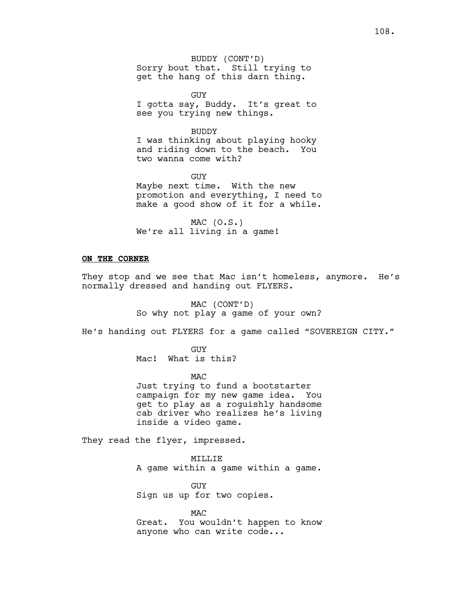GUY I gotta say, Buddy. It's great to see you trying new things.

BUDDY I was thinking about playing hooky and riding down to the beach. You two wanna come with?

GUY Maybe next time. With the new promotion and everything, I need to make a good show of it for a while.

 $MAC (0.S.)$ We're all living in a game!

## **ON THE CORNER**

They stop and we see that Mac isn't homeless, anymore. He's normally dressed and handing out FLYERS.

> MAC (CONT'D) So why not play a game of your own?

He's handing out FLYERS for a game called "SOVEREIGN CITY."

GUY Mac! What is this?

**MAC** Just trying to fund a bootstarter campaign for my new game idea. You get to play as a roguishly handsome cab driver who realizes he's living inside a video game.

They read the flyer, impressed.

## MILLIE

A game within a game within a game.

GUY Sign us up for two copies.

MAC Great. You wouldn't happen to know anyone who can write code...